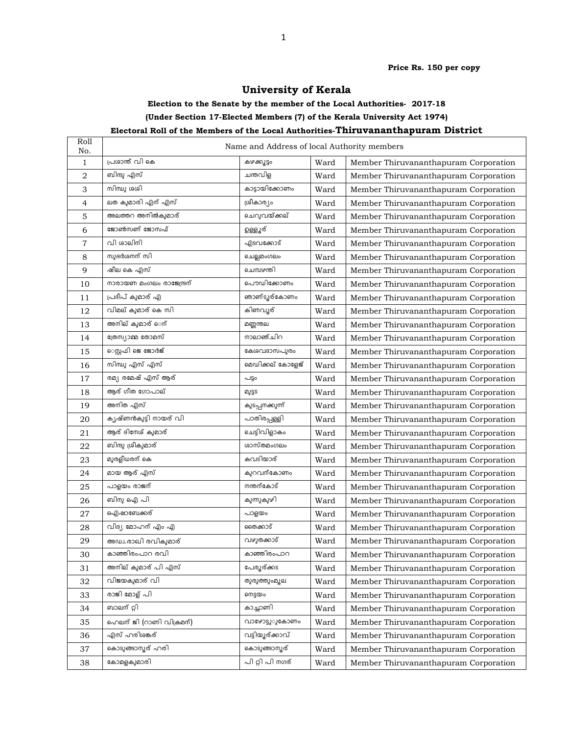Price Rs. 150 per copy

## University of Kerala

## Election to the Senate by the member of the Local Authorities- 2017-18 (Under Section 17-Elected Members (7) of the Kerala University Act 1974) Electoral Roll of the Members of the Local Authorities-Thiruvananthapuram District

## Roll No. Name and Address of local Authority members No. 1 പ്രശാന്ത് വി കെ  $\overline{a}$  and  $\overline{a}$  and  $\overline{a}$  and  $\overline{a}$  Ward Member Thiruvananthapuram Corporation 2 | ബിന്ദു എസ് | ചന്തവിള | Ward | Member Thiruvananthapuram Corporation  $\overline{3}$  സിന്ധു ശശി സാധാരണം കാട്ടായിക്കോണം Ward | Member Thiruvananthapuram Corporation 4 ലത കുമാരി എന് എസ് ശീക ! Ward Member Thiruvananthapuram Corporation  $5$  " അലത്തറ അനിൽകുമാര് \$& Ward Member Thiruvananthapuram Corporation 6 '( ') \*+, Ward Member Thiruvananthapuram Corporation 7 | വി ശാലിതി | എടവകോട് | Ward | Member Thiruvananthapuram Corporation 8 | സുദർശനന് സി | ചെല്ലമംഗലം | Ward | Member Thiruvananthapuram Corporation g ഷീലകെ എസ് 3 Ward Member Thiruvananthapuram Corporation  $10$  | നാരായണ മംഗലം രാജേന്ദ്രന് | പൌഡിക്കോണം Ward | Member Thiruvananthapuram Corporation  $11$ ദീപ് ക ഞാണ്ടൂര്കോണം Ward | Member Thiruvananthapuram Corporation  $12$  വിമല് കുമാര് കെ സി Ward Member Thiruvananthapuram Corporation  $13$  അനില് കുമാര് െന് ◌ : Ward Member Thiruvananthapuram Corporation 14 | ത്രേസ്യാമ്മ രോമസ് | നാലാഞ്ചിറ | Ward | Member Thiruvananthapuram Corporation  $15$   $\sim$  െസ്രഫി ജെ ജോർജ് കേശവദാസപുരം Ward | Member Thiruvananthapuram Corporation  $16$  സിന്ധു എസ് എസ് സാരാശ് മേഡിക്കല് കോളേജ് Ward | Member Thiruvananthapuram Corporation  $17$  | രമ്യ രമേഷ് എസ് ആര് | പട്ടം Ward | Member Thiruvananthapuram Corporation  $18$  ആര് ഗീത ഗോപാല് 2<sub>2</sub> e<sub>2</sub> and Member Thiruvananthapuram Corporation  $19$  | അനിത എസ് $_{\rm 19}$ Ward | Member Thiruvananthapuram Corporation 20 ൃഷ്ണൻകുട്ടി നായര് വി പാതിരപ്പള്ളി | Ward | Member Thiruvananthapuram Corporation 21 > . ചെട്ടിവിളാകം Ward | Member Thiruvananthapuram Corporation  $22$  ബിന്ദു ശ്രീകുമാര് E1 Ward Member Thiruvananthapuram Corporation  $23$  | മുരളീധരന് കെ  $\mathbb{R}^n$  . The contract of  $\mathbb{R}^n$  and  $\mathbb{R}^n$ - Ward Member Thiruvananthapuram Corporation  $24$  മായ ആര് എസ് കുറവന്കോണം Ward | Member Thiruvananthapuram Corporation 25 -പാളയം രാജന് ഭരണ കൊട്ട് കാര്യമാണ് കോട് Ward | Member Thiruvananthapuram Corporation  $26$  ബിനു ഐ പി  $\begin{array}{ccc} \mathbf{0} & \mathbf{0} & \mathbf{0} & \mathbf{0} \end{array}$ കുന്നുകുഴി Ward | Member Thiruvananthapuram Corporation  $27$  ഐഷാബേക്കര് സാളയം Ward | Member Thiruvananthapuram Corporation 28 | വിദ്യ മോഹന് എം എ | ഞക്കാട് | Ward | Member Thiruvananthapuram Corporation  $29$  അഡ്വ.രാഖി രവികുമാര് - Ward Member Thiruvananthapuram Corporation 30 M-\$ കാഞ്ഞിരംപാറ Ward | Member Thiruvananthapuram Corporation  $31$  | അനില് കുമാര് പി എസ് $\qquad \qquad$ | പേ പേരൂര്ക്കട | Ward | Member Thiruvananthapuram Corporation  $32$  വിജയകുമാര് വി രുരുത്തുംമൂല | Ward | Member Thiruvananthapuram Corporation  $33$  രാജി മോള് പി Ward Member Thiruvananthapuram Corporation  $34$  ബാലന്റ്റി സാസ്ത്രീ കാച്ചാണി Ward | Member Thiruvananthapuram Corporation  $35$   $\Box$  ഹെലന് ജി (റാണി വിക്രമന്) വാഴോട്ടുൂകോണം Ward | Member Thiruvananthapuram Corporation 36 | എസ് ഹരിശങ്ക് | വടിയൂര്ക്കാവ് | Ward | Member Thiruvananthapuram Corporation 37 -R I ด พระพุธรรม Mard | Member Thiruvananthapuram Corporation 38 ാമളകുമാരി പ്രാ പി റ്റി പി നഗര് Ward | Member Thiruvananthapuram Corporation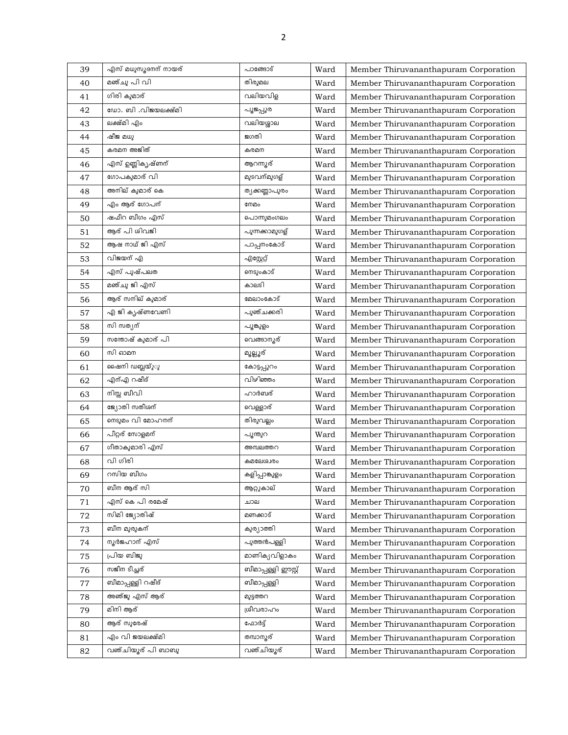| 39 | എസ് മധുസൂദനന് നായര് | പാങ്ങോട്            | Ward | Member Thiruvananthapuram Corporation |
|----|---------------------|---------------------|------|---------------------------------------|
| 40 | മഞ്ചു പി വി         | തിരുമല              | Ward | Member Thiruvananthapuram Corporation |
| 41 | ഗിരി കുമാര്         | വലിയവിള             | Ward | Member Thiruvananthapuram Corporation |
| 42 | ഡോ. ബി .വിജയലക്ഷ്മി | പൂജപ്പുര            | Ward | Member Thiruvananthapuram Corporation |
| 43 | ലക്ഷ്മി എം          | വലിയശ്ശാല           | Ward | Member Thiruvananthapuram Corporation |
| 44 | ഷീജ മധു             | ജഗതി                | Ward | Member Thiruvananthapuram Corporation |
| 45 | കരമന അജിത്          | കരമന                | Ward | Member Thiruvananthapuram Corporation |
| 46 | എസ് ഉണ്ണികൃഷ്ണന്    | ആറന്നൂര്            | Ward | Member Thiruvananthapuram Corporation |
| 47 | ഗോപകുമാര് വി        | മുടവന്മുഗള്         | Ward | Member Thiruvananthapuram Corporation |
| 48 | അനില് കുമാര് കെ     | ത്യക്കണ്ണാപുരം      | Ward | Member Thiruvananthapuram Corporation |
| 49 | എം ആര് ഗോപന്        | നേമം                | Ward | Member Thiruvananthapuram Corporation |
| 50 | ഷപീറ ബീഗം എസ്       | പൊന്നുമംഗലം         | Ward | Member Thiruvananthapuram Corporation |
| 51 | ആര് പി ശിവജി        | പുന്നക്കാമുഗള്      | Ward | Member Thiruvananthapuram Corporation |
| 52 | ആഷ നാഥ് ജി എസ്      | പാപ്പനംകോട്         | Ward | Member Thiruvananthapuram Corporation |
| 53 | വിജയന് എ            | എസ്റ്റേറ്റ്         | Ward | Member Thiruvananthapuram Corporation |
| 54 | എസ് പൂഷ്പലത         | ണടുംകാട്            | Ward | Member Thiruvananthapuram Corporation |
| 55 | മഞ്ചു ജി എസ്        | കാലടി               | Ward | Member Thiruvananthapuram Corporation |
| 56 | ആര് സനില് കുമാര്    | മേലാംകോട്           | Ward | Member Thiruvananthapuram Corporation |
| 57 | എ ജി കൃഷ്ണവേണി      | പുഞ്ചക്കരി          | Ward | Member Thiruvananthapuram Corporation |
| 58 | സി സത്യന്           | പൂങ്കുളം            | Ward | Member Thiruvananthapuram Corporation |
| 59 | സന്തോഷ് കുമാര് പി   | വെങ്ങാനൂര്          | Ward | Member Thiruvananthapuram Corporation |
| 60 | സി ഓമന              | മൂല്ലൂര്            | Ward | Member Thiruvananthapuram Corporation |
| 61 | ഷൈനി ഡബ്ലയ്ുു       | കോട്ടപ്പുറം         | Ward | Member Thiruvananthapuram Corporation |
| 62 | എന്എ റഷീദ്          | വിഴിഞ്ഞം            | Ward | Member Thiruvananthapuram Corporation |
| 63 | നിസ്സ ബീവി          | ഹാർബര്              | Ward | Member Thiruvananthapuram Corporation |
| 64 | ജ്യോതി സതീശന്       | വെള്ളാര്            | Ward | Member Thiruvananthapuram Corporation |
| 65 | നെടുമം വി മോഹനന്    | തിരുവല്ലം           | Ward | Member Thiruvananthapuram Corporation |
| 66 | പീറ്റര് സോളമന്      | പൂന്തുറ             | Ward | Member Thiruvananthapuram Corporation |
| 67 | ഗീതാകുമാരി എസ്      | അമ്പലത്തറ           | Ward | Member Thiruvananthapuram Corporation |
| 68 | വി ഗിരി             | കമലേശ്വരം           | Ward | Member Thiruvananthapuram Corporation |
| 69 | റസിയ ബീഗം           | കളിപ്പാങ്കുളം       | Ward | Member Thiruvananthapuram Corporation |
| 70 | ബീന ആര് സി          | ആറ്റുകാല്           | Ward | Member Thiruvananthapuram Corporation |
| 71 | എസ് കെ പി രമേഷ്     | ചാല                 | Ward | Member Thiruvananthapuram Corporation |
| 72 | സിമി ജ്യോതിഷ്       | മണക്കാട്            | Ward | Member Thiruvananthapuram Corporation |
| 73 | ബീന മുരുകന്         | കുര്യാത്തി          | Ward | Member Thiruvananthapuram Corporation |
| 74 | നൂർജഹാന് എസ്        | പുത്തൻപള്ളി         | Ward | Member Thiruvananthapuram Corporation |
| 75 | പ്രിയ ബിജു          | മാണിക്യവിളാകം       | Ward | Member Thiruvananthapuram Corporation |
| 76 | സജീന ടീച്ചര്        | ബീമാപ്പള്ളി ഈസ്റ്റ് | Ward | Member Thiruvananthapuram Corporation |
| 77 | ബീമാപ്പള്ളി റഷീദ്   | ബീമാപ്പള്ളി         | Ward | Member Thiruvananthapuram Corporation |
| 78 | അഞ്ജു എസ് ആര്       | മുട്ടത്തറ           | Ward | Member Thiruvananthapuram Corporation |
| 79 | മിനി ആര്            | ശ്രീവരാഹം           | Ward | Member Thiruvananthapuram Corporation |
| 80 | ആര് സുരേഷ്          | ഫോർട്ട്             | Ward | Member Thiruvananthapuram Corporation |
| 81 | എം വി ജയലക്ഷ്മി     | തമ്പാനൂര്           | Ward | Member Thiruvananthapuram Corporation |
| 82 | വഞ്ചിയൂര് പി ബാബു   | വഞ്ചിയൂര്           | Ward | Member Thiruvananthapuram Corporation |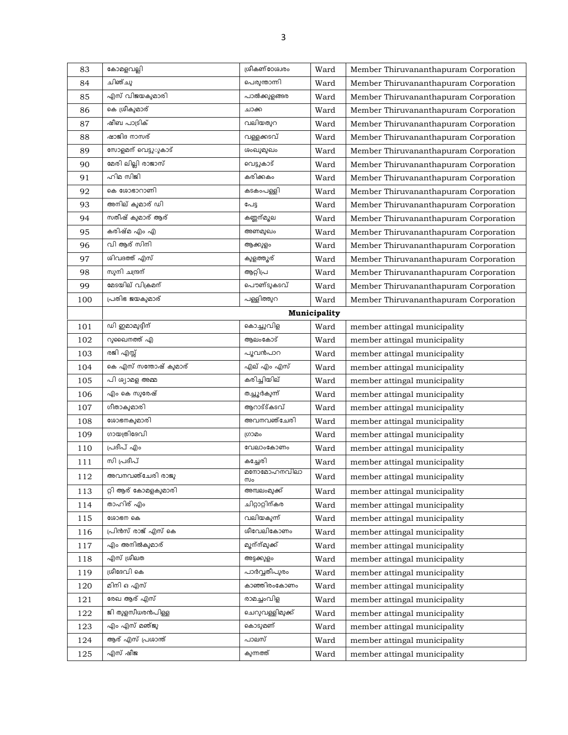| 83      | കോമളവല്ലി                   | ശ്രീകണ്ഠേശ്വരം    | Ward         | Member Thiruvananthapuram Corporation |
|---------|-----------------------------|-------------------|--------------|---------------------------------------|
| 84      | ചിഞ്ചു                      | പെരുന്താന്നി      | Ward         | Member Thiruvananthapuram Corporation |
| 85      | എസ് വിജയകുമാരി              | പാൽക്കുളങ്ങര      | Ward         | Member Thiruvananthapuram Corporation |
| 86      | കെ ശ്രീകുമാര്               | ചാക്ക             | Ward         | Member Thiruvananthapuram Corporation |
| 87      | ഷീബ പാട്രിക്                | വലിയതുറ           | Ward         | Member Thiruvananthapuram Corporation |
| 88      | ഷാജിദ നാസര്                 | വള്ളക്കടവ്        | Ward         | Member Thiruvananthapuram Corporation |
| 89      | സോളമന് വെട്ടു <i>ു</i> കാട് | ശംഖുമുഖം          | Ward         | Member Thiruvananthapuram Corporation |
| 90      | മേരി ലില്ലി രാജാസ്          | വെട്ടുകാട്        | Ward         | Member Thiruvananthapuram Corporation |
| 91      | ഹിമ സിജി                    | കരിക്കകം          | Ward         | Member Thiruvananthapuram Corporation |
| 92      | കെ ശോഭാറാണി                 | കടകംപള്ളി         | Ward         | Member Thiruvananthapuram Corporation |
| 93      | അനില് കുമാര് ഡി             | പേട്ട             | Ward         | Member Thiruvananthapuram Corporation |
| 94      | സതീഷ് കുമാര് ആര്            | കണ്ണന്മൂല         | Ward         | Member Thiruvananthapuram Corporation |
| 95      | കരിഷ്മ എം എ                 | അണമുഖം            | Ward         | Member Thiruvananthapuram Corporation |
| 96      | വി ആര് സിനി                 | ആക്കുളം           | Ward         | Member Thiruvananthapuram Corporation |
| 97      | ശിവദത്ത് എസ്                | കുളത്തൂര്         | Ward         | Member Thiruvananthapuram Corporation |
| 98      | സുനി ചന്ദ്രന്               | ആറ്റിപ്ര          | Ward         | Member Thiruvananthapuram Corporation |
| 99      | മേടയില് വിക്രമന്            | പൌണ്ടുകടവ്        | Ward         | Member Thiruvananthapuram Corporation |
| 100     | പ്രതിഭ ജയകുമാര്             | പള്ളിത്തുറ        | Ward         | Member Thiruvananthapuram Corporation |
|         |                             |                   | Municipality |                                       |
| 101     | ഡി ഇമാമുദ്ദീന്              | കൊച്ചുവിള         | Ward         | member attingal municipality          |
| 102     | റുഖൈനത്ത് എ                 | ആലംകോട്           | Ward         | member attingal municipality          |
| 103     | രജി എസ്സ്                   | പൂവൻപാറ           | Ward         | member attingal municipality          |
| 104     | കെ എസ് സന്തോഷ് കുമാര്       | എല് എം എസ്        | Ward         | member attingal municipality          |
| 105     | പി ശ്യാമള അമ്മ              | കരിച്ചിയില്       | Ward         | member attingal municipality          |
| 106     | എം കെ സുരേഷ്                | തച്ചൂർകുന്ന്      | Ward         | member attingal municipality          |
| 107     | ഗീതാകുമാരി                  | ആറാട്ട്കടവ്       | Ward         | member attingal municipality          |
| 108     | ശോഭനകുമാരി                  | അവനവഞ്ചേരി        | Ward         | member attingal municipality          |
| 109     | ഗായത്രിദേവി                 | ഗ്രാമം            | Ward         | member attingal municipality          |
| 110     | പ്രദീപ് എം                  | വേലാംകോണം         | Ward         | member attingal municipality          |
| 111     | സി പ്രദീപ്                  | കച്ചേരി           | Ward         | member attingal municipality          |
| $1\,12$ | അവനവഞ്ചേരി രാജു             | മനോമോഹനവിലാ<br>സം | Ward         | member attingal municipality          |
| 113     | റ്റി ആര് കോമളകുമാരി         | അമ്പലംമുക്ക്      | Ward         | member attingal municipality          |
| 114     | താഹിര് എം                   | ചിറ്റാറ്റിന്കര    | Ward         | member attingal municipality          |
| 115     | ശോഭന കെ                     | വലിയകുന്ന്        | Ward         | member attingal municipality          |
| 116     | പ്രിൻസ് രാജ് എസ് കെ         | ശീവേലികോണം        | Ward         | member attingal municipality          |
| 117     | എം അനിൽകുമാര്               | മൂന്ന്മുക്ക്      | Ward         | member attingal municipality          |
| 118     | എസ് ശ്രീലത                  | അട്ടക്കുളം        | Ward         | member attingal municipality          |
| 119     | ശ്രീദേവി കെ                 | പാർവ്വതീപുരം      | Ward         | member attingal municipality          |
| 120     | മിനി ഒ എസ്                  | കാഞ്ഞിരംകോണം      | Ward         | member attingal municipality          |
| 121     | രേഖ ആര് എസ്                 | രാമച്ചംവിള        | Ward         | member attingal municipality          |
| 122     | ജി തുളസീധരൻപിള്ള            | ചെറുവള്ളിമുക്ക്   | Ward         | member attingal municipality          |
|         |                             | കൊടുമണ്           | Ward         | member attingal municipality          |
| 123     | എം എസ് മഞ്ജു                |                   |              |                                       |
| 124     | ആര് എസ് പ്രശാന്ത്           | പാലസ്             | Ward         | member attingal municipality          |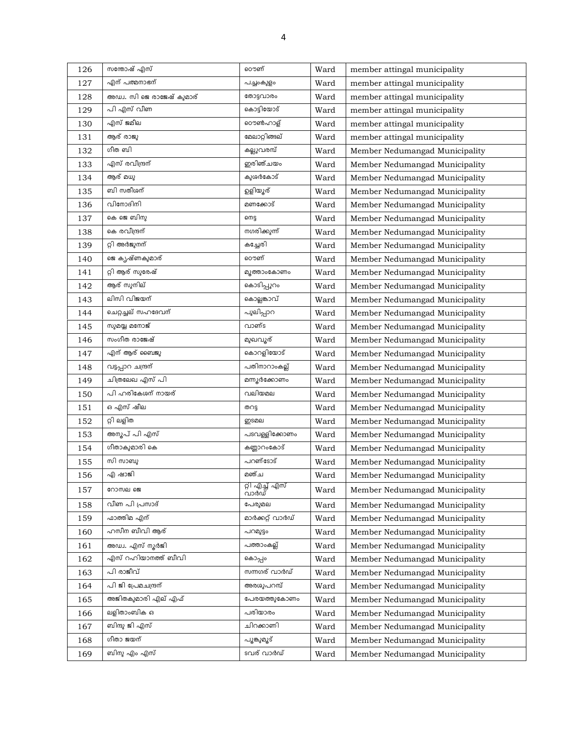| 126 | സന്തോഷ് എസ്               | ൌണ്                            | Ward | member attingal municipality   |
|-----|---------------------------|--------------------------------|------|--------------------------------|
| 127 | എന് പത്മനാഭന്             | പച്ചംകുളം                      | Ward | member attingal municipality   |
| 128 | അഡ്വ. സി ജെ രാജേഷ് കുമാര് | തോട്ടവാരം                      | Ward | member attingal municipality   |
| 129 | പി എസ് വീണ                | കൊട്ടിയോട്                     | Ward | member attingal municipality   |
| 130 | എസ് ജമീല                  | ൊൺഹാള്                         | Ward | member attingal municipality   |
| 131 | ആര് രാജു                  | മേലാറ്റിങ്ങല്                  | Ward | member attingal municipality   |
| 132 | ഗീത ബി                    | കല്ലുവരമ്പ്                    | Ward | Member Nedumangad Municipality |
| 133 | എസ് രവീന്ദ്രന്            | ഇരിഞ്ചയം                       | Ward | Member Nedumangad Municipality |
| 134 | ആര് മധു                   | കുശർകോട്                       | Ward | Member Nedumangad Municipality |
| 135 | ബി സതീശന്                 | ഉളിയൂര്                        | Ward | Member Nedumangad Municipality |
| 136 | വിനോദിനി                  | മണക്കോട്                       | Ward | Member Nedumangad Municipality |
| 137 | കെ ജെ ബിനു                | ണെടു                           | Ward | Member Nedumangad Municipality |
| 138 | കെ രവീന്ദ്രന്             | നഗരിക്കുന്ന്                   | Ward | Member Nedumangad Municipality |
| 139 | റ്റി അർജുനന്              | കച്ചേരി                        | Ward | Member Nedumangad Municipality |
| 140 | ജെ കൃഷ്ണകുമാര്            | ൌണ്                            | Ward | Member Nedumangad Municipality |
| 141 | റ്റി ആര് സുരേഷ്           | മുത്താംകോണം                    | Ward | Member Nedumangad Municipality |
| 142 | ആര് സുനില്                | കൊടിപ്പുറം                     | Ward | Member Nedumangad Municipality |
| 143 | ലിസി വിജയന്               | കൊല്ലങ്കാവ്                    | Ward | Member Nedumangad Municipality |
| 144 | ചെറ്റച്ചല് സഹദേവന്        | പുലിപ്പാറ                      | Ward | Member Nedumangad Municipality |
| 145 | സുമയ്യ മനോജ്              | വാണ്ട                          | Ward | Member Nedumangad Municipality |
| 146 | സംഗീത രാജേഷ്              | മുഖവൂര്                        | Ward | Member Nedumangad Municipality |
| 147 | എന് ആര് ബൈജു              | കൊറളിയോട്                      | Ward | Member Nedumangad Municipality |
| 148 | വട്ടപ്പാറ ചന്ദ്രന്        | പതിനാറാംകല്ല്                  | Ward | Member Nedumangad Municipality |
| 149 | ചിത്രലേഖ എസ് പി           | മന്നൂർക്കോണം                   | Ward | Member Nedumangad Municipality |
| 150 | പി ഹരികേശന് നായര്         | വലിയമല                         | Ward | Member Nedumangad Municipality |
| 151 | ഒ എസ് ഷീല                 | തറട്ട                          | Ward | Member Nedumangad Municipality |
| 152 | റ്റി ലളിത                 | ഇടമല                           | Ward | Member Nedumangad Municipality |
| 153 | അനൂപ് പി എസ്              | പടവള്ളിക്കോണം                  | Ward | Member Nedumangad Municipality |
| 154 | ഗീതാകുമാരി കെ             | കണ്ണാറംകോട്                    | Ward | Member Nedumangad Municipality |
| 155 | സി സാബു                   | പറണ്ടോട്                       | Ward | Member Nedumangad Municipality |
| 156 | എ ഷാജി                    | മഞ്ച                           | Ward | Member Nedumangad Municipality |
| 157 | റോസല ജെ                   | <i>റ്റി</i> എച്ച് എസ്<br>വാർഡ് | Ward | Member Nedumangad Municipality |
| 158 | വീണ പി പ്രസാദ്            | പേരുമല                         | Ward | Member Nedumangad Municipality |
| 159 | ഫാത്തിമ എന്               | മാർക്കറ്റ് വാർഡ്               | Ward | Member Nedumangad Municipality |
| 160 | ഹസീന ബീവി ആര്             | പറമുട്ടം                       | Ward | Member Nedumangad Municipality |
| 161 | അഡ്വ. എസ് നൂർജി           | പത്താംകല്ല്                    | Ward | Member Nedumangad Municipality |
| 162 | എസ് റഹിയാനത്ത് ബീവി       | കൊപ്പം                         | Ward | Member Nedumangad Municipality |
| 163 | പി രാജീവ്                 | സന്നഗര് വാർഡ്                  | Ward | Member Nedumangad Municipality |
| 164 | പി ജി പ്രേമചന്ദ്രന്       | അരശുപറമ്പ്                     | Ward | Member Nedumangad Municipality |
| 165 | അജിതകുമാരി എല് എഫ്        | പേരയത്തുകോണം                   | Ward | Member Nedumangad Municipality |
| 166 | ലളിതാംബിക ഒ               | പരിയാരം                        | Ward | Member Nedumangad Municipality |
| 167 | ബിന്ദു ജി എസ്             | ചിറക്കാണി                      | Ward | Member Nedumangad Municipality |
| 168 | ഗീതാ ജയന്                 | പൂങ്കുമൂട്                     | Ward | Member Nedumangad Municipality |
| 169 | ബിനു എം എസ്               | ടവര് വാർഡ്                     | Ward | Member Nedumangad Municipality |
|     |                           |                                |      |                                |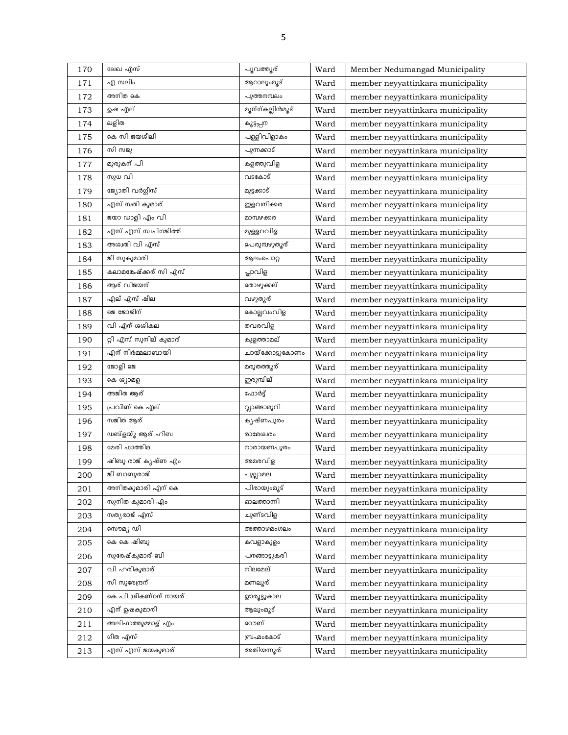| 170 | ലേഖ എസ്                | പൂവത്തൂര്        | Ward | Member Nedumangad Municipality    |
|-----|------------------------|------------------|------|-----------------------------------|
| 171 | എ സലിം                 | ആറാലുംമൂട്       | Ward | member neyyattinkara municipality |
| 172 | അനിത കെ                | പുത്തനമ്പലം      | Ward | member neyyattinkara municipality |
| 173 | ഉഷ എല്                 | മൂന്ന്കല്ലിൻമൂട് | Ward | member neyyattinkara municipality |
| 174 | ലളിത                   | കൂട്ടപ്പന        | Ward | member neyyattinkara municipality |
| 175 | കെ സി ജയശീലി           | പള്ളിവിളാകം      | Ward | member neyyattinkara municipality |
| 176 | സി സജു                 | പുന്നക്കാട്      | Ward | member neyyattinkara municipality |
| 177 | മുരുകന് പി             | കളത്തുവിള        | Ward | member neyyattinkara municipality |
| 178 | സുധ വി                 | വടകോട്           | Ward | member neyyattinkara municipality |
| 179 | ജ്യോതി വർഗ്ഗീസ്        | മുട്ടക്കാട്      | Ward | member neyyattinkara municipality |
| 180 | എസ് സതി കുമാര്         | ഇളവനിക്കര        | Ward | member neyyattinkara municipality |
| 181 | ജയാ ഡാളി എം വി         | മാമ്പഴക്കര       | Ward | member neyyattinkara municipality |
| 182 | എസ് എസ് സ്വപ്നജിത്ത്   | മുള്ളറവിള        | Ward | member neyyattinkara municipality |
| 183 | അശ്വതി വി എസ്          | പെരുമ്പഴുതുര്    | Ward | member neyyattinkara municipality |
| 184 | ജി സുകുമാരി            | ആലംപൊറ്റ         | Ward | member neyyattinkara municipality |
| 185 | കലാമങ്കേഷ്ക്കര് സി എസ് | പ്ലാവിള          | Ward | member neyyattinkara municipality |
| 186 | ആര് വിജയന്             | തൊഴുക്കല്        | Ward | member neyyattinkara municipality |
| 187 | എല് എസ് ഷീല            | വഴുതൂര്          | Ward | member neyyattinkara municipality |
| 188 | ຂ ຂອງສ໌ໄຕ້             | കൊല്ലവംവിള       | Ward | member neyyattinkara municipality |
| 189 | വി എന് ശശികല           | തവരവിള           | Ward | member neyyattinkara municipality |
| 190 | റ്റി എസ് സുനില് കുമാര് | കുളത്താമല്       | Ward | member neyyattinkara municipality |
| 191 | എന് നിർമ്മലാബായി       | ചായ്ക്കോട്ടുകോണം | Ward | member neyyattinkara municipality |
| 192 | ജോളി ജെ                | മരുതത്തുര്       | Ward | member neyyattinkara municipality |
| 193 | കെ ശ്യാമള              | ഇരുമ്പില്        | Ward | member neyyattinkara municipality |
| 194 | അജിത ആര്               | ഫോർട്ട്          | Ward | member neyyattinkara municipality |
| 195 | പ്രവീണ് കെ എല്         | വ്ലാങ്ങാമുറി     | Ward | member neyyattinkara municipality |
| 196 | സജിത ആര്               | കൃഷ്ണപുരം        | Ward | member neyyattinkara municipality |
| 197 | ഡബ്ളയ്ൂ ആര് ഹീബ        | രാമേശ്വരം        | Ward | member neyyattinkara municipality |
| 198 | മേരി ഫാത്തിമ           | നാരായണപുരം       | Ward | member neyyattinkara municipality |
| 199 | ഷിബു രാജ് കൃഷ്ണ എം     | അമരവിള           | Ward | member neyyattinkara municipality |
| 200 | ജി ബാബുരാജ്            | പുല്ലാമല         | Ward | member neyyattinkara municipality |
| 201 | അനിതകുമാരി എന് കെ      | പിരായുംമുട്      | Ward | member neyyattinkara municipality |
| 202 | സുനിത കുമാരി എം        | ഓലത്താന്നി       | Ward | member neyyattinkara municipality |
| 203 | സത്യരാജ് എസ്           | ചുണ്ടവിള         | Ward | member neyyattinkara municipality |
| 204 | സൌമ്യ ഡി               | അത്താഴമംഗലം      | Ward | member neyyattinkara municipality |
| 205 | കെ കെ ഷിബു             | കവളാകുളം         | Ward | member neyyattinkara municipality |
| 206 | സുരേഷ്കുമാര് ബി        | പനങ്ങാട്ടുകരി    | Ward | member neyyattinkara municipality |
| 207 | വി ഹരികുമാര്           | നിലമേല്          | Ward | member neyyattinkara municipality |
| 208 | സി സുരേന്ദ്രന്         | മണലൂര്           | Ward | member neyyattinkara municipality |
| 209 | കെ പി ശ്രീകണ്ഠന് നായര് | ഊരുട്ടുകാല       | Ward | member neyyattinkara municipality |
| 210 | എന് ഉഷകുമാരി           | ആലുംമൂട്         | Ward | member neyyattinkara municipality |
| 211 | അലിഫാത്തുമ്മാള് എം     | ൌണ്              | Ward | member neyyattinkara municipality |
| 212 | ഗീത എസ്                | ബ്രഹ്മംകോട്      | Ward | member neyyattinkara municipality |
| 213 | എസ് എസ് ജയകുമാര്       | അതിയന്നുര്       | Ward | member neyyattinkara municipality |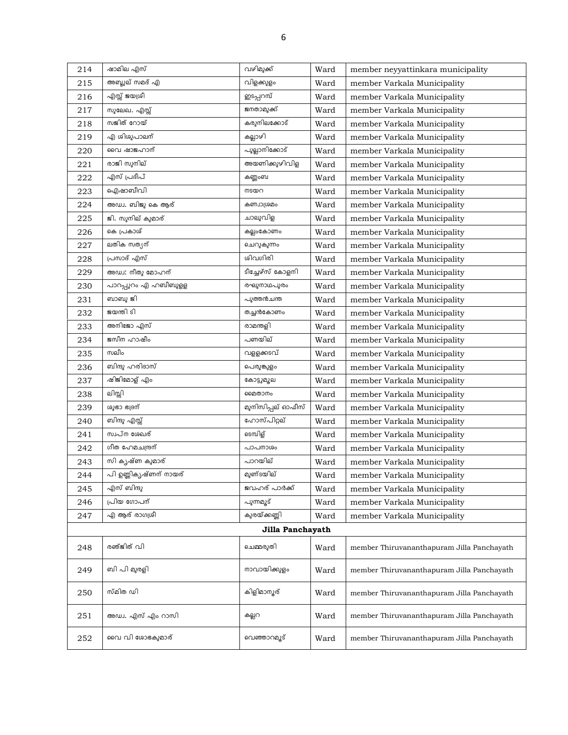| 214 | ഷാമില എസ്              | വഴിമുക്ക്         | Ward | member neyyattinkara municipality          |
|-----|------------------------|-------------------|------|--------------------------------------------|
| 215 | അബ്ദുല് സമദ് എ         | വിളക്കുളം         | Ward | member Varkala Municipality                |
| 216 | എസ്സ് ജയശ്രീ           | ഇടപ്പറമ്പ്        | Ward | member Varkala Municipality                |
| 217 | സുലേഖ. എസ്സ്           | ജനതാമുക്ക്        | Ward | member Varkala Municipality                |
| 218 | സജിത് റോയ്             | കരുനിലക്കോട്      | Ward | member Varkala Municipality                |
| 219 | എ ശിശൂപാലന്            | കല്ലാഴി           | Ward | member Varkala Municipality                |
| 220 | വൈ ഷാജഹാന്             | പുല്ലാനിക്കോട്    | Ward | member Varkala Municipality                |
| 221 | രാജി സുനില്            | അയണിക്കുഴിവിള     | Ward | member Varkala Municipality                |
| 222 | എസ് പ്രദീപ്            | കണ്ണംബ            | Ward | member Varkala Municipality                |
| 223 | ഐഷാബീവി                | നടയറ              | Ward | member Varkala Municipality                |
| 224 | അഡ്വ. ബിജു കെ ആര്      | കണ്വാശ്രമം        | Ward | member Varkala Municipality                |
| 225 | ജി. സുനില് കുമാര്      | ചാലുവിള           | Ward | member Varkala Municipality                |
| 226 | കെ പ്രകാശ്             | കല്ലംകോണം         | Ward | member Varkala Municipality                |
| 227 | ലതിക സത്യന്            | ചെറുകുന്നം        | Ward | member Varkala Municipality                |
| 228 | പ്രസാദ് എസ്            | ശിവഗിരി           | Ward | member Varkala Municipality                |
| 229 | അഡ്വ: നീതു മോഹന്       | ടീച്ചേഴ്സ് കോളനി  | Ward | member Varkala Municipality                |
| 230 | പാറപ്പുറം എ ഹബീബുളള    | രഘുനാഥപുരം        | Ward | member Varkala Municipality                |
| 231 | ബാബു ജി                | പുത്തൻചന്ത        | Ward | member Varkala Municipality                |
| 232 | ജയന്തി ടി              | തച്ചൻകോണം         | Ward | member Varkala Municipality                |
| 233 | അനിജോ എസ്              | രാമന്തളി          | Ward | member Varkala Municipality                |
| 234 | ജസീന ഹാഷീം             | പണയില്            | Ward | member Varkala Municipality                |
| 235 | സലീം                   | വളളക്കടവ്         | Ward | member Varkala Municipality                |
| 236 | ബിന്ദു ഹരിദാസ്         | പെരുങ്കുളം        | Ward | member Varkala Municipality                |
| 237 | ഷിജിമോള് എം            | കോട്ടുമുല         | Ward | member Varkala Municipality                |
| 238 | ലിസ്സി                 | മൈതാനം            | Ward | member Varkala Municipality                |
| 239 | ശുഭാ ഭദ്രന്            | മുനിസിപ്പല് ഓഫീസ് | Ward | member Varkala Municipality                |
| 240 | ബിന്ദു എസ്സ്           | ഹോസ്പിറ്റല്       | Ward | member Varkala Municipality                |
| 241 | സ്വപ്ന ശേഖര്           | ടെമ്പിള്          | Ward | member Varkala Municipality                |
| 242 | ഗീത ഹേമചന്ദ്രന്        | പാപനാശം           | Ward | member Varkala Municipality                |
| 243 | സി കൃഷ്ണ കുമാര്        | പാറയില്           | Ward | member Varkala Municipality                |
| 244 | പി ഉണ്ണിക്യഷ്ണന് നായര് | മുണ്ടയില്         | Ward | member Varkala Municipality                |
| 245 | എസ് ബിന്ദു             | ജവഹര് പാർക്ക്     | Ward | member Varkala Municipality                |
| 246 | പ്രിയ ഗോപന്            | പുന്നമുട്         | Ward | member Varkala Municipality                |
| 247 | എ ആര് രാഗശ്രീ          | കുരയ്ക്കണ്ണി      | Ward | member Varkala Municipality                |
|     |                        | Jilla Panchayath  |      |                                            |
| 248 | രഞ്ജിത് വി             | ചെമ്മരുതി         | Ward | member Thiruvananthapuram Jilla Panchayath |
| 249 | ബി പി മുരളി            | നാവായിക്കുളം      | Ward | member Thiruvananthapuram Jilla Panchayath |
| 250 | സ്മിത ഡി               | കിളിമാന്യര്       | Ward | member Thiruvananthapuram Jilla Panchayath |
| 251 | അഡ്വ. എസ് എം റാസി      | കല്ലറ             | Ward | member Thiruvananthapuram Jilla Panchayath |
| 252 | വൈ വി ശോഭകുമാര്        | വെഞ്ഞാറമൂട്       | Ward | member Thiruvananthapuram Jilla Panchayath |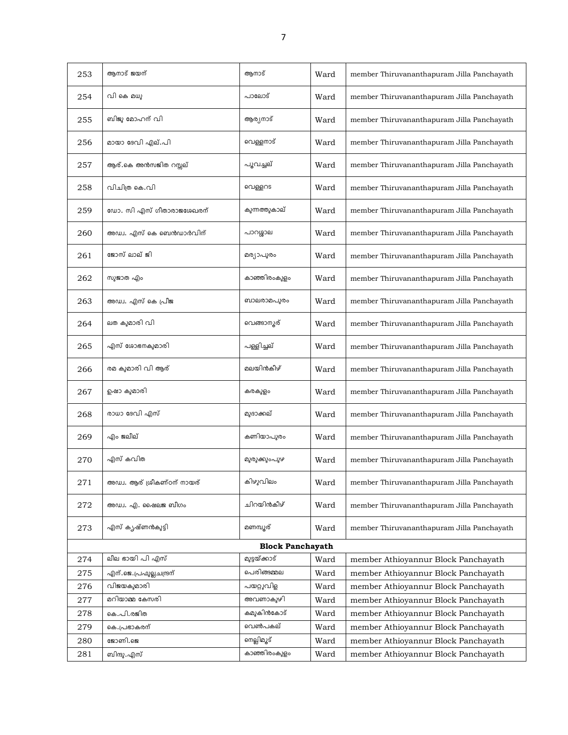| 253 | ആനാട് ജയന്                 | ആനാട്                   | Ward | member Thiruvananthapuram Jilla Panchayath |
|-----|----------------------------|-------------------------|------|--------------------------------------------|
| 254 | വി കെ മധു                  | പാലോട്                  | Ward | member Thiruvananthapuram Jilla Panchayath |
| 255 | ബിജു മോഹന് വി              | ആര്യനാട്                | Ward | member Thiruvananthapuram Jilla Panchayath |
| 256 | മായാ ദേവി എല്.പി           | വെള്ളനാട്               | Ward | member Thiruvananthapuram Jilla Panchayath |
| 257 | ആര്.കെ അൻസജിത റസ്സല്       | പൂവച്ചല്                | Ward | member Thiruvananthapuram Jilla Panchayath |
| 258 | വിചിത്ര കെ.വി              | വെള്ളറട                 | Ward | member Thiruvananthapuram Jilla Panchayath |
| 259 | ഡോ. സി എസ് ഗീതാരാജശേഖരന്   | കുന്നത്തുകാല്           | Ward | member Thiruvananthapuram Jilla Panchayath |
| 260 | അഡ്വ. എസ് കെ ബെൻഡാർവിന്    | പാറശ്ശാല                | Ward | member Thiruvananthapuram Jilla Panchayath |
| 261 | ജോസ് ലാല് ജി               | മര്യാപുരം               | Ward | member Thiruvananthapuram Jilla Panchayath |
| 262 | സുജാത എം                   | കാഞ്ഞിരംകുളം            | Ward | member Thiruvananthapuram Jilla Panchayath |
| 263 | അഡ്വ. എസ് കെ പ്രീജ         | ബാലരാമപുരം              | Ward | member Thiruvananthapuram Jilla Panchayath |
| 264 | ലത കുമാരി വി               | വെങ്ങാനൂര്              | Ward | member Thiruvananthapuram Jilla Panchayath |
| 265 | എസ് ശോഭനകുമാരി             | പള്ളിച്ചല്              | Ward | member Thiruvananthapuram Jilla Panchayath |
| 266 | രമ കുമാരി വി ആര്           | മലയിൻകീഴ്               | Ward | member Thiruvananthapuram Jilla Panchayath |
| 267 | ഉഷാ കുമാരി                 | കരകുളം                  | Ward | member Thiruvananthapuram Jilla Panchayath |
| 268 | രാധാ ദേവി എസ്              | മുദാക്കല്               | Ward | member Thiruvananthapuram Jilla Panchayath |
| 269 | എം ജലീല്                   | കണിയാപുരം               | Ward | member Thiruvananthapuram Jilla Panchayath |
| 270 | എസ് കവിത                   | മുരുക്കുംപുഴ            | Ward | member Thiruvananthapuram Jilla Panchayath |
| 271 | അഡ്വ. ആര് ശ്രീകണ്ഠന് നായര് | കിഴുവിലം                | Ward | member Thiruvananthapuram Jilla Panchayath |
| 272 | അഡ്വ. എ. ഷൈലജ ബീഗം         | ചിറയിൻകീഴ്              | Ward | member Thiruvananthapuram Jilla Panchayath |
| 273 | എസ് കൃഷ്ണൻകുട്ടി           | മണമ്പ്യൂര്              | Ward | member Thiruvananthapuram Jilla Panchayath |
|     |                            | <b>Block Panchayath</b> |      |                                            |
| 274 | ലീല ഭായി പി എസ്            | മുട്ടയ്ക്കാട്           | Ward | member Athioyannur Block Panchayath        |
| 275 | എന്.ജെ.പ്രഫുല്ലചന്ദ്രന്    | പെരിങ്ങമ്മല             | Ward | member Athioyannur Block Panchayath        |
| 276 | വിജയകുമാരി                 | പയറ്റുവിള               | Ward | member Athioyannur Block Panchayath        |
| 277 | മറിയാമ്മ കേസരി             | അവണാകുഴി                | Ward | member Athioyannur Block Panchayath        |
| 278 | കെ.പി.രജിത                 | കമുകിൻകോട്              | Ward | member Athioyannur Block Panchayath        |
| 279 | കെ.പ്രഭാകരന്               | വെൺപകല്                 | Ward | member Athioyannur Block Panchayath        |
| 280 | ജോണി.ജെ                    | നെല്ലിമൂട്              | Ward | member Athioyannur Block Panchayath        |
| 281 | ബിന്ദു.എസ്                 | കാഞ്ഞിരംകുളം            | Ward | member Athioyannur Block Panchayath        |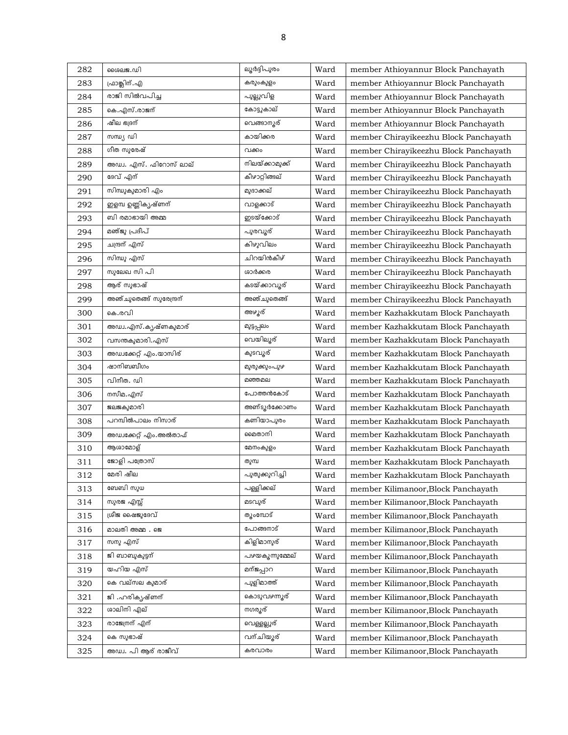| 282 | ശൈലജ.ഡി                 | ലൂർദ്ദിപുരം     | Ward | member Athioyannur Block Panchayath   |
|-----|-------------------------|-----------------|------|---------------------------------------|
| 283 | ഫ്രാങ്ക്ലിന്. എ         | കരുംകുളം        | Ward | member Athioyannur Block Panchayath   |
| 284 | രാജി സിൽവപിച്ച          | പുല്ലുവിള       | Ward | member Athioyannur Block Panchayath   |
| 285 | കെ.എസ്.രാജന്            | കോട്ടുകാല്      | Ward | member Athioyannur Block Panchayath   |
| 286 | ഷീല ഭദ്രന്              | വെങ്ങാനൂര്      | Ward | member Athioyannur Block Panchayath   |
| 287 | സന്ധ്യ ഡി               | കായിക്കര        | Ward | member Chirayikeezhu Block Panchayath |
| 288 | ഗീത സുരേഷ്              | വക്കം           | Ward | member Chirayikeezhu Block Panchayath |
| 289 | അഡ്വ. എസ്. ഫിറോസ് ലാല്  | നിലയ്ക്കാമുക്ക് | Ward | member Chirayikeezhu Block Panchayath |
| 290 | ദേവ് എന്                | കീഴാറ്റിങ്ങല്   | Ward | member Chirayikeezhu Block Panchayath |
| 291 | സിന്ധുകുമാരി എം         | മുദാക്കല്       | Ward | member Chirayikeezhu Block Panchayath |
| 292 | ഇളമ്പ ഉണ്ണികൃഷ്ണന്      | വാളക്കാട്       | Ward | member Chirayikeezhu Block Panchayath |
| 293 | ബി രമാഭായി അമ്മ         | ഇടയ്ക്കോട്      | Ward | member Chirayikeezhu Block Panchayath |
| 294 | മഞ്ജു പ്രദീപ്           | പുരവൂര്         | Ward | member Chirayikeezhu Block Panchayath |
| 295 | ചന്ദ്രന് എസ്            | കിഴുവിലം        | Ward | member Chirayikeezhu Block Panchayath |
| 296 | സിന്ധു എസ്              | ചിറയിൻകീഴ്      | Ward | member Chirayikeezhu Block Panchayath |
| 297 | സുലേഖ സി പി             | ശാർക്കര         | Ward | member Chirayikeezhu Block Panchayath |
| 298 | ആര് സുഭാഷ്              | കടയ്ക്കാവൂര്    | Ward | member Chirayikeezhu Block Panchayath |
| 299 | അഞ്ചുതെങ്ങ് സുരേന്ദ്രന് | അഞ്ചുതെങ്ങ്     | Ward | member Chirayikeezhu Block Panchayath |
| 300 | കെ.രവി                  | അഴ്ചര്          | Ward | member Kazhakkutam Block Panchayath   |
| 301 | അഡ്വ.എസ്.കൃഷ്ണകുമാര്    | മുട്ടപ്പലം      | Ward | member Kazhakkutam Block Panchayath   |
| 302 | വസന്തകുമാരി.എസ്         | വെയിലൂര്        | Ward | member Kazhakkutam Block Panchayath   |
| 303 | അഡ്വക്കേറ്റ് എം.യാസിര്  | കുടവൂര്         | Ward | member Kazhakkutam Block Panchayath   |
| 304 | ഷാനിബബീഗം               | മുരുക്കുംപുഴ    | Ward | member Kazhakkutam Block Panchayath   |
| 305 | വിനീത. ഡി               | മഞ്ഞമല          | Ward | member Kazhakkutam Block Panchayath   |
| 306 | നസീമ.എസ്                | പോത്തൻകോട്      | Ward | member Kazhakkutam Block Panchayath   |
| 307 | ജലജകുമാരി               | അണ്ടുർക്കോണം    | Ward | member Kazhakkutam Block Panchayath   |
| 308 | പറമ്പിൽപാലം നിസാര്      | കണിയാപുരം       | Ward | member Kazhakkutam Block Panchayath   |
| 309 | അഡ്വക്കേറ്റ് എം.അൽതാഫ്  | മൈതാനി          | Ward | member Kazhakkutam Block Panchayath   |
| 310 | ആശാമോള്                 | മേനംകുളം        | Ward | member Kazhakkutam Block Panchayath   |
| 311 | ജോളി പത്രോസ്            | തുമ്പ           | Ward | member Kazhakkutam Block Panchayath   |
| 312 | മേരി ഷീല                | പുതുക്കുറിച്ചി  | Ward | member Kazhakkutam Block Panchayath   |
| 313 | ബേബി സുധ                | പള്ളിക്കല്      | Ward | member Kilimanoor, Block Panchayath   |
| 314 | സുരജ എസ്സ്              | മടവുര്          | Ward | member Kilimanoor, Block Panchayath   |
| 315 | ശ്രീജ ഷൈജുദേവ്          | തുംമ്പോട്       | Ward | member Kilimanoor, Block Panchayath   |
| 316 | മാലതി അമ്മ . ജെ         | പോങ്ങനാട്       | Ward | member Kilimanoor, Block Panchayath   |
| 317 | സനു എസ്                 | കിളിമാനുര്      | Ward | member Kilimanoor, Block Panchayath   |
| 318 | ജി ബാബുകൂട്ടന്          | പഴയകുന്നുമ്മേല് | Ward | member Kilimanoor, Block Panchayath   |
| 319 | യഹിയ എസ്                | മന്ജപ്പാറ       | Ward | member Kilimanoor, Block Panchayath   |
| 320 | കെ വല്സല കുമാര്         | പുളിമാത്ത്      | Ward | member Kilimanoor, Block Panchayath   |
| 321 | ജി .ഹരികൃഷ്ണന്          | കൊടുവഴന്നുര്    | Ward | member Kilimanoor, Block Panchayath   |
| 322 | ശാലിനി എല്              | നഗരൂര്          | Ward | member Kilimanoor, Block Panchayath   |
| 323 | രാജേന്ത്ര എന്           | വെള്ളല്ലൂര്     | Ward | member Kilimanoor, Block Panchayath   |
| 324 | കെ സുഭാഷ്               | വന്ചിയൂര്       | Ward | member Kilimanoor, Block Panchayath   |
| 325 | അഡ്വ. പി ആര് രാജീവ്     | കരവാരം          | Ward | member Kilimanoor, Block Panchayath   |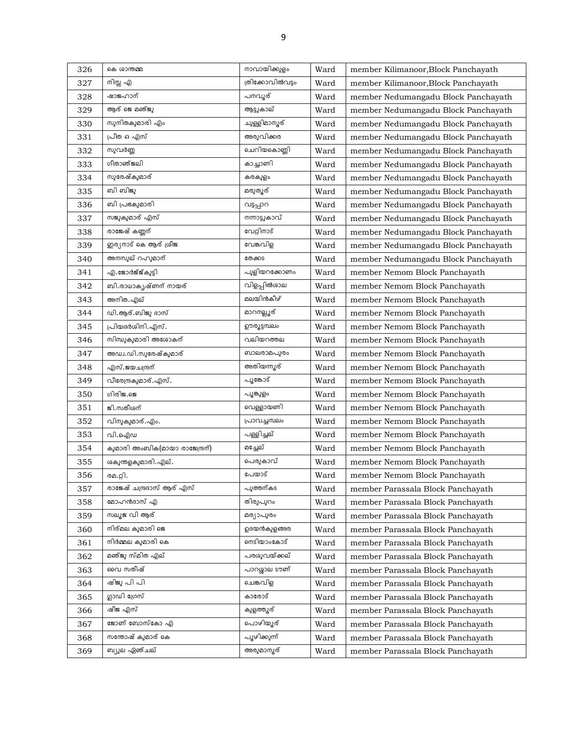| 326 | കെ ശാന്തമ്മ                    | നാവായിക്കുളം     | Ward | member Kilimanoor, Block Panchayath |
|-----|--------------------------------|------------------|------|-------------------------------------|
| 327 | നിസ്സ എ                        | ത്രിക്കോവിൽവട്ടം | Ward | member Kilimanoor, Block Panchayath |
| 328 | ഷാജഹാന്                        | പനവൂര്           | Ward | member Nedumangadu Block Panchayath |
| 329 | ആര് ജെ മഞ്ജു                   | ആട്ടുകാല്        | Ward | member Nedumangadu Block Panchayath |
| 330 | സുനിതകുമാരി എം                 | ചുള്ളിമാന്യൂര്   | Ward | member Nedumangadu Block Panchayath |
| 331 | പ്രീത ഒ എസ്                    | അരുവിക്കര        | Ward | member Nedumangadu Block Panchayath |
| 332 | സുവർണ്ണ                        | ചെറിയകൊണ്ണി      | Ward | member Nedumangadu Block Panchayath |
| 333 | ഗീതാഞ്ജലി                      | കാച്ചാണി         | Ward | member Nedumangadu Block Panchayath |
| 334 | സുരേഷ്കുമാര്                   | കരകുളം           | Ward | member Nedumangadu Block Panchayath |
| 335 | ബി ബിജു                        | മരുത്യര്         | Ward | member Nedumangadu Block Panchayath |
| 336 | ബി പ്രഭകുമാരി                  | വട്ടപ്പാറ        | Ward | member Nedumangadu Block Panchayath |
| 337 | സജുകുമാര് എസ്                  | നന്നാട്ടുകാവ്    | Ward | member Nedumangadu Block Panchayath |
| 338 | രാജേഷ് കണ്ണന്                  | വേറ്റിനാട്       | Ward | member Nedumangadu Block Panchayath |
| 339 | ഇര്യനാട് കെ ആര് ശ്രീജ          | വേങ്കവിള         | Ward | member Nedumangadu Block Panchayath |
| 340 | അനസൂല് റഹുമാന്                 | തേക്കട           | Ward | member Nedumangadu Block Panchayath |
| 341 | എ.ജോർജ്ജ്കുട്ടി                | പുളിയറക്കോണം     | Ward | member Nemom Block Panchayath       |
| 342 | ബി.രാധാകൃഷ്ണന് നായര്           | വിളപ്പിൽശാല      | Ward | member Nemom Block Panchayath       |
| 343 | അനിത.എല്                       | മലയിൻകീഴ്        | Ward | member Nemom Block Panchayath       |
| 344 | ഡി.ആര്.ബിജു ദാസ്               | മാറനല്ലൂര്       | Ward | member Nemom Block Panchayath       |
| 345 | പ്രിയദർശിനി.എസ്.               | ഊരുട്ടമ്പലം      | Ward | member Nemom Block Panchayath       |
| 346 | സിന്ധുകുമാരി അശോകന്            | വലിയറത്തല        | Ward | member Nemom Block Panchayath       |
| 347 | അഡ്വ.ഡി.സുരേഷ്കുമാര്           | ബാലരാമപുരം       | Ward | member Nemom Block Panchayath       |
| 348 | എസ്.ജയചന്ദ്രന്                 | അതിയന്നുര്       | Ward | member Nemom Block Panchayath       |
| 349 | വീരേന്ദ്രകുമാര്.എസ്.           | പൂങ്കോട്         | Ward | member Nemom Block Panchayath       |
| 350 | ഗിരിജ.ജെ                       | പൂങ്കുളം         | Ward | member Nemom Block Panchayath       |
| 351 | ജി.സതീശന്                      | വെള്ളായണി        | Ward | member Nemom Block Panchayath       |
| 352 | വിനുകുമാര്.എം.                 | പ്രാവച്ചമ്പലം    | Ward | member Nemom Block Panchayath       |
| 353 | വി.ഐഡ                          | പള്ളിച്ചല്       | Ward | member Nemom Block Panchayath       |
| 354 | കുമാരി അംബിക(മായാ രാജേന്ദ്രന്) | മച്ചേല്          | Ward | member Nemom Block Panchayath       |
| 355 | ശകുന്തളകുമാരി. എല്.            | പെരുകാവ്         | Ward | member Nemom Block Panchayath       |
| 356 | രമ.റ്റി.                       | പേയാട്           | Ward | member Nemom Block Panchayath       |
| 357 | രാജേഷ് ചന്ദ്രദാസ് ആര് എസ്      | പുത്തന്കട        | Ward | member Parassala Block Panchayath   |
| 358 | മോഹൻദാസ് എ                     | തിരുപുറം         | Ward | member Parassala Block Panchayath   |
| 359 | സലൂജ വി ആര്                    | മര്യാപുരം        | Ward | member Parassala Block Panchayath   |
| 360 | നിര്മല കുമാരി ജെ               | ഉദയൻകുളങ്ങര      | Ward | member Parassala Block Panchayath   |
| 361 | നിർമ്മല കുമാരി കെ              | നെടിയാംകോട്      | Ward | member Parassala Block Panchayath   |
| 362 | മഞ്ജു സ്മിത എല്                | പരശുവയ്ക്കല്     | Ward | member Parassala Block Panchayath   |
| 363 | വൈ സതീഷ്                       | പാറശ്ശാല ടൗണ്    | Ward | member Parassala Block Panchayath   |
| 364 | ഷിജു പി പി                     | ചെങ്കവിള         | Ward | member Parassala Block Panchayath   |
| 365 | ഗ്ലാഡി ഗ്രേസ്                  | കാരോട്           | Ward | member Parassala Block Panchayath   |
| 366 | ഷീജ എസ്                        | കുളത്ത്യര്       | Ward | member Parassala Block Panchayath   |
| 367 | ജോണ് ബോസ്കോ എ                  | പൊഴിയൂര്         | Ward | member Parassala Block Panchayath   |
| 368 | സന്തോഷ് കുമാര് കെ              | പൂഴിക്കുന്ന്     | Ward | member Parassala Block Panchayath   |
| 369 | ബ്യുല ഏഞ്ചല്                   | അരുമാന്യര്       | Ward | member Parassala Block Panchayath   |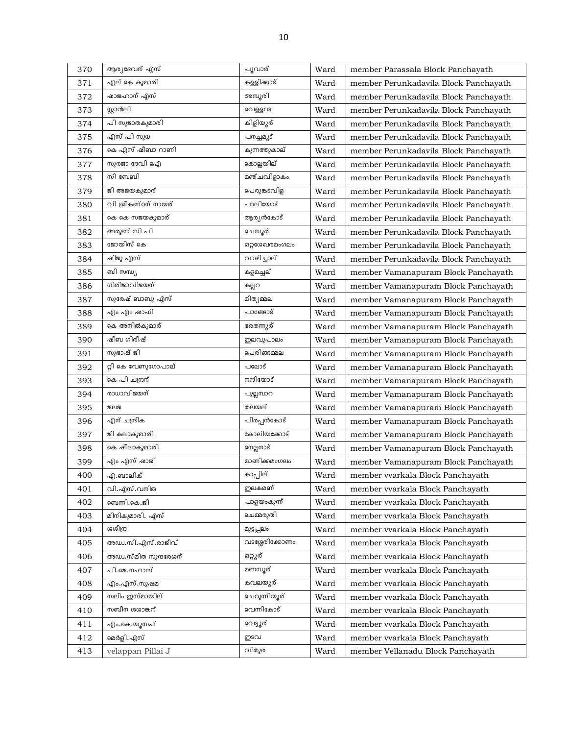| 370 | ആര്യദേവന് എസ്         | പൂവാര്         | Ward | member Parassala Block Panchayath     |
|-----|-----------------------|----------------|------|---------------------------------------|
| 371 | എല് കെ കുമാരി         | കള്ളിക്കാട്    | Ward | member Perunkadavila Block Panchayath |
| 372 | ഷാജഹാന് എസ്           | അമ്പൂരി        | Ward | member Perunkadavila Block Panchayath |
| 373 | സ്റ്റാൻലി             | വെള്ളറട        | Ward | member Perunkadavila Block Panchayath |
| 374 | പി സുജാതകുമാരി        | കിളിയൂര്       | Ward | member Perunkadavila Block Panchayath |
| 375 | എസ് പി സുധ            | പനച്ചമൂട്      | Ward | member Perunkadavila Block Panchayath |
| 376 | കെ എസ് ഷീബാ റാണി      | കുന്നത്തുകാല്  | Ward | member Perunkadavila Block Panchayath |
| 377 | സുരജാ ദേവി ഐ          | കൊല്ലയില്      | Ward | member Perunkadavila Block Panchayath |
| 378 | സി ബേബി               | മഞ്ചവിളാകം     | Ward | member Perunkadavila Block Panchayath |
| 379 | ജി അജയകുമാര്          | പെരുങ്കടവിള    | Ward | member Perunkadavila Block Panchayath |
| 380 | വി ശ്രീകണ്ഠന് നായര്   | പാലിയോട്       | Ward | member Perunkadavila Block Panchayath |
| 381 | കെ കെ സജയകുമാര്       | ആര്യൻകോട്      | Ward | member Perunkadavila Block Panchayath |
| 382 | അരുണ് സി പി           | ചെമ്പൂര്       | Ward | member Perunkadavila Block Panchayath |
| 383 | ജോയിസ് കെ             | ഒറ്റശേഖരമംഗലം  | Ward | member Perunkadavila Block Panchayath |
| 384 | ഷിജു എസ്              | വാഴിച്ചാല്     | Ward | member Perunkadavila Block Panchayath |
| 385 | ബി സന്ധ്യ             | കളമച്ചല്       | Ward | member Vamanapuram Block Panchayath   |
| 386 | ഗിരിജാവിജയന്          | കല്ലറ          | Ward | member Vamanapuram Block Panchayath   |
| 387 | സുരേഷ് ബാബു എസ്       | മിത്യമ്മല      | Ward | member Vamanapuram Block Panchayath   |
| 388 | എം എം ഷാഫി            | പാങ്ങോട്       | Ward | member Vamanapuram Block Panchayath   |
| 389 | കെ അനിൽകുമാര്         | ഭരതന്നുര്      | Ward | member Vamanapuram Block Panchayath   |
| 390 | ഷീബ ഗിരീഷ്            | ഇലവുപാലം       | Ward | member Vamanapuram Block Panchayath   |
| 391 | സുഭാഷ് ജി             | പെരിങ്ങമ്മല    | Ward | member Vamanapuram Block Panchayath   |
| 392 | റ്റി കെ വേണുഗോപാല്    | പലോട്          | Ward | member Vamanapuram Block Panchayath   |
| 393 | കെ പി ചന്ദ്രന്        | നന്ദിയോട്      | Ward | member Vamanapuram Block Panchayath   |
| 394 | രാധാവിജയന്            | പുല്ലമ്പാറ     | Ward | member Vamanapuram Block Panchayath   |
| 395 | <b>SAR</b>            | തലയല്          | Ward | member Vamanapuram Block Panchayath   |
| 396 | എന് ചന്ദ്രിക          | പിരപ്പൻകോട്    | Ward | member Vamanapuram Block Panchayath   |
| 397 | ജി കലാകുമാരി          | കോലിയക്കോട്    | Ward | member Vamanapuram Block Panchayath   |
| 398 | കെ ഷീലാകുമാരി         | നെല്ലനാട്      | Ward | member Vamanapuram Block Panchayath   |
| 399 | എം എസ് ഷാജി           | മാണിക്കമംഗലം   | Ward | member Vamanapuram Block Panchayath   |
| 400 | എ.ബാലിക്              | കാപ്പില്       | Ward | member vvarkala Block Panchayath      |
| 401 | വി.എസ്.വനിത           | ഇലകമണ്         | Ward | member vvarkala Block Panchayath      |
| 402 | ബെന്നി.കെ.ജി          | പാളയംകുന്ന്    | Ward | member vvarkala Block Panchayath      |
| 403 | മിനികുമാരി. എസ്       | ചെമ്മരുതി      | Ward | member vvarkala Block Panchayath      |
| 404 | ന്ദ്വീന്ദ്ര           | മുട്ടപ്പലം     | Ward | member vvarkala Block Panchayath      |
| 405 | അഡ്വ.സി.എസ്.രാജീവ്    | വടശ്ശേരിക്കോണം | Ward | member vvarkala Block Panchayath      |
| 406 | അഡ്വ.സ്മിത സുന്ദരേശന് | ഒറ്റൂര്        | Ward | member vvarkala Block Panchayath      |
| 407 | പി.ജെ.നഹാസ്           | മണമ്പ്യൂര്     | Ward | member vvarkala Block Panchayath      |
| 408 | എം.എസ്.സുഷമ           | കവലയൂര്        | Ward | member vvarkala Block Panchayath      |
| 409 | സലീം ഇസ്മായില്        | ചെറുന്നിയൂര്   | Ward | member vvarkala Block Panchayath      |
| 410 | സബീന ശശാങ്കന്         | വെന്നികോട്     | Ward | member vvarkala Block Panchayath      |
| 411 | എം.കെ.യൂസഫ്           | വെട്ടൂര്       | Ward | member vvarkala Block Panchayath      |
| 412 | മെർളി.എസ്             | ഇടവ            | Ward | member vvarkala Block Panchayath      |
| 413 | velappan Pillai J     | വിതുര          | Ward | member Vellanadu Block Panchayath     |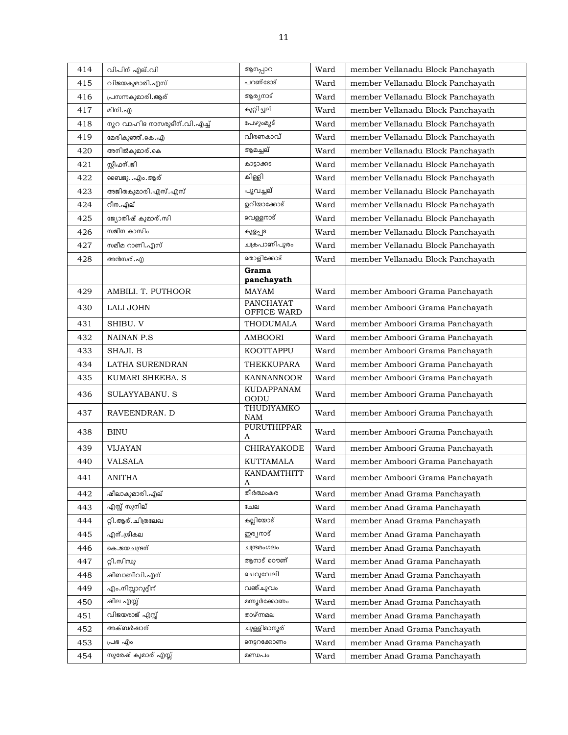| 414 | വിപിന് എല്.വി                | ആനപ്പാറ                          | Ward | member Vellanadu Block Panchayath |
|-----|------------------------------|----------------------------------|------|-----------------------------------|
| 415 | വിജയകുമാരി.എസ്               | പറണ്ടോട്                         | Ward | member Vellanadu Block Panchayath |
| 416 | പ്രസന്നകുമാരി.ആര്            | ആര്യനാട്                         | Ward | member Vellanadu Block Panchayath |
| 417 | മിനി.എ                       | കുറ്റിച്ചല്                      | Ward | member Vellanadu Block Panchayath |
| 418 | നൂറ വാഹിദ നാസരുദീന്.വി.എച്ച് | പേഴുംമൂട്                        | Ward | member Vellanadu Block Panchayath |
| 419 | മേരികുഞ്ഞ്.കെ.എ              | വീരണകാവ്                         | Ward | member Vellanadu Block Panchayath |
| 420 | അനിൽകുമാര്.കെ                | ആമച്ചല്                          | Ward | member Vellanadu Block Panchayath |
| 421 | സ്റ്റീഫന്.ജി                 | കാട്ടാക്കട                       | Ward | member Vellanadu Block Panchayath |
| 422 | ബൈജു…എം.ആര്                  | കിള്ളി                           | Ward | member Vellanadu Block Panchayath |
| 423 | അജിതകുമാരി.എസ്.എസ്           | പൂവച്ചല്                         | Ward | member Vellanadu Block Panchayath |
| 424 | റീന.എല്                      | ഉറിയാക്കോട്                      | Ward | member Vellanadu Block Panchayath |
| 425 | ജ്യോതിഷ് കുമാര്.സി           | വെള്ളനാട്                        | Ward | member Vellanadu Block Panchayath |
| 426 | സജീന കാസിം                   | കുളപ്പട                          | Ward | member Vellanadu Block Panchayath |
| 427 | സമീമ റാണി.എസ്                | ചക്രപാണിപുരം                     | Ward | member Vellanadu Block Panchayath |
| 428 | അൻസര്. എ                     | തൊളിക്കോട്                       | Ward | member Vellanadu Block Panchayath |
|     |                              | Grama<br>panchayath              |      |                                   |
| 429 | AMBILI. T. PUTHOOR           | <b>MAYAM</b>                     | Ward | member Amboori Grama Panchayath   |
| 430 | LALI JOHN                    | <b>PANCHAYAT</b><br>OFFICE WARD  | Ward | member Amboori Grama Panchayath   |
| 431 | SHIBU. V                     | THODUMALA                        | Ward | member Amboori Grama Panchayath   |
| 432 | <b>NAINAN P.S</b>            | <b>AMBOORI</b>                   | Ward | member Amboori Grama Panchayath   |
| 433 | SHAJI. B                     | <b>KOOTTAPPU</b>                 | Ward | member Amboori Grama Panchayath   |
| 434 | LATHA SURENDRAN              | THEKKUPARA                       | Ward | member Amboori Grama Panchayath   |
| 435 | KUMARI SHEEBA. S             | KANNANNOOR                       | Ward | member Amboori Grama Panchayath   |
| 436 | SULAYYABANU. S               | <b>KUDAPPANAM</b><br><b>OODU</b> | Ward | member Amboori Grama Panchayath   |
| 437 | RAVEENDRAN. D                | THUDIYAMKO<br><b>NAM</b>         | Ward | member Amboori Grama Panchayath   |
| 438 | <b>BINU</b>                  | <b>PURUTHIPPAR</b><br>A          | Ward | member Amboori Grama Panchayath   |
| 439 | <b>VIJAYAN</b>               | CHIRAYAKODE                      | Ward | member Amboori Grama Panchayath   |
| 440 | <b>VALSALA</b>               | <b>KUTTAMALA</b>                 | Ward | member Amboori Grama Panchayath   |
| 441 | <b>ANITHA</b>                | KANDAMTHITT<br>A                 | Ward | member Amboori Grama Panchayath   |
| 442 | ഷീലാകുമാരി.എല്               | തീർത്ഥംകര                        | Ward | member Anad Grama Panchayath      |
| 443 | എസ്സ് സുനില്                 | ചേല                              | Ward | member Anad Grama Panchayath      |
| 444 | റ്റി.ആര്.ചിത്രലേഖ            | കല്ലിയോട്                        | Ward | member Anad Grama Panchayath      |
| 445 | എന്.ശ്രീകല                   | ഇര്യനാട്                         | Ward | member Anad Grama Panchayath      |
| 446 | കെ.ജയചന്ദ്രന്                | ചന്ദ്രമംഗലം                      | Ward | member Anad Grama Panchayath      |
| 447 | റ്റി.സിന്ധു                  | അനാട് ഠൌണ്                       | Ward | member Anad Grama Panchayath      |
| 448 | ഷീബാബീവി.എന്                 | ചെറുവേലി                         | Ward | member Anad Grama Panchayath      |
| 449 | എം.നിസ്സാറുദ്ദീന്            | വഞ്ചുവം                          | Ward | member Anad Grama Panchayath      |
| 450 | ഷീല എസ്സ്                    | മന്നൂർക്കോണം                     | Ward | member Anad Grama Panchayath      |
| 451 | വിജയരാജ് എസ്സ്               | താഴ്ന്നമല                        | Ward | member Anad Grama Panchayath      |
| 452 | അക്ബർഷാന്                    | ചുള്ളിമാന്മര്                    | Ward | member Anad Grama Panchayath      |
| 453 | പ്രഭ എം                      | നെട്ടറക്കോണം                     | Ward | member Anad Grama Panchayath      |
| 454 | സുരേഷ് കുമാര് എസ്സ്          | മണ്ഡപം                           | Ward | member Anad Grama Panchayath      |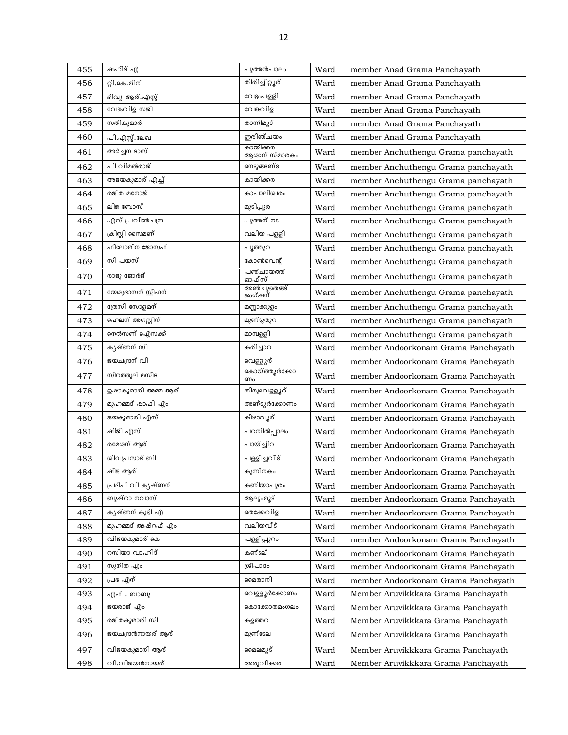| 455 | ഷഹീദ് എ             | പുത്തൻപാലം                | Ward | member Anad Grama Panchayath        |
|-----|---------------------|---------------------------|------|-------------------------------------|
| 456 | റ്റി.കെ.മിനി        | തിരിച്ചിറ്റൂര്            | Ward | member Anad Grama Panchayath        |
| 457 | ദിവ്യ ആര്.എസ്സ്     | വേട്ടംപള്ളി               | Ward | member Anad Grama Panchayath        |
| 458 | വേങ്കവിള സജി        | വേങ്കവിള                  | Ward | member Anad Grama Panchayath        |
| 459 | സതികുമാര്           | താന്നിമൂട്                | Ward | member Anad Grama Panchayath        |
| 460 | പി.എസ്സ്.ലേഖ        | ഇരിഞ്ചയം                  | Ward | member Anad Grama Panchayath        |
| 461 | അർച്ചന ദാസ്         | കായിക്കര<br>ആശാന് സ്മാരകം | Ward | member Anchuthengu Grama panchayath |
| 462 | പി വിമൽരാജ്         | നെടുങ്ങണ്ട                | Ward | member Anchuthengu Grama panchayath |
| 463 | അജയകുമാര് എച്ച്     | കായിക്കര                  | Ward | member Anchuthengu Grama panchayath |
| 464 | രജിത മനോജ്          | കാപാലീശ്വരം               | Ward | member Anchuthengu Grama panchayath |
| 465 | ലിജ ബോസ്            | മുടിപ്പുര                 | Ward | member Anchuthengu Grama panchayath |
| 466 | എസ് പ്രവീൺചന്ദ്ര    | പുത്തന് നട                | Ward | member Anchuthengu Grama panchayath |
| 467 | ക്രിസ്റ്റി സൈമണ്    | വലിയ പള്ളി                | Ward | member Anchuthengu Grama panchayath |
| 468 | ഫിലോമിന ജോസഫ്       | പുത്തുറ                   | Ward | member Anchuthengu Grama panchayath |
| 469 | സി പയസ്             | കോൺവെന്റ്                 | Ward | member Anchuthengu Grama panchayath |
| 470 | രാജു ജോർജ്          | പഞ്ചായത്ത്<br>ഓഫീസ്       | Ward | member Anchuthengu Grama panchayath |
| 471 | യേശുദാസന് സ്റ്റീഫന് | അഞ്ചുതെങ്ങ്<br>ജംഗ്ഷന്    | Ward | member Anchuthengu Grama panchayath |
| 472 | ത്രേസി സോളമന്       | മണ്ണാക്കുളം               | Ward | member Anchuthengu Grama panchayath |
| 473 | ഹെലന് അഗസ്റ്റിന്    | മുണ്ടുതുറ                 | Ward | member Anchuthengu Grama panchayath |
| 474 | നെൽസണ് ഐസക്ക്       | മാമ്പളളി                  | Ward | member Anchuthengu Grama panchayath |
| 475 | കൃഷ്ണന് സി          | കരിച്ചാറ                  | Ward | member Andoorkonam Grama Panchayath |
| 476 | ജയചന്ദ്രന് വി       | വെള്ളൂര്                  | Ward | member Andoorkonam Grama Panchayath |
| 477 | സീനത്തുല് മസീദ      | കൊയ്ത്തുർക്കോ<br>ണം       | Ward | member Andoorkonam Grama Panchayath |
| 478 | ഉഷാകുമാരി അമ്മ ആര്  | തിരുവെള്ളൂര്              | Ward | member Andoorkonam Grama Panchayath |
| 479 | മുഹമ്മദ് ഷാഫി എം    | അണ്ടുർക്കോണം              | Ward | member Andoorkonam Grama Panchayath |
| 480 | ജയകുമാരി എസ്        | കീഴാവൂര്                  | Ward | member Andoorkonam Grama Panchayath |
| 481 | ഷിജി എസ്            | പറമ്പിൽപ്പാലം             | Ward | member Andoorkonam Grama Panchayath |
| 482 | രമേശന് ആര്          | പായ്ച്ചിറ                 | Ward | member Andoorkonam Grama Panchayath |
| 483 | ശിവപ്രസാദ് ബി       | പള്ളിച്ചവീട്              | Ward | member Andoorkonam Grama Panchayath |
| 484 | ഷീജ ആര്             | കുന്നിനകം                 | Ward | member Andoorkonam Grama Panchayath |
| 485 | പ്രദീപ് വി കൃഷ്ണന്  | കണിയാപുരം                 | Ward | member Andoorkonam Grama Panchayath |
| 486 | ബുഷ്റാ നവാസ്        | ആലുംമൂട്                  | Ward | member Andoorkonam Grama Panchayath |
| 487 | കൃഷ്ണന് കൂട്ടി എ    | തെക്കേവിള                 | Ward | member Andoorkonam Grama Panchayath |
| 488 | മുഹമ്മദ് അഷ്റഫ് എം  | വലിയവീട്                  | Ward | member Andoorkonam Grama Panchayath |
| 489 | വിജയകുമാര് കെ       | പള്ളിപ്പുറം               | Ward | member Andoorkonam Grama Panchayath |
| 490 | റസിയാ വാഹിദ്        | കണ്ടല്                    | Ward | member Andoorkonam Grama Panchayath |
| 491 | സുനിത എം            | ശ്രീപാദം                  | Ward | member Andoorkonam Grama Panchayath |
| 492 | പ്രഭ എന്            | മൈതാനി                    | Ward | member Andoorkonam Grama Panchayath |
| 493 | എഫ് . ബാബു          | വെള്ളൂർക്കോണം             | Ward | Member Aruvikkkara Grama Panchayath |
| 494 | ജയരാജ് എം           | കൊക്കോതമംഗലം              | Ward | Member Aruvikkkara Grama Panchayath |
| 495 | രജിതകുമാരി സി       | കളത്തറ                    | Ward | Member Aruvikkkara Grama Panchayath |
| 496 | ജയചന്ദ്രൻനായര് ആര്  | മുണ്ടേല                   | Ward | Member Aruvikkkara Grama Panchayath |
| 497 | വിജയകുമാരി ആര്      | മൈലമുട്                   | Ward | Member Aruvikkkara Grama Panchayath |
| 498 | വി.വിജയൻനായര്       | അരുവിക്കര                 | Ward | Member Aruvikkkara Grama Panchayath |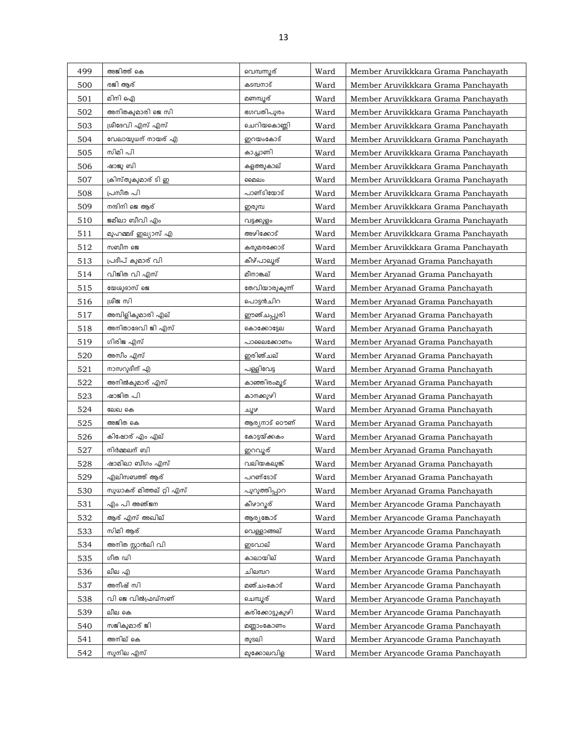| 499 | അജിത്ത് കെ               | വെമ്പന്നുര്     | Ward | Member Aruvikkkara Grama Panchayath |
|-----|--------------------------|-----------------|------|-------------------------------------|
| 500 | രജി ആര്                  | കടമ്പനാട്       | Ward | Member Aruvikkkara Grama Panchayath |
| 501 | മിനി ഐ                   | മണമ്പൂര്        | Ward | Member Aruvikkkara Grama Panchayath |
| 502 | അനിതകുമാരി ജെ സി         | ഭഗവതിപുരം       | Ward | Member Aruvikkkara Grama Panchayath |
| 503 | ശ്രീദേവി എസ് എസ്         | ചെറിയകൊണ്ണി     | Ward | Member Aruvikkkara Grama Panchayath |
| 504 | വേലായുധന് നായര് എ        | ഇറയംകോട്        | Ward | Member Aruvikkkara Grama Panchayath |
| 505 | സിമി പി                  | കാച്ചാണി        | Ward | Member Aruvikkkara Grama Panchayath |
| 506 | ഷാജു ബി                  | കളത്തുകാല്      | Ward | Member Aruvikkkara Grama Panchayath |
| 507 | ക്രിസ്തുകുമാര് ടി ഇ      | മൈലം            | Ward | Member Aruvikkkara Grama Panchayath |
| 508 | പ്രസീത പി                | പാണ്ടിയോട്      | Ward | Member Aruvikkkara Grama Panchayath |
| 509 | നന്ദിനി ജെ ആര്           | ഇരുമ്പ          | Ward | Member Aruvikkkara Grama Panchayath |
| 510 | ജമീലാ ബീവി എം            | വട്ടക്കുളം      | Ward | Member Aruvikkkara Grama Panchayath |
| 511 | മുഹമ്മദ് ഇല്യാസ് എ       | അഴിക്കോട്       | Ward | Member Aruvikkkara Grama Panchayath |
| 512 | സബീന ജെ                  | കരുമരക്കോട്     | Ward | Member Aruvikkkara Grama Panchayath |
| 513 | പ്രദീപ് കുമാര് വി        | കീഴ്പാലൂര്      | Ward | Member Aryanad Grama Panchayath     |
| 514 | വിജിത വി എസ്             | മീനാങ്കല്       | Ward | Member Aryanad Grama Panchayath     |
| 515 | യേശുദാസ് ജെ              | തേവിയാരുകുന്ന്  | Ward | Member Aryanad Grama Panchayath     |
| 516 | ശ്രീജ സി                 | പൊട്ടൻചിറ       | Ward | Member Aryanad Grama Panchayath     |
| 517 | അമ്പിളികുമാരി എല്        | ഈഞ്ചപ്പുരി      | Ward | Member Aryanad Grama Panchayath     |
| 518 | അനിതാദേവി ജി എസ്         | കൊക്കോട്ടേല     | Ward | Member Aryanad Grama Panchayath     |
| 519 | ഗിരിജ എസ്                | പാലൈക്കോണം      | Ward | Member Aryanad Grama Panchayath     |
| 520 | അസീം എസ്                 | ഇരിഞ്ചല്        | Ward | Member Aryanad Grama Panchayath     |
| 521 | നാസറുദീന് എ              | പള്ളിവേട്ട      | Ward | Member Aryanad Grama Panchayath     |
| 522 | അനിൽകുമാര് എസ്           | കാഞ്ഞിരംമൂട്    | Ward | Member Aryanad Grama Panchayath     |
| 523 | ഷാജിത പി                 | കാനക്കുഴി       | Ward | Member Aryanad Grama Panchayath     |
| 524 | ലേഖ കെ                   | সাঁক            | Ward | Member Aryanad Grama Panchayath     |
| 525 | അജിത കെ                  | ആര്യനാട് ഠൌണ്   | Ward | Member Aryanad Grama Panchayath     |
| 526 | കിഷോര് എം എല്            | കോട്ടയ്ക്കകം    | Ward | Member Aryanad Grama Panchayath     |
| 527 | നിർമ്മലന് ബി             | ഇറവൂര്          | Ward | Member Aryanad Grama Panchayath     |
| 528 | ഷാമിലാ ബീഗം എസ്          | വലിയകലുങ്ക്     | Ward | Member Aryanad Grama Panchayath     |
| 529 | എലിസബത്ത് ആര്            | പറണ്ടോട്        | Ward | Member Aryanad Grama Panchayath     |
| 530 | സുധാകര് മിത്തല് റ്റി എസ് | പുറുത്തിപ്പാറ   | Ward | Member Aryanad Grama Panchayath     |
| 531 | എം പി അഞ്ജന              | കീഴാറൂര്        | Ward | Member Aryancode Grama Panchayath   |
| 532 | ആര് എസ് അഖില്            | ആര്യങ്കോട്      | Ward | Member Aryancode Grama Panchayath   |
| 533 | സിമി ആര്                 | വെള്ളാങ്ങല്     | Ward | Member Aryancode Grama Panchayath   |
| 534 | അനിത സ്റ്റാൻലി വി        | ങവാല്           | Ward | Member Aryancode Grama Panchayath   |
| 535 | ഗീത ഡി                   | കാലായില്        | Ward | Member Aryancode Grama Panchayath   |
| 536 | ലീല എ                    | ചിലമ്പറ         | Ward | Member Aryancode Grama Panchayath   |
| 537 | അനീഷ് സി                 | മഞ്ചംകോട്       | Ward | Member Aryancode Grama Panchayath   |
| 538 | വി ജെ വിൽഫ്രഡ്സണ്        | ചെമ്പൂര്        | Ward | Member Aryancode Grama Panchayath   |
| 539 | ലീല കെ                   | കരിക്കോട്ടുകുഴി | Ward | Member Aryancode Grama Panchayath   |
| 540 | സജികുമാര് ജി             | മണ്ണാംകോണം      | Ward | Member Aryancode Grama Panchayath   |
| 541 | അനില് കെ                 | തുടലി           | Ward | Member Aryancode Grama Panchayath   |
| 542 | സുനില എസ്                | മുക്കോലവിള      | Ward | Member Aryancode Grama Panchayath   |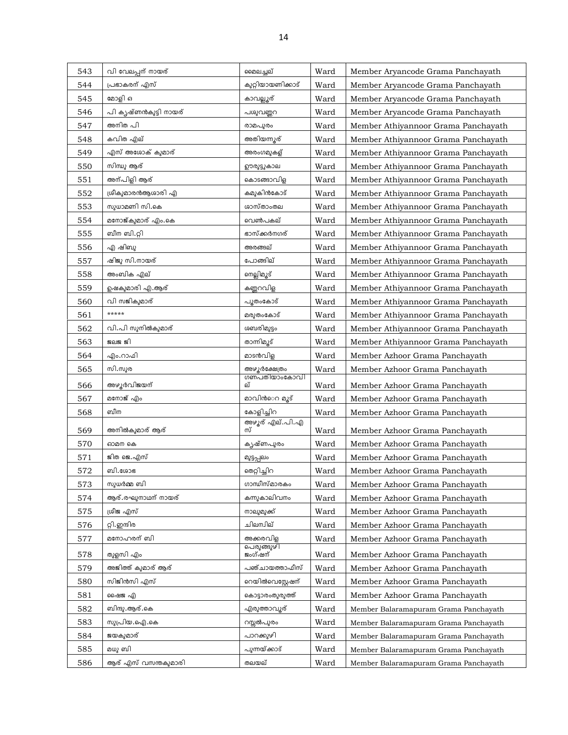| 543 | വി വേലപ്പന് നായര്     | മൈലച്ചല്             | Ward | Member Aryancode Grama Panchayath     |
|-----|-----------------------|----------------------|------|---------------------------------------|
| 544 | പ്രഭാകരന് എസ്         | കുറ്റിയായണിക്കാട്    | Ward | Member Aryancode Grama Panchayath     |
| 545 | മോളി ഒ                | കാവല്ലൂര്            | Ward | Member Aryancode Grama Panchayath     |
| 546 | പി കൃഷ്ണൻകുട്ടി നായര് | പശുവണ്ണറ             | Ward | Member Aryancode Grama Panchayath     |
| 547 | അനിത പി               | രാമപുരം              | Ward | Member Athiyannoor Grama Panchayath   |
| 548 | കവിത എല്              | അതിയന്നുര്           | Ward | Member Athiyannoor Grama Panchayath   |
| 549 | എസ് അശോക് കുമാര്      | അരംഗമുകള്            | Ward | Member Athiyannoor Grama Panchayath   |
| 550 | സിന്ധു ആര്            | ഊരുട്ടുകാല           | Ward | Member Athiyannoor Grama Panchayath   |
| 551 | അന്പിളി ആര്           | കൊടങ്ങാവിള           | Ward | Member Athiyannoor Grama Panchayath   |
| 552 | ശ്രീകുമാരൻആശാരി എ     | കമുകിൻകോട്           | Ward | Member Athiyannoor Grama Panchayath   |
| 553 | സുധാമണി സി.കെ         | ശാസ്താംതല            | Ward | Member Athiyannoor Grama Panchayath   |
| 554 | മനോജ്കുമാര് എം.കെ     | വെൺപകല്              | Ward | Member Athiyannoor Grama Panchayath   |
| 555 | ബീന ബി.റ്റി           | ഭാസ്ക്കർനഗര്         | Ward | Member Athiyannoor Grama Panchayath   |
| 556 | എ ഷിബു                | അരങ്ങല്              | Ward | Member Athiyannoor Grama Panchayath   |
| 557 | ഷിജു സി.നായര്         | പോങ്ങില്             | Ward | Member Athiyannoor Grama Panchayath   |
| 558 | അംബിക എല്             | നെല്ലിമൂട്           | Ward | Member Athiyannoor Grama Panchayath   |
| 559 | ഉഷകുമാരി എ.ആര്        | കണ്ണറവിള             | Ward | Member Athiyannoor Grama Panchayath   |
| 560 | വി സജികുമാര്          | പൂതംകോട്             | Ward | Member Athiyannoor Grama Panchayath   |
| 561 | *****                 | മരുതംകോട്            | Ward | Member Athiyannoor Grama Panchayath   |
| 562 | വി.പി സുനിൽകുമാര്     | ശബരിമുട്ടം           | Ward | Member Athiyannoor Grama Panchayath   |
| 563 | ෂිටිෂ ඝු              | താന്നിമൂട്           | Ward | Member Athiyannoor Grama Panchayath   |
| 564 | എം.റാഫി               | മാടൻവിള              | Ward | Member Azhoor Grama Panchayath        |
| 565 | സി.സുര                | അഴുർക്ഷേത്രം         | Ward | Member Azhoor Grama Panchayath        |
| 566 | അഴൂർവിജയന്            | ഗണപതിയാംകോവി<br>ല്   | Ward | Member Azhoor Grama Panchayath        |
| 567 | മനോജ് എം              | മാവിൻെ മൂട്          | Ward | Member Azhoor Grama Panchayath        |
| 568 | ബീന                   | കോളിച്ചിറ            | Ward | Member Azhoor Grama Panchayath        |
| 569 | അനിൽകുമാര് ആര്        | അഴൂര് എല്.പി.എ<br>സ് | Ward | Member Azhoor Grama Panchayath        |
| 570 | ഓമന കെ                | കൃഷ്ണപുരം            | Ward | Member Azhoor Grama Panchayath        |
| 571 | ജിത ജെ.എസ്            | മുട്ടപ്പലം           | Ward | Member Azhoor Grama Panchayath        |
| 572 | ബി.ശോഭ                | തെറ്റിച്ചിറ          | Ward | Member Azhoor Grama Panchayath        |
| 573 | സുധർമ്മ ബി            | ഗാന്ധീസ്മാരകം        | Ward | Member Azhoor Grama Panchayath        |
| 574 | ആര്.രഘുനാഥന് നായര്    | കന്നുകാലിവനം         | Ward | Member Azhoor Grama Panchayath        |
| 575 | ശ്രീജ എസ്             | നാലുമുക്ക്           | Ward | Member Azhoor Grama Panchayath        |
| 576 | റ്റി.ഇന്ദിര           | ചിലന്വില്            | Ward | Member Azhoor Grama Panchayath        |
| 577 | മനോഹരന് ബി            | അക്കരവിള             | Ward | Member Azhoor Grama Panchayath        |
|     |                       | പെരുങ്ങുഴി           |      |                                       |
| 578 | തുളസി എം              | ജംഗ്ഷന്              | Ward | Member Azhoor Grama Panchayath        |
| 579 | അജിത്ത് കുമാര് ആര്    | പഞ്ചായത്താഫീസ്       | Ward | Member Azhoor Grama Panchayath        |
| 580 | സിജിൻസി എസ്           | റെയിൽവെസ്റ്റേഷന്     | Ward | Member Azhoor Grama Panchayath        |
| 581 | ഷൈജ എ                 | കൊട്ടാരംതുരുത്ത്     | Ward | Member Azhoor Grama Panchayath        |
| 582 | ബിന്ദു.ആര്.കെ         | എരുത്താവുര്          | Ward | Member Balaramapuram Grama Panchayath |
| 583 | സുപ്രിയ.ഐ.കെ          | റസ്സൽപുരം            | Ward | Member Balaramapuram Grama Panchayath |
| 584 | ജയകുമാര്              | പാറക്കുഴി            | Ward | Member Balaramapuram Grama Panchayath |
| 585 | മധു ബി                | പുന്നയ്ക്കാട്        | Ward | Member Balaramapuram Grama Panchayath |
| 586 | ആര് എസ് വസന്തകുമാരി   | തലയല്                | Ward | Member Balaramapuram Grama Panchayath |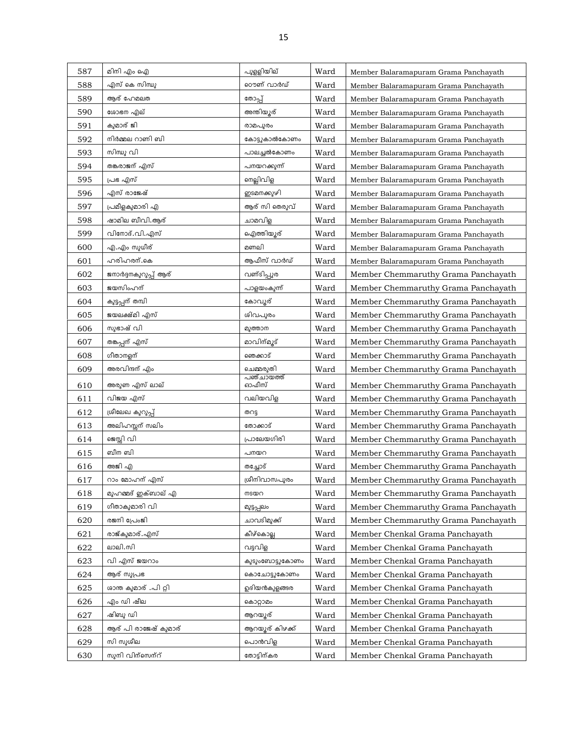| 587 | മിനി എം ഐ             | പുളളിയില്           | Ward | Member Balaramapuram Grama Panchayath |
|-----|-----------------------|---------------------|------|---------------------------------------|
| 588 | എസ് കെ സിന്ധു         | റൌണ് വാർഡ്          | Ward | Member Balaramapuram Grama Panchayath |
| 589 | ആര് ഹേമലത             | തോപ്പ്              | Ward | Member Balaramapuram Grama Panchayath |
| 590 | ശോഭന എല്              | അന്തിയ്യൂര്         | Ward | Member Balaramapuram Grama Panchayath |
| 591 | കുമാര് ജി             | രാമപുരം             | Ward | Member Balaramapuram Grama Panchayath |
| 592 | നിർമ്മല റാണി ബി       | കോട്ടുകാൽകോണം       | Ward | Member Balaramapuram Grama Panchayath |
| 593 | സിന്ധു വി             | പാലച്ചൽകോണം         | Ward | Member Balaramapuram Grama Panchayath |
| 594 | തങ്കരാജന് എസ്         | പനയറക്കുന്ന്        | Ward | Member Balaramapuram Grama Panchayath |
| 595 | പ്രഭ എസ്              | നെല്ലിവിള           | Ward | Member Balaramapuram Grama Panchayath |
| 596 | എസ് രാജേഷ്            | ഇടമനക്കുഴി          | Ward | Member Balaramapuram Grama Panchayath |
| 597 | പ്രമീളകുമാരി എ        | ആര് സി തെരുവ്       | Ward | Member Balaramapuram Grama Panchayath |
| 598 | ഷാമില ബീവി.ആര്        | ചാമവിള              | Ward | Member Balaramapuram Grama Panchayath |
| 599 | വിനോദ്.വി.എസ്         | ഐത്തിയൂര്           | Ward | Member Balaramapuram Grama Panchayath |
| 600 | എ.എം സുധീര്           | മണലി                | Ward | Member Balaramapuram Grama Panchayath |
| 601 | ഹരിഹരന്.കെ            | ആഫീസ് വാർഡ്         | Ward | Member Balaramapuram Grama Panchayath |
| 602 | ജനാർദ്ദനകുറുപ്പ് ആര്  | വണ്ടിപ്പുര          | Ward | Member Chemmaruthy Grama Panchayath   |
| 603 | ജയസിംഹന്              | പാളയംകുന്ന്         | Ward | Member Chemmaruthy Grama Panchayath   |
| 604 | കുട്ടപ്പന് തമ്പി      | കോവൂര്              | Ward | Member Chemmaruthy Grama Panchayath   |
| 605 | ജയലക്ഷ്മി എസ്         | ശിവപുരം             | Ward | Member Chemmaruthy Grama Panchayath   |
| 606 | സുഭാഷ് വി             | മുത്താന             | Ward | Member Chemmaruthy Grama Panchayath   |
| 607 | തങ്കപ്പന് എസ്         | മാവിന്മൂട്          | Ward | Member Chemmaruthy Grama Panchayath   |
| 608 | ഗീതാനളന്              | ഞെക്കാട്            | Ward | Member Chemmaruthy Grama Panchayath   |
| 609 | അരവിന്ദന് എം          | ചെമ്മരുതി           | Ward | Member Chemmaruthy Grama Panchayath   |
| 610 | അരുണ എസ് ലാല്         | പഞ്ചായത്ത്<br>ഓഫീസ് | Ward | Member Chemmaruthy Grama Panchayath   |
| 611 | വിജയ എസ്              | വലിയവിള             | Ward | Member Chemmaruthy Grama Panchayath   |
| 612 | ശ്രീലേഖ കുറുപ്പ്      | തറടു                | Ward | Member Chemmaruthy Grama Panchayath   |
| 613 | അലിഹസ്സന് സലിം        | തോക്കാട്            | Ward | Member Chemmaruthy Grama Panchayath   |
| 614 | ജെസ്സി വി             | പ്രാലേയഗിരി         | Ward | Member Chemmaruthy Grama Panchayath   |
| 615 | ബീന ബി                | പനയറ                | Ward | Member Chemmaruthy Grama Panchayath   |
| 616 | അജി എ                 | തച്ചോട്             | Ward | Member Chemmaruthy Grama Panchayath   |
| 617 | റാം മോഹന് എസ്         | ശ്രീനിവാസപുരം       | Ward | Member Chemmaruthy Grama Panchayath   |
| 618 | മുഹമ്മദ് ഇക്ബാല് എ    | നടയറ                | Ward | Member Chemmaruthy Grama Panchayath   |
| 619 | ഗീതാകുമാരി വി         | മുട്ടപ്പലം          | Ward | Member Chemmaruthy Grama Panchayath   |
| 620 | രജനി പ്രേംജി          | ചാവടിമുക്ക്         | Ward | Member Chemmaruthy Grama Panchayath   |
| 621 | രാജ്കുമാര്.എസ്        | കീഴ്കൊല്ല           | Ward | Member Chenkal Grama Panchayath       |
| 622 | ലാലി.സി               | വട്ടവിള             | Ward | Member Chenkal Grama Panchayath       |
| 623 | വി എസ് ജയറാം          | കുടുംബോട്ടുകോണം     | Ward | Member Chenkal Grama Panchayath       |
| 624 | ആര് സുപ്രഭ            | കൊചോട്ടുകോണം        | Ward | Member Chenkal Grama Panchayath       |
| 625 | ശാന്ത കുമാര് .പി റ്റി | ഉദിയൻകുളങ്ങര        | Ward | Member Chenkal Grama Panchayath       |
| 626 | എം ഡി ഷീല             | കൊറ്റാമം            | Ward | Member Chenkal Grama Panchayath       |
| 627 | ഷിബു ഡി               | ആറയൂര്              | Ward | Member Chenkal Grama Panchayath       |
| 628 | ആര് പി രാജേഷ് കുമാര്  | ആറയുര് കിഴക്ക്      | Ward | Member Chenkal Grama Panchayath       |
| 629 | സി സുശീല              | പൊൻവിള              | Ward | Member Chenkal Grama Panchayath       |
| 630 | സൂനി വിന്സെന്റ്       | തോട്ടിന്കര          | Ward | Member Chenkal Grama Panchayath       |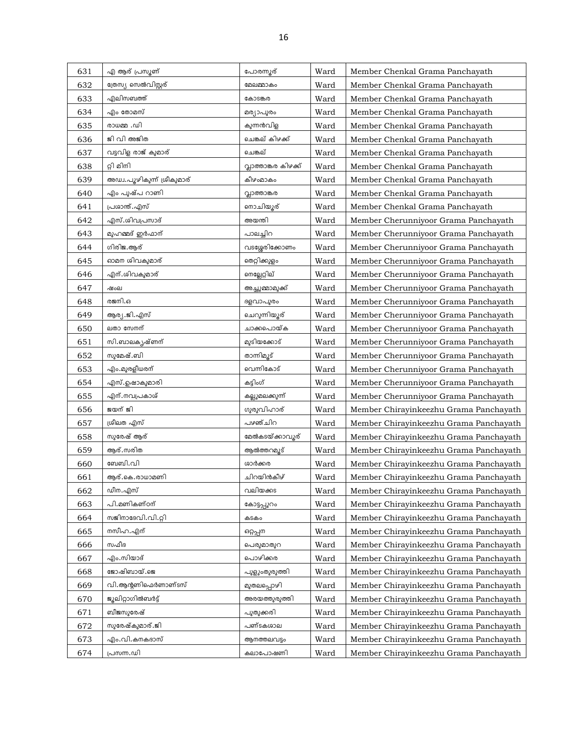| 631 | എ ആര് പ്രസ്കൺ              | പോരന്നൂര്            | Ward | Member Chenkal Grama Panchayath        |
|-----|----------------------------|----------------------|------|----------------------------------------|
| 632 | ത്രേസ്യ സെൽവിസ്റ്റര്       | മേലമ്മാകം            | Ward | Member Chenkal Grama Panchayath        |
| 633 | എലിസബത്ത്                  | കോടങ്കര              | Ward | Member Chenkal Grama Panchayath        |
| 634 | എം തോമസ്                   | മര്യാപുരം            | Ward | Member Chenkal Grama Panchayath        |
| 635 | സം. മ്മധര                  | കുന്നൻവിള            | Ward | Member Chenkal Grama Panchayath        |
| 636 | ജി വി അജിത                 | ചെങ്കല് കിഴക്ക്      | Ward | Member Chenkal Grama Panchayath        |
| 637 | വട്ടവിള രാജ് കുമാര്        | ചെങ്കല്              | Ward | Member Chenkal Grama Panchayath        |
| 638 | റ്റി മിനി                  | വ്ലാത്താങ്കര കിഴക്ക് | Ward | Member Chenkal Grama Panchayath        |
| 639 | അഡ്വ.പൂഴികുന്ന് ശ്രീകുമാര് | കീഴംമാകം             | Ward | Member Chenkal Grama Panchayath        |
| 640 | എം പൂഷ്പ റാണി              | വാത്താങ്കര           | Ward | Member Chenkal Grama Panchayath        |
| 641 | പ്രശാന്ത്.എസ്              | നൊചിയൂര്             | Ward | Member Chenkal Grama Panchayath        |
| 642 | എസ്.ശിവപ്രസാദ്             | അയന്തി               | Ward | Member Cherunniyoor Grama Panchayath   |
| 643 | മുഹമ്മദ് ഇർഫാന്            | പാലച്ചിറ             | Ward | Member Cherunniyoor Grama Panchayath   |
| 644 | ഗിരിജ.ആര്                  | വടശ്ശേരിക്കോണം       | Ward | Member Cherunniyoor Grama Panchayath   |
| 645 | ഓമന ശിവകുമാര്              | തെറ്റിക്കുളം         | Ward | Member Cherunniyoor Grama Panchayath   |
| 646 | എന്.ശിവകുമാര്              | നെല്ലേറ്റില്         | Ward | Member Cherunniyoor Grama Panchayath   |
| 647 | ഷംല                        | അച്ചുമ്മാമുക്ക്      | Ward | Member Cherunniyoor Grama Panchayath   |
| 648 | രജനി.ഒ                     | ദളവാപുരം             | Ward | Member Cherunniyoor Grama Panchayath   |
| 649 | ആര്യ.ജി.എസ്                | ചെറുന്നിയൂര്         | Ward | Member Cherunniyoor Grama Panchayath   |
| 650 | ലതാ സേനന്                  | ചാക്കപൊയ്ക           | Ward | Member Cherunniyoor Grama Panchayath   |
| 651 | സി.ബാലകൃഷ്ണന്              | മുടിയക്കോട്          | Ward | Member Cherunniyoor Grama Panchayath   |
| 652 | സുമേഷ്.ബി                  | താന്നിമൂട്           | Ward | Member Cherunniyoor Grama Panchayath   |
| 653 | എം.മുരളീധരന്               | വെന്നികോട്           | Ward | Member Cherunniyoor Grama Panchayath   |
| 654 | എസ്.ഉഷാകുമാരി              | കട്ടിംഗ്             | Ward | Member Cherunniyoor Grama Panchayath   |
| 655 | എന്.നവപ്രകാശ്              | കല്ലുമലക്കുന്ന്      | Ward | Member Cherunniyoor Grama Panchayath   |
| 656 | ജയന് ജി                    | ഗുരുവിഹാര്           | Ward | Member Chirayinkeezhu Grama Panchayath |
| 657 | ശ്രീലത എസ്                 | പഴഞ്ചിറ              | Ward | Member Chirayinkeezhu Grama Panchayath |
| 658 | സുരേഷ് ആര്                 | മേൽകടയ്ക്കാവൂര്      | Ward | Member Chirayinkeezhu Grama Panchayath |
| 659 | ആര്.സരിത                   | ആൽത്തറമൂട്           | Ward | Member Chirayinkeezhu Grama Panchayath |
| 660 | ബേബി.വി                    | ശാർക്കര              | Ward | Member Chirayinkeezhu Grama Panchayath |
| 661 | ആര്.കെ.രാധാമണി             | ചിറയിൻകീഴ്           | Ward | Member Chirayinkeezhu Grama Panchayath |
| 662 | ഡീന.എസ്                    | വലിയക്കട             | Ward | Member Chirayinkeezhu Grama Panchayath |
| 663 | പി.മണികണ്ഠന്               | കോട്ടപ്പുറം          | Ward | Member Chirayinkeezhu Grama Panchayath |
| 664 | സജിനാദേവി.വി.റ്റി          | കടകം                 | Ward | Member Chirayinkeezhu Grama Panchayath |
| 665 | നസീഹ.എന്                   | ഒറ്റപ്പന             | Ward | Member Chirayinkeezhu Grama Panchayath |
| 666 | സഫീദ                       | പെരുമാതുറ            | Ward | Member Chirayinkeezhu Grama Panchayath |
| 667 | എം.സിയാദ്                  | പൊഴിക്കര             | Ward | Member Chirayinkeezhu Grama Panchayath |
| 668 | ജോഷിബായ്.ജെ                | പുളുംതുരുത്തി        | Ward | Member Chirayinkeezhu Grama Panchayath |
| 669 | വി.ആന്റണിഫെർണാണ്ടസ്        | മുതലപ്പൊഴി           | Ward | Member Chirayinkeezhu Grama Panchayath |
| 670 | ജൂലിറ്റാഗിൽബർട്ട്          | അരയത്തുരുത്തി        | Ward | Member Chirayinkeezhu Grama Panchayath |
| 671 | ബീജസുരേഷ്                  | പുതുക്കരി            | Ward | Member Chirayinkeezhu Grama Panchayath |
| 672 | സുരേഷ്കുമാര്.ജി            | പണ്ടകശാല             | Ward | Member Chirayinkeezhu Grama Panchayath |
| 673 | എം.വി.കനകദാസ്              | ആനത്തലവട്ടം          | Ward | Member Chirayinkeezhu Grama Panchayath |
| 674 | പ്രസന്ന.ഡി                 | കലാപോഷണി             | Ward | Member Chirayinkeezhu Grama Panchayath |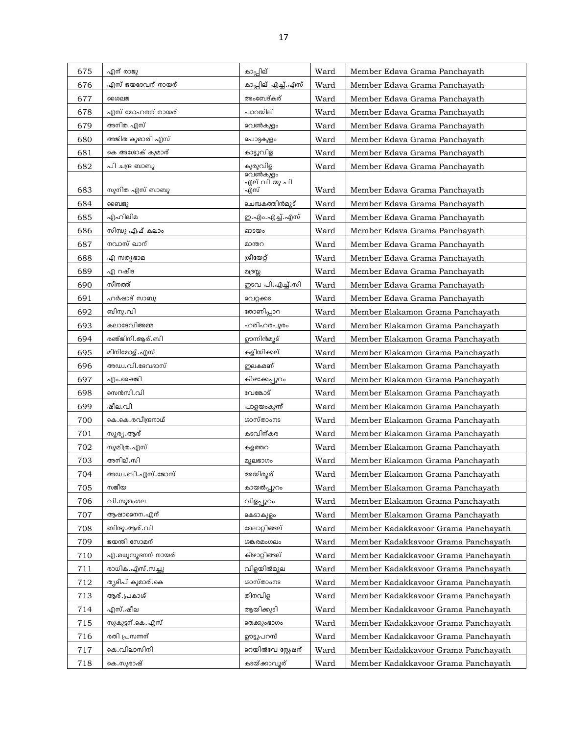| 675 | എന് രാജു           | കാപ്പില്                        | Ward | Member Edava Grama Panchayath       |
|-----|--------------------|---------------------------------|------|-------------------------------------|
| 676 | എസ് ജയദേവന് നായര്  | കാപ്പില് എച്ച്.എസ്              | Ward | Member Edava Grama Panchayath       |
| 677 | ശൈലജ               | അംബേദ്കര്                       | Ward | Member Edava Grama Panchayath       |
| 678 | എസ് മോഹനന് നായര്   | പാറയില്                         | Ward | Member Edava Grama Panchayath       |
| 679 | അനിത എസ്           | വെൺകുളം                         | Ward | Member Edava Grama Panchayath       |
| 680 | അജിത കുമാരി എസ്    | പൊട്ടകുളം                       | Ward | Member Edava Grama Panchayath       |
| 681 | കെ അശോക് കുമാര്    | കാട്ടുവിള                       | Ward | Member Edava Grama Panchayath       |
| 682 | പി ചന്ദ്ര ബാബു     | കുരുവിള                         | Ward | Member Edava Grama Panchayath       |
|     |                    | <u>പെൺകു</u> ളം<br>എല് വി യു പി |      |                                     |
| 683 | സുനിത എസ് ബാബു     | എസ്                             | Ward | Member Edava Grama Panchayath       |
| 684 | ബൈജു               | ചെമ്പകത്തിൻമുട്                 | Ward | Member Edava Grama Panchayath       |
| 685 | എഹിലിമ             | ഇ.എം.എച്ച്.എസ്                  | Ward | Member Edava Grama Panchayath       |
| 686 | സിന്ധു എഫ് കലാം    | ഓടയം                            | Ward | Member Edava Grama Panchayath       |
| 687 | നവാസ് ഖാന്         | മാന്തറ                          | Ward | Member Edava Grama Panchayath       |
| 688 | എ സത്യഭാമ          | ശ്രീയേറ്റ്                      | Ward | Member Edava Grama Panchayath       |
| 689 | എ റഷീദ             | മദ്രസ്സ                         | Ward | Member Edava Grama Panchayath       |
| 690 | സിനത്ത്            | ഇടവ പി.എച്ച്.സി                 | Ward | Member Edava Grama Panchayath       |
| 691 | ഹർഷാദ് സാബു        | വെറ്റക്കട                       | Ward | Member Edava Grama Panchayath       |
| 692 | ബിനു.വി            | തോണിപ്പാറ                       | Ward | Member Elakamon Grama Panchayath    |
| 693 | കലാദേവിഅമ്മ        | ഹരിഹരപുരം                       | Ward | Member Elakamon Grama Panchayath    |
| 694 | രഞ്ജിനി.ആര്.ബി     | ഊന്നിൻമൂട്                      | Ward | Member Elakamon Grama Panchayath    |
| 695 | മിനിമോള്. എസ്      | കളിയിക്കല്                      | Ward | Member Elakamon Grama Panchayath    |
| 696 | അഡ്വ.വി.ദേവദാസ്    | ഇലകമണ്                          | Ward | Member Elakamon Grama Panchayath    |
| 697 | എം.ഷെജി            | കിഴക്കേപ്പുറം                   | Ward | Member Elakamon Grama Panchayath    |
| 698 | സെൻസി.വി           | വേങ്കോട്                        | Ward | Member Elakamon Grama Panchayath    |
| 699 | ഷീല.വി             | പാളയംകുന്ന്                     | Ward | Member Elakamon Grama Panchayath    |
| 700 | കെ.കെ.രവീന്ദ്രനാഥ് | ശാസ്താംനട                       | Ward | Member Elakamon Grama Panchayath    |
| 701 | സൂര്യ .ആര്         | കടവിന്കര                        | Ward | Member Elakamon Grama Panchayath    |
| 702 | സുമിത്ര. എസ്       | കളത്തറ                          | Ward | Member Elakamon Grama Panchayath    |
| 703 | അനില്.സി           | മുലഭാഗം                         | Ward | Member Elakamon Grama Panchayath    |
| 704 | അഡ്വ.ബി.എസ്.ജോസ്   | അയിരുര്                         | Ward | Member Elakamon Grama Panchayath    |
| 705 | സജീയ               | കായൽപ്പുറം                      | Ward | Member Elakamon Grama Panchayath    |
| 706 | വി.സുമംഗല          | വിളപ്പൂറം                       | Ward | Member Elakamon Grama Panchayath    |
| 707 | ആഷാനൈന. എന്        | കെടാകുളം                        | Ward | Member Elakamon Grama Panchayath    |
| 708 | ബിന്ദു.ആര്.വി      | മേലാറ്റിങ്ങല്                   | Ward | Member Kadakkavoor Grama Panchayath |
| 709 | ജയന്തി സോമന്       | ശങ്കരമംഗലം                      | Ward | Member Kadakkavoor Grama Panchayath |
| 710 | എ.മധുസൂദനന് നായര്  | കീഴാറ്റിങ്ങല്                   | Ward | Member Kadakkavoor Grama Panchayath |
| 711 | രാധിക.എസ്.സച്ചു    | വിളയിൽമൂല                       | Ward | Member Kadakkavoor Grama Panchayath |
| 712 | തൃദീപ് കുമാര്.കെ   | ശാസ്താംനട                       | Ward | Member Kadakkavoor Grama Panchayath |
| 713 | ആര്.പ്രകാശ്        | തിനവിള                          | Ward | Member Kadakkavoor Grama Panchayath |
| 714 | എസ്.ഷീല            | ആയിക്കുടി                       | Ward | Member Kadakkavoor Grama Panchayath |
| 715 | സുകുട്ടന്.കെ.എസ്   | <b>തെക്കുംഭാഗം</b>              | Ward | Member Kadakkavoor Grama Panchayath |
| 716 | രതി പ്രസന്നന്      | ഊട്ടുപറമ്പ്                     | Ward | Member Kadakkavoor Grama Panchayath |
| 717 | കെ.വിലാസിനി        | റെയിൽവേ സ്റ്റേഷന്               | Ward | Member Kadakkavoor Grama Panchayath |
| 718 | കെ.സുഭാഷ്          | കടയ്ക്കാവൂര്                    | Ward | Member Kadakkavoor Grama Panchayath |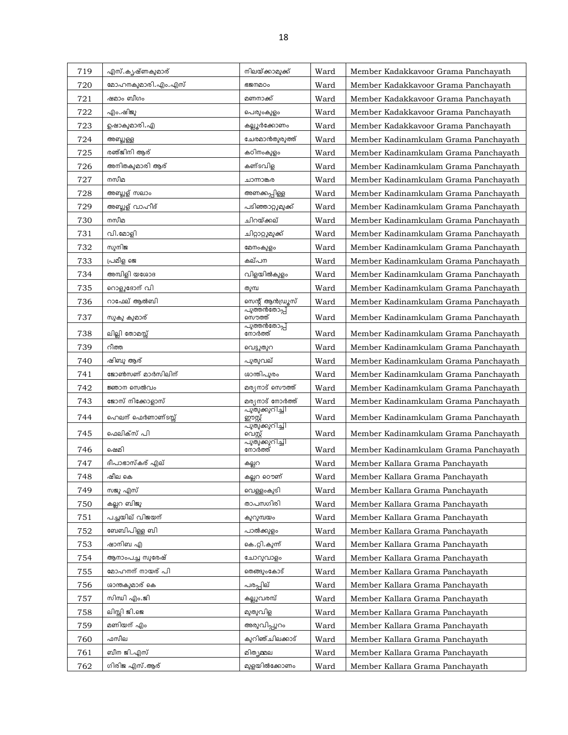| 719 | എസ്.കൃഷ്ണകുമാര്     | നിലയ്ക്കാമുക്ക്                           | Ward | Member Kadakkavoor Grama Panchayath  |
|-----|---------------------|-------------------------------------------|------|--------------------------------------|
| 720 | മോഹനകുമാരി.എം.എസ്   | <b>G2MDOo</b>                             | Ward | Member Kadakkavoor Grama Panchayath  |
| 721 | ഷമാം ബീഗം           | മണനാക്ക്                                  | Ward | Member Kadakkavoor Grama Panchayath  |
| 722 | എം.ഷിജു             | പെരുംകുളം                                 | Ward | Member Kadakkavoor Grama Panchayath  |
| 723 | ഉഷാകുമാരി.എ         | കല്ലൂർക്കോണം                              | Ward | Member Kadakkavoor Grama Panchayath  |
| 724 | അബ്ദുള്ള            | ചേരമാൻതുരുത്ത്                            | Ward | Member Kadinamkulam Grama Panchayath |
| 725 | രഞ്ജിനി ആര്         | കഠിനംകുളം                                 | Ward | Member Kadinamkulam Grama Panchayath |
| 726 | അനിതകുമാരി ആര്      | കണ്ടവിഒ                                   | Ward | Member Kadinamkulam Grama Panchayath |
| 727 | നസീമ                | ചാന്നാങ്കര                                | Ward | Member Kadinamkulam Grama Panchayath |
| 728 | <u>അബ്ദുള്</u> സലാം | അണക്കപ്പിള്ള                              | Ward | Member Kadinamkulam Grama Panchayath |
| 729 | അബ്ദുള് വാഹീദ്      | പടിഞ്ഞാറ്റുമുക്ക്                         | Ward | Member Kadinamkulam Grama Panchayath |
| 730 | നസീമ                | ചിറയ്ക്കല്                                | Ward | Member Kadinamkulam Grama Panchayath |
| 731 | വി.മോളി             | ചിറ്റാറ്റുമുക്ക്                          | Ward | Member Kadinamkulam Grama Panchayath |
| 732 | സുനിജ               | മേനംകുളം                                  | Ward | Member Kadinamkulam Grama Panchayath |
| 733 | പ്രമീള ജെ           | കല്പന                                     | Ward | Member Kadinamkulam Grama Panchayath |
| 734 | അമ്പിളി യശോദ        | വിളയിൽകുളം                                | Ward | Member Kadinamkulam Grama Panchayath |
| 735 | റൊളുദോന് വി         | തുമ്പ                                     | Ward | Member Kadinamkulam Grama Panchayath |
| 736 | റാഫേല് ആൽബി         | സെന്റ് ആൻഡ്രൂസ്                           | Ward | Member Kadinamkulam Grama Panchayath |
| 737 | സുകു കുമാര്         | <u>പുത്തൻതോപ്പ്</u><br>സൌത്ത്             | Ward | Member Kadinamkulam Grama Panchayath |
| 738 | ലില്ലി തോമസ്സ്      | പുത്തൻതോപ്പ്<br>നോർത്ത്                   | Ward | Member Kadinamkulam Grama Panchayath |
| 739 | റീത്ത               | വെട്ടുതുറ                                 | Ward | Member Kadinamkulam Grama Panchayath |
| 740 | ഷിബു ആര്            | പുതുവല്                                   | Ward | Member Kadinamkulam Grama Panchayath |
| 741 | ജോൺസണ് മാർസിലിന്    | ശാന്തിപുരം                                | Ward | Member Kadinamkulam Grama Panchayath |
| 742 | ജ്ഞാന സെൽവം         | മര(നാട് സൌത്ത്                            | Ward | Member Kadinamkulam Grama Panchayath |
| 743 | ജോസ് നിക്കോളാസ്     | മര്യനാട് നോർത്ത്<br><u>പുതുക്കുറിച്ചി</u> | Ward | Member Kadinamkulam Grama Panchayath |
| 744 | ഹെലന് ഫെർണാണ്ടസ്സ്  | ഈസ്റ്റ്                                   | Ward | Member Kadinamkulam Grama Panchayath |
| 745 | ഫെലിക്സ് പി         | <i>പുതുക്കു</i> റിച്ചി<br>വെസ്റ്റ്        | Ward | Member Kadinamkulam Grama Panchayath |
| 746 | ഷെമി                | പുതുക്കുറിച്ചി<br>നോർത്ത്                 | Ward | Member Kadinamkulam Grama Panchayath |
| 747 | ദീപാഭാസ്കര് എല്     | കല്ലറ                                     | Ward | Member Kallara Grama Panchayath      |
| 748 | ഷീല കെ              | കല്ലറ റൌണ്                                | Ward | Member Kallara Grama Panchayath      |
| 749 | സജു എസ്             | വെള്ളംകൂടി                                | Ward | Member Kallara Grama Panchayath      |
| 750 | കല്ലറ ബിജു          | താപസഗിരി                                  | Ward | Member Kallara Grama Panchayath      |
| 751 | പച്ചയില് വിജയന്     | കുറുമ്പയം                                 | Ward | Member Kallara Grama Panchayath      |
| 752 | ബേബിപിള്ള ബി        | പാൽക്കുളം                                 | Ward | Member Kallara Grama Panchayath      |
| 753 | ഷാനിബ എ             | കെ.റ്റി.കുന്ന്                            | Ward | Member Kallara Grama Panchayath      |
| 754 | ആനാംപച്ച സുരേഷ്     | ചോറുവാളം                                  | Ward | Member Kallara Grama Panchayath      |
| 755 | മോഹനന് നായര് പി     | തെങ്ങുംകോട്                               | Ward | Member Kallara Grama Panchayath      |
| 756 | ശാന്തകുമാര് കെ      | പരപ്പില്                                  | Ward | Member Kallara Grama Panchayath      |
| 757 | സിന്ധി എം.ജി        | കല്ലുവരമ്പ്                               | Ward | Member Kallara Grama Panchayath      |
| 758 | ലിസ്സി ജി.ജെ        | മുതുവിള                                   | Ward | Member Kallara Grama Panchayath      |
| 759 | മണിയന് എം           | അരുവിപ്പുറം                               | Ward | Member Kallara Grama Panchayath      |
| 760 | ഫസീല                | കുറിഞ്ചിലക്കാട്                           | Ward | Member Kallara Grama Panchayath      |
| 761 | ബീന ജി.എസ്          | മിത്യമ്മല                                 | Ward | Member Kallara Grama Panchayath      |
| 762 | ഗിരിജ എസ്.ആര്       | മുളയിൽക്കോണം                              | Ward | Member Kallara Grama Panchayath      |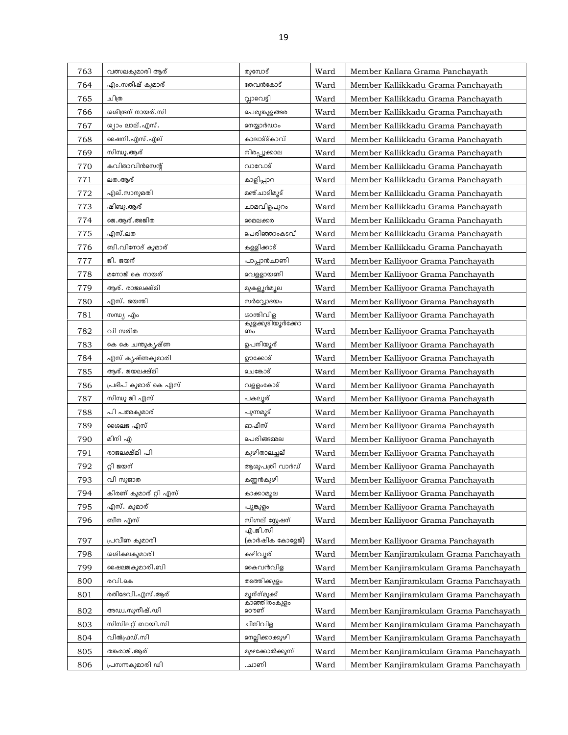| 763 | വത്സലകുമാരി ആര്               | തുമ്പോട്                      | Ward | Member Kallara Grama Panchayath       |
|-----|-------------------------------|-------------------------------|------|---------------------------------------|
| 764 | എം.സതീഷ് കുമാര്               | തേവൻകോട്                      | Ward | Member Kallikkadu Grama Panchayath    |
| 765 | ചിത്ര                         | വ്വാവെട്ടി                    | Ward | Member Kallikkadu Grama Panchayath    |
| 766 | ശശീന്ദ്രന് നായര്.സി           | പെരുങ്കുളങ്ങര                 | Ward | Member Kallikkadu Grama Panchayath    |
| 767 | ശ്യാം ലാല്.എസ്.               | നെയ്യാർഡാം                    | Ward | Member Kallikkadu Grama Panchayath    |
| 768 | ഷൈനി. എസ്. എല്                | കാലാട്ട്കാവ്                  | Ward | Member Kallikkadu Grama Panchayath    |
| 769 | സിന്ധു.ആര്                    | നിരപ്പുക്കാല                  | Ward | Member Kallikkadu Grama Panchayath    |
| 770 | കവിതാവിൻസെന്റ്                | വാവോട്                        | Ward | Member Kallikkadu Grama Panchayath    |
| 771 | ലത.ആര്                        | കാളിപ്പാറ                     | Ward | Member Kallikkadu Grama Panchayath    |
| 772 | എല്.സാനുമതി                   | മഞ്ചാടിമൂട്                   | Ward | Member Kallikkadu Grama Panchayath    |
| 773 | ഷിബു.ആര്                      | ചാമവിളപുറം                    | Ward | Member Kallikkadu Grama Panchayath    |
| 774 | ജെ.ആര്.അജിത                   | മൈലക്കര                       | Ward | Member Kallikkadu Grama Panchayath    |
| 775 | എസ്.ലത                        | പെരിഞ്ഞാംകടവ്                 | Ward | Member Kallikkadu Grama Panchayath    |
| 776 | ബി.വിനോദ് കുമാര്              | കള്ളിക്കാട്                   | Ward | Member Kallikkadu Grama Panchayath    |
| 777 | ജി. ജയന്                      | പാപ്പാൻചാണി                   | Ward | Member Kalliyoor Grama Panchayath     |
| 778 | മനോജ് കെ നായര്                | വെള്ളായണി                     | Ward | Member Kalliyoor Grama Panchayath     |
| 779 | ആര്. രാജലക്ഷ്മി               | മുകളുർമുല                     | Ward | Member Kalliyoor Grama Panchayath     |
| 780 | എസ്. ജയന്തി                   | സർവ്വോദയം                     | Ward | Member Kalliyoor Grama Panchayath     |
| 781 | സന്ധ്യ എം                     | ശാന്തിവിള                     | Ward | Member Kalliyoor Grama Panchayath     |
| 782 | വി സരിത                       | കുളക്കുടിയ്കർക്കോ<br>ണം       | Ward | Member Kalliyoor Grama Panchayath     |
| 783 | കെ കെ ചന്തുകൃഷ്ണ              | ഉപനിയൂര്                      | Ward | Member Kalliyoor Grama Panchayath     |
| 784 | എസ് കൃഷ്ണകു <mark>മാരി</mark> | ഊക്കോട്                       | Ward | Member Kalliyoor Grama Panchayath     |
| 785 | ആര്. ജയലക്ഷ്മി                | ചെങ്കോട്                      | Ward | Member Kalliyoor Grama Panchayath     |
| 786 | പ്രദീപ് കുമാര് കെ എസ്         | വളളംകോട്                      | Ward | Member Kalliyoor Grama Panchayath     |
| 787 | സിന്ധു ജി എസ്                 | പകലൂര്                        | Ward | Member Kalliyoor Grama Panchayath     |
| 788 | പി പത്മകുമാര്                 | പുന്നമൂട്                     | Ward | Member Kalliyoor Grama Panchayath     |
| 789 | ശൈലജ എസ്                      | ഓഫീസ്                         | Ward | Member Kalliyoor Grama Panchayath     |
| 790 | മിനി എ                        | പെരിങ്ങമ്മല                   | Ward | Member Kalliyoor Grama Panchayath     |
| 791 | രാജലക്ഷ്മി പി                 | കുഴിതാലച്ചല്                  | Ward | Member Kalliyoor Grama Panchayath     |
| 792 | റ്റി ജയന്                     | ആശുപത്രി വാർഡ്                | Ward | Member Kalliyoor Grama Panchayath     |
| 793 | വി സുജാത                      | കണ്ണൻകുഴി                     | Ward | Member Kalliyoor Grama Panchayath     |
| 794 | കിരണ് കുമാര് റ്റി എസ്         | കാക്കാമുല                     | Ward | Member Kalliyoor Grama Panchayath     |
| 795 | എസ്. കുമാര്                   | പൂങ്കുളം                      | Ward | Member Kalliyoor Grama Panchayath     |
| 796 | ബീന എസ്                       | സിഗ്നല് സ്റ്റേഷന്             | Ward | Member Kalliyoor Grama Panchayath     |
|     |                               | എ.ജി.സി                       |      |                                       |
| 797 | പ്രവീണ കുമാരി                 | (കാർഷിക കോളേജ്)               | Ward | Member Kalliyoor Grama Panchayath     |
| 798 | ശശികലകുമാരി                   | കഴിവൂര്                       | Ward | Member Kanjiramkulam Grama Panchayath |
| 799 | ഷൈലജകുമാരി.ബി                 | കൈവൻവിള                       | Ward | Member Kanjiramkulam Grama Panchayath |
| 800 | രവി.കെ                        | തടത്തിക്കുളം                  | Ward | Member Kanjiramkulam Grama Panchayath |
| 801 | രതീദേവി.എസ്.ആര്               | മ്യന്ന്മുക്ക്<br>കാഞ്ഞിരംകുളം | Ward | Member Kanjiramkulam Grama Panchayath |
| 802 | അഡ്വ.സുനീഷ്.ഡി                | ൌണ്                           | Ward | Member Kanjiramkulam Grama Panchayath |
| 803 | സിസിലറ്റ് ബായി.സി             | ചീനിവിള                       | Ward | Member Kanjiramkulam Grama Panchayath |
| 804 | വിൽഫ്രഡ്.സി                   | നെല്ലിക്കാക്കുഴി              | Ward | Member Kanjiramkulam Grama Panchayath |
| 805 | തങ്കരാജ് .ആര്                 | മുഴക്കോൽക്കുന്ന്              | Ward | Member Kanjiramkulam Grama Panchayath |
| 806 | പ്രസന്നകുമാരി ഡി              | .ചാണി                         | Ward | Member Kanjiramkulam Grama Panchayath |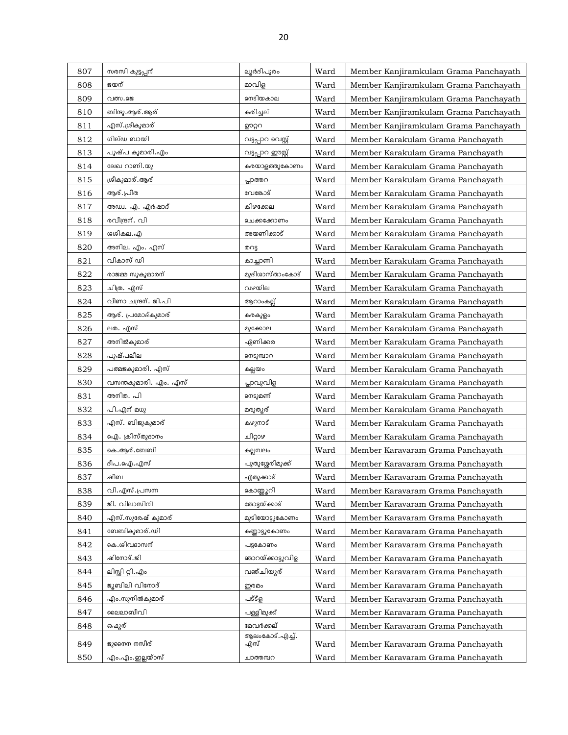| 807 | സരസി കുട്ടപ്പന്      | ലൂർദിപുരം             | Ward | Member Kanjiramkulam Grama Panchayath |
|-----|----------------------|-----------------------|------|---------------------------------------|
| 808 | ജയന്                 | മാവിള                 | Ward | Member Kanjiramkulam Grama Panchayath |
| 809 | വത്സ.ജെ              | നെടിയകാല              | Ward | Member Kanjiramkulam Grama Panchayath |
| 810 | ബിന്ദു.ആര്.ആര്       | കരിച്ചല്              | Ward | Member Kanjiramkulam Grama Panchayath |
| 811 | എസ്.ശ്രീകുമാര്       | ഊറ്ററ                 | Ward | Member Kanjiramkulam Grama Panchayath |
| 812 | ഗില്ഡ ബായി           | വട്ടപ്പാറ വെസ്റ്റ്    | Ward | Member Karakulam Grama Panchayath     |
| 813 | പുഷ്പ കുമാരി.എം      | വട്ടപ്പാറ ഈസ്റ്റ്     | Ward | Member Karakulam Grama Panchayath     |
| 814 | ലേഖ റാണി.യു          | കരയാളത്തുകോണം         | Ward | Member Karakulam Grama Panchayath     |
| 815 | ശ്രീകുമാര്.ആര്       | പ്പാത്തറ              | Ward | Member Karakulam Grama Panchayath     |
| 816 | ആര്.പ്രീത            | വേങ്കോട്              | Ward | Member Karakulam Grama Panchayath     |
| 817 | അഡ്വ. എ. എർഷാദ്      | കിഴക്കേല              | Ward | Member Karakulam Grama Panchayath     |
| 818 | രവീന്ദ്രന്. വി       | ചെക്കക്കോണം           | Ward | Member Karakulam Grama Panchayath     |
| 819 | ശശികല.എ              | അയണിക്കാട്            | Ward | Member Karakulam Grama Panchayath     |
| 820 | അനില. എം. എസ്        | തറട്ട                 | Ward | Member Karakulam Grama Panchayath     |
| 821 | വികാസ് ഡി            | കാച്ചാണി              | Ward | Member Karakulam Grama Panchayath     |
| 822 | രാജമ്മ സുകുമാരന്     | മുദിശാസ്താംകോട്       | Ward | Member Karakulam Grama Panchayath     |
| 823 | ചിത്ര. എസ്           | വഴയില                 | Ward | Member Karakulam Grama Panchayath     |
| 824 | വീണാ ചന്ദ്രന്. ജി.പി | <u>ആറാംകല്ല്</u>      | Ward | Member Karakulam Grama Panchayath     |
| 825 | ആര്. പ്രമോദ്കുമാര്   | കരകുളം                | Ward | Member Karakulam Grama Panchayath     |
| 826 | ലത. എസ്              | മുക്കോല               | Ward | Member Karakulam Grama Panchayath     |
| 827 | അനിൽകുമാര്           | ഏണിക്കര               | Ward | Member Karakulam Grama Panchayath     |
| 828 | പുഷ്പലീല             | നെടുമ്പാറ             | Ward | Member Karakulam Grama Panchayath     |
| 829 | പത്മജകുമാരി. എസ്     | കല്ലയം                | Ward | Member Karakulam Grama Panchayath     |
| 830 | വസന്തകുമാരി. എം. എസ് | പ്ലാവുവിള             | Ward | Member Karakulam Grama Panchayath     |
| 831 | അനിത. പി             | നെടുമണ്               | Ward | Member Karakulam Grama Panchayath     |
| 832 | പി.എന് മധു           | മരുത്യര്              | Ward | Member Karakulam Grama Panchayath     |
| 833 | എസ്. ബിജുകുമാര്      | കഴുനാട്               | Ward | Member Karakulam Grama Panchayath     |
| 834 | ഐ. ക്രിസ്തുദാനം      | பிറ്റാഴ               | Ward | Member Karakulam Grama Panchayath     |
| 835 | കെ.ആര്.ബേബി          | കല്ലമ്പലം             | Ward | Member Karavaram Grama Panchayath     |
| 836 | ദീപ.ഐ.എസ്            | പുതുശ്ശേരിമുക്ക്      | Ward | Member Karavaram Grama Panchayath     |
| 837 | ഷീബ                  | എതുക്കാട്             | Ward | Member Karavaram Grama Panchayath     |
| 838 | വി.എസ്.പ്രസന്ന       | കൊണ്ണൂറി              | Ward | Member Karavaram Grama Panchayath     |
| 839 | ജി. വിലാസിനി         | തോട്ടയ്ക്കാട്         | Ward | Member Karavaram Grama Panchayath     |
| 840 | എസ്.സുരേഷ് കുമാര്    | മുടിയോട്ടുകോണം        | Ward | Member Karavaram Grama Panchayath     |
| 841 | ബേബികുമാര്.ഡി        | കണ്ണാട്ടുകോണം         | Ward | Member Karavaram Grama Panchayath     |
| 842 | കെ.ശിവദാസന്          | പട്ടകോണം              | Ward | Member Karavaram Grama Panchayath     |
| 843 | ഷിനോദ്.ജി            | ഞാറയ്ക്കാട്ടുവിള      | Ward | Member Karavaram Grama Panchayath     |
| 844 | ലിസ്സി റ്റി.എം       | വഞ്ചിയൂര്             | Ward | Member Karavaram Grama Panchayath     |
| 845 | ജൂബിലി വിനോദ്        | ഇരമം                  | Ward | Member Karavaram Grama Panchayath     |
| 846 | എം.സുനിൽകുമാര്       | പട്ട്ള                | Ward | Member Karavaram Grama Panchayath     |
| 847 | ലൈാബീവി              | പള്ളിമുക്ക്           | Ward | Member Karavaram Grama Panchayath     |
| 848 | ഒഫ്യര്               | മേവർക്കല്             | Ward | Member Karavaram Grama Panchayath     |
| 849 | ജുനൈന നസീര്          | ആലംകോട്.എച്ച്.<br>എസ് | Ward | Member Karavaram Grama Panchayath     |
| 850 | എം.എം.ഇല്ലയ്ാസ്      | ചാത്തമ്പറ             | Ward | Member Karavaram Grama Panchayath     |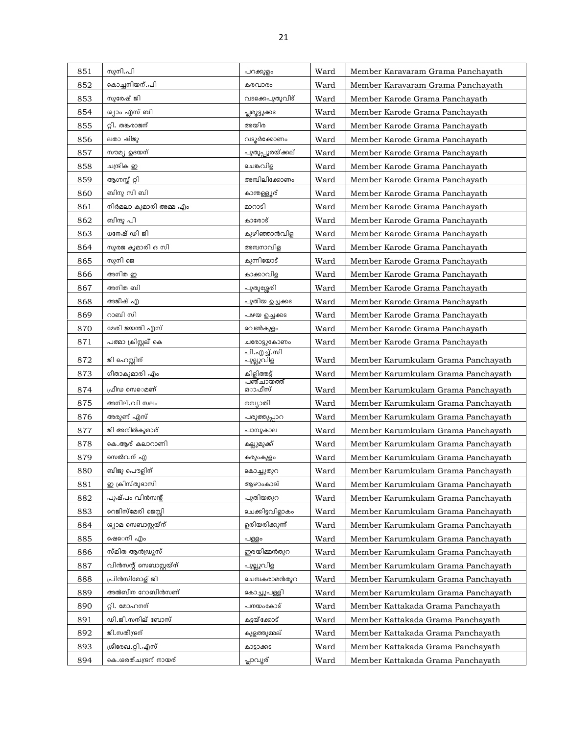| 851 | സുനി.പി                | പറക്കുളം                 | Ward | Member Karavaram Grama Panchayath  |
|-----|------------------------|--------------------------|------|------------------------------------|
| 852 | കൊച്ചനിയന്.പി          | കരവാരം                   | Ward | Member Karavaram Grama Panchayath  |
| 853 | സുരേഷ് ജി              | വടക്കെപുതുവീട്           | Ward | Member Karode Grama Panchayath     |
| 854 | ശ്യാം എസ് ബി           | പ്ലമൂട്ടുക്കട            | Ward | Member Karode Grama Panchayath     |
| 855 | റ്റി. തങ്കരാജന്        | അയിര                     | Ward | Member Karode Grama Panchayath     |
| 856 | ലതാ ഷിജു               | വടുർക്കോണം               | Ward | Member Karode Grama Panchayath     |
| 857 | സൗമ്യ ഉദയന്            | പുതുപ്പുരയ്ക്കല്         | Ward | Member Karode Grama Panchayath     |
| 858 | ചന്ദ്രിക ഇ             | ചെങ്കവിള                 | Ward | Member Karode Grama Panchayath     |
| 859 | ആഗ്നസ്സ് റ്റി          | അമ്പിലിക്കോണം            | Ward | Member Karode Grama Panchayath     |
| 860 | ബിനു സി ബി             | കാന്തള്ളൂര്              | Ward | Member Karode Grama Panchayath     |
| 861 | നിർമലാ കുമാരി അമ്മ എം  | മാറാടി                   | Ward | Member Karode Grama Panchayath     |
| 862 | ബിന്ദു പി              | കാരോട്                   | Ward | Member Karode Grama Panchayath     |
| 863 | ധനേഷ് ഡി ജി            | കുഴിഞ്ഞാൻവിള             | Ward | Member Karode Grama Panchayath     |
| 864 | സുരജ കുമാരി ഒ സി       | അമ്പനാവിള                | Ward | Member Karode Grama Panchayath     |
| 865 | സുനി ജെ                | കുന്നിയോട്               | Ward | Member Karode Grama Panchayath     |
| 866 | അനിത ഇ                 | കാക്കാവിള                | Ward | Member Karode Grama Panchayath     |
| 867 | അനിത ബി                | പുതുശ്ശേരി               | Ward | Member Karode Grama Panchayath     |
| 868 | അജീഷ് എ                | പുതിയ ഉച്ചക്കട           | Ward | Member Karode Grama Panchayath     |
| 869 | റാബി സി                | പഴയ ഉച്ചക്കട             | Ward | Member Karode Grama Panchayath     |
| 870 | മേരി ജയന്തി എസ്        | വെൺകുളം                  | Ward | Member Karode Grama Panchayath     |
| 871 | പത്മാ ക്രിസ്റ്റല് കെ   | ചരോട്ടുകോണം              | Ward | Member Karode Grama Panchayath     |
| 872 | ജി ഹെസ്റ്റിന്          | പി.എച്ച്.സി<br>പുല്ലുവിള | Ward | Member Karumkulam Grama Panchayath |
| 873 | ഗീതാകുമാരി എം          | കിളിത്തട്ട്              | Ward | Member Karumkulam Grama Panchayath |
| 874 | ഫ്രീഡ സെെമണ്           | പഞ്ചായത്ത്<br>ഓഫീസ്      | Ward | Member Karumkulam Grama Panchayath |
| 875 | അനില്.വി സലം           | നമ്പ്യാതി                | Ward | Member Karumkulam Grama Panchayath |
| 876 | അരുണ് എസ്              | പരുത്തുപ്പാറ             | Ward | Member Karumkulam Grama Panchayath |
| 877 | ജി അനിൽകുമാര്          | പാമ്പുകാല                | Ward | Member Karumkulam Grama Panchayath |
| 878 | കെ.ആര് കലാറാണി         | കല്ലുമുക്ക്              | Ward | Member Karumkulam Grama Panchayath |
| 879 | സെൽവന് എ               | കരുംകുളം                 | Ward | Member Karumkulam Grama Panchayath |
| 880 | ബിജു പൌളിന്            | കൊച്ചുതുറ                | Ward | Member Karumkulam Grama Panchayath |
| 881 | ഇ ക്രിസ്തുദാസി         | ആഴാംകാല്                 | Ward | Member Karumkulam Grama Panchayath |
| 882 | പുഷ്പം വിൻസന്റ്        | പുതിയതുറ                 | Ward | Member Karumkulam Grama Panchayath |
| 883 | റെജിസ്മേരി ജെസ്സി      | ചെക്കിട്ടവിളാകം          | Ward | Member Karumkulam Grama Panchayath |
| 884 | ശ്യാമ സെബാസ്റ്റയ്ന്    | ഉരിയരിക്കുന്ന്           | Ward | Member Karumkulam Grama Panchayath |
| 885 | ഷെെനി എം               | പള്ളം                    | Ward | Member Karumkulam Grama Panchayath |
| 886 | സ്മിത ആൻഡ്രൂസ്         | ഇരയിമ്മൻതുറ              | Ward | Member Karumkulam Grama Panchayath |
| 887 | വിൻസന്റ് സെബാസ്റ്റയ്ന് | പുല്ലുവിള                | Ward | Member Karumkulam Grama Panchayath |
| 888 | പ്രിൻസിമോള് ജി         | ചെമ്പകരാമൻതുറ            | Ward | Member Karumkulam Grama Panchayath |
| 889 | അൽബീന റോബിൻസണ്         | കൊച്ചുപള്ളി              | Ward | Member Karumkulam Grama Panchayath |
| 890 | റ്റി. മോഹനന്           | പനയംകോട്                 | Ward | Member Kattakada Grama Panchayath  |
| 891 | ഡി.ജി.സനില് ബോസ്       | കട്ടയ്ക്കോട്             | Ward | Member Kattakada Grama Panchayath  |
| 892 | ജി.സതീന്ദ്രന്          | കുളത്തുമ്മല്             | Ward | Member Kattakada Grama Panchayath  |
| 893 | ശ്രീരേഖ.റ്റി.എസ്       | കാട്ടാക്കട               | Ward | Member Kattakada Grama Panchayath  |
| 894 | കെ.ശരത്ചന്ദ്രന് നായര്  | പ്ലാവൂര്                 | Ward | Member Kattakada Grama Panchayath  |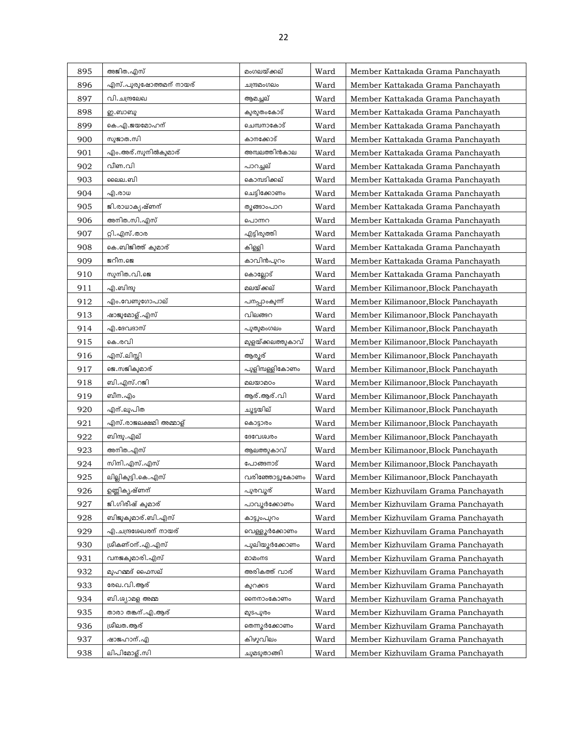| 895 | അജിത.എസ്                   | മംഗലയ്ക്കല്       | Ward | Member Kattakada Grama Panchayath   |
|-----|----------------------------|-------------------|------|-------------------------------------|
| 896 | എസ്.പുരുഷോത്തമന് നായര്     | ചന്ദ്രമംഗലം       | Ward | Member Kattakada Grama Panchayath   |
| 897 | വി.ചന്ദ്രലേഖ               | ആമച്ചല്           | Ward | Member Kattakada Grama Panchayath   |
| 898 | ഇ.ബാബു                     | കുരുതംകോട്        | Ward | Member Kattakada Grama Panchayath   |
| 899 | കെ.എ.ജയമോഹന്               | ചെമ്പനാകോട്       | Ward | Member Kattakada Grama Panchayath   |
| 900 | സുജാത.സി                   | കാനക്കോട്         | Ward | Member Kattakada Grama Panchayath   |
| 901 | എം.അര്.സുനിൽകുമാര്         | അമ്പലത്തിൻകാല     | Ward | Member Kattakada Grama Panchayath   |
| 902 | വീണ.വി                     | പാറച്ചല്          | Ward | Member Kattakada Grama Panchayath   |
| 903 | ലൈല. ബി                    | കൊമ്പടിക്കല്      | Ward | Member Kattakada Grama Panchayath   |
| 904 | എ.രാധ                      | ചെട്ടിക്കോണം      | Ward | Member Kattakada Grama Panchayath   |
| 905 | ജി.രാധാകൃഷ്ണന്             | തുങ്ങാംപാറ        | Ward | Member Kattakada Grama Panchayath   |
| 906 | അനിത.സി.എസ്                | പൊന്നറ            | Ward | Member Kattakada Grama Panchayath   |
| 907 | റ്റി.എസ്.താര               | എട്ടിരുത്തി       | Ward | Member Kattakada Grama Panchayath   |
| 908 | കെ.ബിജിത്ത് കുമാര്         | കിള്ളി            | Ward | Member Kattakada Grama Panchayath   |
| 909 | ജറീന.ജെ                    | കാവിൻപുറം         | Ward | Member Kattakada Grama Panchayath   |
| 910 | സുനിത.വി.ജെ                | കൊല്ലോട്          | Ward | Member Kattakada Grama Panchayath   |
| 911 | എ.ബിന്ദു                   | മലയ്ക്കല്         | Ward | Member Kilimanoor, Block Panchayath |
| 912 | എം.വേണുഗോപാല്              | പനപ്പാംകുന്ന്     | Ward | Member Kilimanoor, Block Panchayath |
| 913 | ഷാജുമോള്.എസ്               | വിലങ്ങറ           | Ward | Member Kilimanoor, Block Panchayath |
| 914 | എ.ദേവദാസ്                  | പുതുമംഗലം         | Ward | Member Kilimanoor, Block Panchayath |
| 915 | കെ.രവി                     | മുളയ്ക്കലത്തുകാവ് | Ward | Member Kilimanoor, Block Panchayath |
| 916 | എസ്.ലിസ്സി                 | ആരൂര്             | Ward | Member Kilimanoor, Block Panchayath |
| 917 | ജെ.സജികുമാര്               | പുളിമ്പള്ളികോണം   | Ward | Member Kilimanoor, Block Panchayath |
| 918 | ബി.എസ്.റജി                 | മലയാമഠം           | Ward | Member Kilimanoor, Block Panchayath |
| 919 | ബീന. എം                    | ആര്.ആര്.വി        | Ward | Member Kilimanoor, Block Panchayath |
| 920 | എന്.ലുപിത                  | ചൂട്ടയില്         | Ward | Member Kilimanoor, Block Panchayath |
| 921 | എസ്.രാജലക്ഷമി അമ്മാള്      | കൊട്ടാരം          | Ward | Member Kilimanoor, Block Panchayath |
| 922 | ബിന്ദു.എല്                 | ദേവേശ്വരം         | Ward | Member Kilimanoor, Block Panchayath |
| 923 | അനിത.എസ്                   | ആലത്തുകാവ്        | Ward | Member Kilimanoor, Block Panchayath |
| 924 | സിനി.എസ്.എസ്               | പോങ്ങനാട്         | Ward | Member Kilimanoor, Block Panchayath |
| 925 | <u>ലില്ലികുട്ടി.കെ.എസ്</u> | വരിഞ്ഞോട്ടുകോണം   | Ward | Member Kilimanoor, Block Panchayath |
| 926 | ഉണ്ണികൃഷ്ണന്               | പുരവൂര്           | Ward | Member Kizhuvilam Grama Panchayath  |
| 927 | ജി.ഗിരീഷ് കുമാര്           | പാവൂർക്കോണം       | Ward | Member Kizhuvilam Grama Panchayath  |
| 928 | ബിജുകുമാര്.ബി.എസ്          | കാട്ടുംപുറം       | Ward | Member Kizhuvilam Grama Panchayath  |
| 929 | എ.ചന്ദ്രശേഖരന് നായര്       | വെള്ളൂർക്കോണം     | Ward | Member Kizhuvilam Grama Panchayath  |
| 930 | ശ്രീകണ്ഠന്. എ. എസ്         | പുലിയൂർക്കോണം     | Ward | Member Kizhuvilam Grama Panchayath  |
| 931 | വനജകുമാരി.എസ്              | മാമംനട            | Ward | Member Kizhuvilam Grama Panchayath  |
| 932 | മുഹമ്മദ് ഫൈസല്             | അരികത്ത് വാര്     | Ward | Member Kizhuvilam Grama Panchayath  |
| 933 | രേഖ.വി.ആര്                 | കുറക്കട           | Ward | Member Kizhuvilam Grama Panchayath  |
| 934 | ബി.ശ്യാമള അമ്മ             | ഩൈനാംകോണം         | Ward | Member Kizhuvilam Grama Panchayath  |
| 935 | താരാ തങ്കന്.എ.ആര്          | മുടപുരം           | Ward | Member Kizhuvilam Grama Panchayath  |
| 936 | ശ്രീലത.ആര്                 | തെന്നുർക്കോണം     | Ward | Member Kizhuvilam Grama Panchayath  |
| 937 | ഷാജഹാന്.എ                  | കിഴുവിലം          | Ward | Member Kizhuvilam Grama Panchayath  |
| 938 | ലിപിമോള്.സി                | ചുമടുതാങ്ങി       | Ward | Member Kizhuvilam Grama Panchayath  |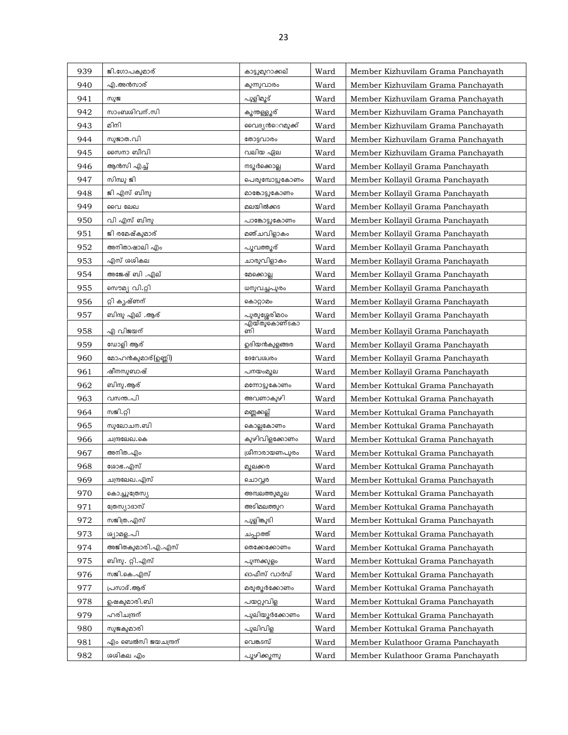| 939 | ജി.ഗോപകുമാര്          | കാട്ടുമുറാക്കല്     | Ward | Member Kizhuvilam Grama Panchayath |
|-----|-----------------------|---------------------|------|------------------------------------|
| 940 | എ.അൻസാര്              | കുന്നുവാരം          | Ward | Member Kizhuvilam Grama Panchayath |
| 941 | സുജ                   | പുളിമൂട്            | Ward | Member Kizhuvilam Grama Panchayath |
| 942 | സാംബശിവന്.സി          | കൂന്തള്ളൂര്         | Ward | Member Kizhuvilam Grama Panchayath |
| 943 | മിനി                  | വൈദ്യൻെറമുക്ക്      | Ward | Member Kizhuvilam Grama Panchayath |
| 944 | സുജാത.വി              | തോട്ടവാരം           | Ward | Member Kizhuvilam Grama Panchayath |
| 945 | സൈനാ ബീവി             | വലിയ ഏല             | Ward | Member Kizhuvilam Grama Panchayath |
| 946 | ആൻസി എച്ച്            | നടുർക്കൊല്ല         | Ward | Member Kollayil Grama Panchayath   |
| 947 | സിന്ധു ജി             | പെരുമ്പോട്ടുകോണം    | Ward | Member Kollayil Grama Panchayath   |
| 948 | ജി എസ് ബിനു           | മാങ്കോട്ടുകോണം      | Ward | Member Kollayil Grama Panchayath   |
| 949 | വൈ ലേഖ                | മലയിൽക്കട           | Ward | Member Kollayil Grama Panchayath   |
| 950 | വി എസ് ബിനു           | പാങ്കോട്ടുകോണം      | Ward | Member Kollayil Grama Panchayath   |
| 951 | ജി രമേഷ്കുമാര്        | മഞ്ചവിളാകം          | Ward | Member Kollayil Grama Panchayath   |
| 952 | അനിതാഷാലി എം          | പൂവത്തൂര്           | Ward | Member Kollayil Grama Panchayath   |
| 953 | എസ് ശശികല             | ചാരുവിളാകം          | Ward | Member Kollayil Grama Panchayath   |
| 954 | അജേഷ് ബി .എല്         | മേക്കൊല്ല           | Ward | Member Kollayil Grama Panchayath   |
| 955 | സൌമ്യ വി.റ്റി         | ധനുവച്ചപുരം         | Ward | Member Kollayil Grama Panchayath   |
| 956 | റ്റി കൃഷ്ണന്          | കൊറ്റാമം            | Ward | Member Kollayil Grama Panchayath   |
| 957 | ബിന്ദു എല് .ആര്       | പുതുശ്ശേരിമഠം       | Ward | Member Kollayil Grama Panchayath   |
| 958 | എ വിജയന്              | എയ്തു്കൊണ്ടകാ<br>ണി | Ward | Member Kollayil Grama Panchayath   |
| 959 | ഡോളി ആര്              | ഉദിയൻകുളങ്ങര        | Ward | Member Kollayil Grama Panchayath   |
| 960 | മോഹൻകുമാര്(ഉണ്ണി)     | ദേവേശ്വരം           | Ward | Member Kollayil Grama Panchayath   |
| 961 | ഷീനസുബാഷ്             | പനയംമുല             | Ward | Member Kollayil Grama Panchayath   |
| 962 | ബിനു.ആര്              | മന്നോട്ടുകോണം       | Ward | Member Kottukal Grama Panchayath   |
| 963 | വസന്ത.പി              | അവണാകുഴി            | Ward | Member Kottukal Grama Panchayath   |
| 964 | സജി.റ്റി              | മണ്ണക്കല്ല്         | Ward | Member Kottukal Grama Panchayath   |
| 965 | സുലോചന.ബി             | കൊല്ലകോണം           | Ward | Member Kottukal Grama Panchayath   |
| 966 | ചന്ദ്രലേഖ.കെ          | കുഴിവിളക്കോണം       | Ward | Member Kottukal Grama Panchayath   |
| 967 | അനിത.എം               | ശ്രീനാരായണപുരം      | Ward | Member Kottukal Grama Panchayath   |
| 968 | ശോഭ.എസ്               | മുലക്കര             | Ward | Member Kottukal Grama Panchayath   |
| 969 | <u>ചന്ദ്രലേ</u> ഖ.എസ് | ചൊവ്വര              | Ward | Member Kottukal Grama Panchayath   |
| 970 | കൊച്ചുത്രേസ്യ         | അമ്പലത്തുമുല        | Ward | Member Kottukal Grama Panchayath   |
| 971 | ത്രേസ്യാദാസ്          | അടിമലത്തുറ          | Ward | Member Kottukal Grama Panchayath   |
| 972 | സജിത്ര.എസ്            | പുളിങ്കുടി          | Ward | Member Kottukal Grama Panchayath   |
| 973 | ശ്യാമള.പി             | ചപ്പാത്ത്           | Ward | Member Kottukal Grama Panchayath   |
| 974 | അജിതകുമാരി.എ.എസ്      | തെക്കേക്കോണം        | Ward | Member Kottukal Grama Panchayath   |
| 975 | ബിനു. റ്റി.എസ്        | പുന്നക്കുളം         | Ward | Member Kottukal Grama Panchayath   |
| 976 | സജി.കെ.എസ്            | ഓഫീസ് വാർഡ്         | Ward | Member Kottukal Grama Panchayath   |
| 977 | പ്രസാദ്.ആര്           | മരുതുർക്കോണം        | Ward | Member Kottukal Grama Panchayath   |
| 978 | ഉഷകുമാരി.ബി           | പയറ്റുവിള           | Ward | Member Kottukal Grama Panchayath   |
| 979 | ഹരിചന്ദ്രന്           | പുലിയൂർക്കോണം       | Ward | Member Kottukal Grama Panchayath   |
| 980 | സുജകുമാരി             | പുലിവിള             | Ward | Member Kottukal Grama Panchayath   |
| 981 | എം ബെൽസി ജയചന്ദ്രന്   | വെങ്കടമ്പ്          | Ward | Member Kulathoor Grama Panchayath  |
| 982 | ശശികല എം              | പ്പൂഴിക്കുന്നു      | Ward | Member Kulathoor Grama Panchayath  |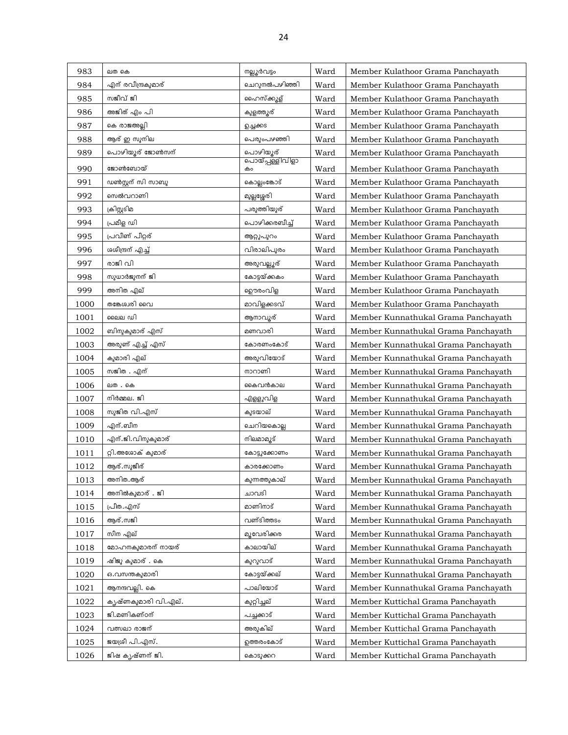| 983  | ലത കെ               | നല്ലൂർവട്ടം                  | Ward | Member Kulathoor Grama Panchayath   |
|------|---------------------|------------------------------|------|-------------------------------------|
| 984  | എന് രവീന്ദ്രകുമാര്  | ചെറുനൽപഴിഞ്ഞി                | Ward | Member Kulathoor Grama Panchayath   |
| 985  | സജീവ് ജി            | ഹൈസ്ക്കൂള്                   | Ward | Member Kulathoor Grama Panchayath   |
| 986  | അജിത് എം പി         | കുളത്ത്യര്                   | Ward | Member Kulathoor Grama Panchayath   |
| 987  | കെ രാജഅല്ലി         | வுகை                         | Ward | Member Kulathoor Grama Panchayath   |
| 988  | ആര് ഇ സുനില         | പെരുംപഴഞ്ഞി                  | Ward | Member Kulathoor Grama Panchayath   |
| 989  | പൊഴിയൂര് ജോൺസന്     | പൊഴിയൂര്                     | Ward | Member Kulathoor Grama Panchayath   |
| 990  | ജോൺബോയ്             | <u>പൊയ്പ്പള്ളിവിളാ</u><br>കം | Ward | Member Kulathoor Grama Panchayath   |
| 991  | ഡൺസ്റ്റന് സി സാബൂ   | കൊല്ലംങ്കോട്                 | Ward | Member Kulathoor Grama Panchayath   |
| 992  | സെൽവറാണി            | മുല്ലശ്ശേരി                  | Ward | Member Kulathoor Grama Panchayath   |
| 993  | ക്രിസ്റ്റടിമ        | പരുത്തിയുര്                  | Ward | Member Kulathoor Grama Panchayath   |
| 994  | പ്രമീള ഡി           | പൊഴിക്കരബീച്ച്               | Ward | Member Kulathoor Grama Panchayath   |
| 995  | പ്രവീണ് പീറ്റര്     | ആറ്റുപുറം                    | Ward | Member Kulathoor Grama Panchayath   |
| 996  | ശശീന്ദ്രന് എച്ച്    | വിരാലിപുരം                   | Ward | Member Kulathoor Grama Panchayath   |
| 997  | രാജി വി             | അരുവല്ലൂര്                   | Ward | Member Kulathoor Grama Panchayath   |
| 998  | സുധാർജുനന് ജി       | കോട്ടയ്ക്കകം                 | Ward | Member Kulathoor Grama Panchayath   |
| 999  | അനിത എല്            | ഊരംവിള                       | Ward | Member Kulathoor Grama Panchayath   |
| 1000 | തങ്കേശ്വരി വൈ       | മാവിളക്കടവ്                  | Ward | Member Kulathoor Grama Panchayath   |
| 1001 | ലൈല ഡി              | ആനാവൂര്                      | Ward | Member Kunnathukal Grama Panchayath |
| 1002 | ബിനുകുമാര് എസ്      | മണവാരി                       | Ward | Member Kunnathukal Grama Panchayath |
| 1003 | അരുണ് എച്ച് എസ്     | കോരണംകോട്                    | Ward | Member Kunnathukal Grama Panchayath |
| 1004 | കുമാരി എല്          | അരുവിയോട്                    | Ward | Member Kunnathukal Grama Panchayath |
| 1005 | സജിത . എന്          | നാറാണി                       | Ward | Member Kunnathukal Grama Panchayath |
| 1006 | ലത . കെ             | കൈവൻകാല                      | Ward | Member Kunnathukal Grama Panchayath |
| 1007 | നിർമ്മല. ജി         | എള്ളുവിള                     | Ward | Member Kunnathukal Grama Panchayath |
| 1008 | സുജിത വി.എസ്        | കുടയാല്                      | Ward | Member Kunnathukal Grama Panchayath |
| 1009 | എന്.ബീന             | ചെറിയകൊല്ല                   | Ward | Member Kunnathukal Grama Panchayath |
| 1010 | എന്.ജി.വിനുകുമാര്   | നിലമാമൂട്                    | Ward | Member Kunnathukal Grama Panchayath |
| 1011 | റ്റി.അശോക് കുമാര്   | കോട്ടുക്കോണം                 | Ward | Member Kunnathukal Grama Panchayath |
| 1012 | ആര്.സുജീര്          | കാരക്കോണം                    | Ward | Member Kunnathukal Grama Panchayath |
| 1013 | അനിത.ആര്            | കുന്നത്തുകാല്                | Ward | Member Kunnathukal Grama Panchayath |
| 1014 | അനിൽകുമാര് . ജി     | ചാവടി                        | Ward | Member Kunnathukal Grama Panchayath |
| 1015 | പ്രീത.എസ്           | മാണിനാട്                     | Ward | Member Kunnathukal Grama Panchayath |
| 1016 | ആര്.സജി             | വണ്ടിത്തടം                   | Ward | Member Kunnathukal Grama Panchayath |
| 1017 | സീന എല്             | മൂവേരിക്കര                   | Ward | Member Kunnathukal Grama Panchayath |
| 1018 | മോഹനകുമാരന് നായര്   | കാലായില്                     | Ward | Member Kunnathukal Grama Panchayath |
| 1019 | ഷിജു കുമാര് . കെ    | കുറുവാട്                     | Ward | Member Kunnathukal Grama Panchayath |
| 1020 | ഒ.വസന്തകുമാരി       | കോട്ടയ്ക്കല്                 | Ward | Member Kunnathukal Grama Panchayath |
| 1021 | ആനന്ദവല്ലി. കെ      | പാലിയോട്                     | Ward | Member Kunnathukal Grama Panchayath |
| 1022 | കൃഷ്ണകുമാരി വി.എല്. | കുറ്റിച്ചല്                  | Ward | Member Kuttichal Grama Panchayath   |
| 1023 | ജി.മണികണ്ഠന്        | പച്ചക്കാട്                   | Ward | Member Kuttichal Grama Panchayath   |
| 1024 | വത്സലാ രാജന്        | അരുകില്                      | Ward | Member Kuttichal Grama Panchayath   |
| 1025 | ജയശ്രീ പി.എസ്.      | ഉത്തരംകോട്                   | Ward | Member Kuttichal Grama Panchayath   |
| 1026 | ജിഷ കൃഷ്ണന് ജി.     | കൊടുക്കറ                     | Ward | Member Kuttichal Grama Panchayath   |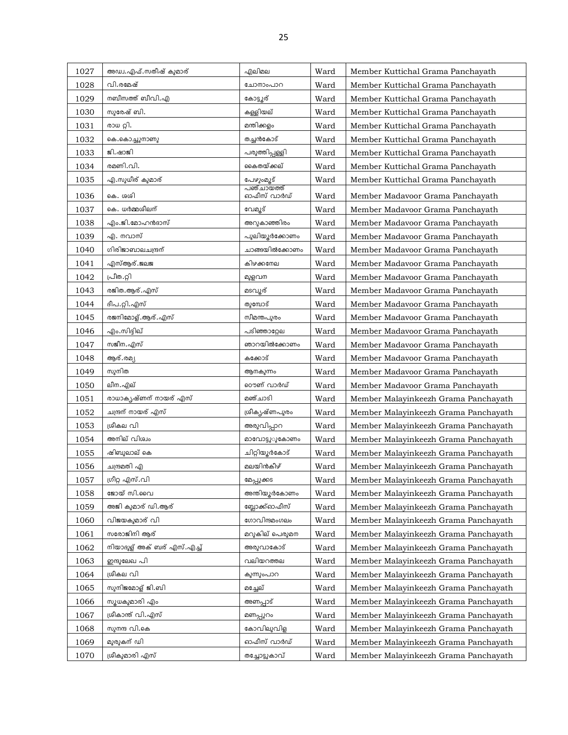| 1027 | അഡ്വ.എഫ്.സതീഷ് കുമാര്      | എലിമല          | Ward | Member Kuttichal Grama Panchayath    |
|------|----------------------------|----------------|------|--------------------------------------|
| 1028 | വി.രമേഷ്                   | ചോനാംപാറ       | Ward | Member Kuttichal Grama Panchayath    |
| 1029 | നബീസത്ത് ബീവി.എ            | കോട്ടൂര്       | Ward | Member Kuttichal Grama Panchayath    |
| 1030 | സുരേഷ് ബി.                 | കള്ളിയല്       | Ward | Member Kuttichal Grama Panchayath    |
| 1031 | രാധ റ്റി.                  | മന്തിക്കളം     | Ward | Member Kuttichal Grama Panchayath    |
| 1032 | കെ.കൊച്ചുനാണു              | തച്ചൻകോട്      | Ward | Member Kuttichal Grama Panchayath    |
| 1033 | ജി.ഷാജി                    | പരുത്തിപ്പള്ളി | Ward | Member Kuttichal Grama Panchayath    |
| 1034 | രമണി.വി.                   | കൈതയ്ക്കല്     | Ward | Member Kuttichal Grama Panchayath    |
| 1035 | എ.സുധീര് കുമാര്            | പേഴുംമൂട്      | Ward | Member Kuttichal Grama Panchayath    |
| 1036 | കെ. ശശി                    | ഓഫീസ് വാർഡ്    | Ward | Member Madavoor Grama Panchayath     |
| 1037 | കെ. ധർമ്മശീലന്             | വേമൂട്         | Ward | Member Madavoor Grama Panchayath     |
| 1038 | എം.ജി.മോഹൻദാസ്             | അറുകാഞ്ഞിരം    | Ward | Member Madavoor Grama Panchayath     |
| 1039 | എ. നവാസ്                   | പുലിയൂർക്കോണം  | Ward | Member Madavoor Grama Panchayath     |
| 1040 | ഗിരിജാബാലചന്ദ്രന്          | ചാങ്ങയിൽക്കോണം | Ward | Member Madavoor Grama Panchayath     |
| 1041 | എസ്ആര്.ജലജ                 | കിഴക്കനേല      | Ward | Member Madavoor Grama Panchayath     |
| 1042 | പ്രീത.റ്റി                 | മുളവന          | Ward | Member Madavoor Grama Panchayath     |
| 1043 | രജിത.ആര്.എസ്               | മടവുര്         | Ward | Member Madavoor Grama Panchayath     |
| 1044 | ദീപ.റ്റി.എസ്               | തുമ്പോട്       | Ward | Member Madavoor Grama Panchayath     |
| 1045 | രജനിമോള്.ആര്.എസ്           | സീമന്തപുരം     | Ward | Member Madavoor Grama Panchayath     |
| 1046 | എം.സിദ്ദിഖ്                | പടിഞ്ഞാറ്റേല   | Ward | Member Madavoor Grama Panchayath     |
| 1047 | സജീന.എസ്                   | ഞാറയിൽക്കോണം   | Ward | Member Madavoor Grama Panchayath     |
| 1048 | ആര്.രമ്യ                   | കക്കോട്        | Ward | Member Madavoor Grama Panchayath     |
| 1049 | സുനിത                      | ആനകുന്നം       | Ward | Member Madavoor Grama Panchayath     |
| 1050 | ലീന.എല്                    | റൌണ് വാർഡ്     | Ward | Member Madavoor Grama Panchayath     |
| 1051 | രാധാകൃഷ്ണന് നായര് എസ്      | മഞ്ചാടി        | Ward | Member Malayinkeezh Grama Panchayath |
| 1052 | ചന്ദ്രന് നായര് എസ്         | ശ്രീകൃഷ്ണപുരം  | Ward | Member Malayinkeezh Grama Panchayath |
| 1053 | ശ്രീകല വി                  | അരുവിപ്പാറ     | Ward | Member Malayinkeezh Grama Panchayath |
| 1054 | അനില് വിശ്വം               | മാവോട്ടുൂകോണം  | Ward | Member Malayinkeezh Grama Panchayath |
| 1055 | ഷിബുലാല് കെ                | ചിറ്റിയൂർകോട്  | Ward | Member Malayinkeezh Grama Panchayath |
| 1056 | ചന്ദ്രമതി എ                | മലയിൻകീഴ്      | Ward | Member Malayinkeezh Grama Panchayath |
| 1057 | ശ്രീറ്റ എസ്.വി             | മേപ്പുക്കട     | Ward | Member Malayinkeezh Grama Panchayath |
| 1058 | ജോയ് സി.വൈ                 | അന്തിയൂർകോണം   | Ward | Member Malayinkeezh Grama Panchayath |
| 1059 | അജി കുമാര് ഡി.ആര്          | ബ്ലോക്ക്ഓഫീസ്  | Ward | Member Malayinkeezh Grama Panchayath |
| 1060 | വിജയകുമാര് വി              | ഗോവിന്ദമംഗലം   | Ward | Member Malayinkeezh Grama Panchayath |
| 1061 | സരോജിനി ആര്                | മറുകില് പെരുമന | Ward | Member Malayinkeezh Grama Panchayath |
| 1062 | നിയാദുള് അക് ബര് എസ്.എച്ച് | അരുവാകോട്      | Ward | Member Malayinkeezh Grama Panchayath |
| 1063 | ഇന്ദുലേഖ പി                | വലിയറത്തല      | Ward | Member Malayinkeezh Grama Panchayath |
| 1064 | ശ്രീകല വി                  | കുന്നുംപാറ     | Ward | Member Malayinkeezh Grama Panchayath |
| 1065 | സുനിജമോള് ജി.ബി            | മച്ചേല്        | Ward | Member Malayinkeezh Grama Panchayath |
| 1066 | സൂധകുമാരി എം               | അണപ്പാട്       | Ward | Member Malayinkeezh Grama Panchayath |
| 1067 | ശ്രീകാന്ത് വി.എസ്          | മണപ്പുറം       | Ward | Member Malayinkeezh Grama Panchayath |
| 1068 | സുനന്ദ വി.കെ               | കോവിലുവിള      | Ward | Member Malayinkeezh Grama Panchayath |
| 1069 | മുരുകന് ഡി                 | ഓഫീസ് വാർഡ്    | Ward | Member Malayinkeezh Grama Panchayath |
| 1070 | ശ്രീകുമാരി എസ്             | തച്ചോട്ടുകാവ്  | Ward | Member Malayinkeezh Grama Panchayath |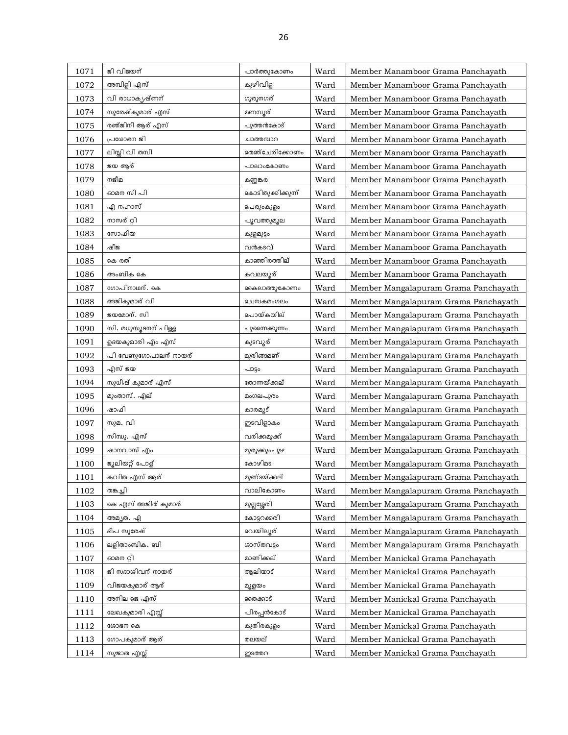| 1071 | ജി വിജയന്            | പാർത്തുകോണം        | Ward | Member Manamboor Grama Panchayath    |
|------|----------------------|--------------------|------|--------------------------------------|
| 1072 | അമ്പിളി എസ്          | കുഴിവിള            | Ward | Member Manamboor Grama Panchayath    |
| 1073 | വി രാധാകൃഷ്ണന്       | ഗുരുനഗര്           | Ward | Member Manamboor Grama Panchayath    |
| 1074 | സുരേഷ്കുമാര് എസ്     | മണമ്പൂര്           | Ward | Member Manamboor Grama Panchayath    |
| 1075 | രഞ്ജിനി ആര് എസ്      | പുത്തൻകോട്         | Ward | Member Manamboor Grama Panchayath    |
| 1076 | പ്രശോഭന ജി           | ചാത്തമ്പാറ         | Ward | Member Manamboor Grama Panchayath    |
| 1077 | ലിസ്സി വി തമ്പി      | തെഞ്ചേരിക്കോണം     | Ward | Member Manamboor Grama Panchayath    |
| 1078 | ജയ ആര്               | പാലാംകോണം          | Ward | Member Manamboor Grama Panchayath    |
| 1079 | നജീമ                 | കണ്ണങ്കര           | Ward | Member Manamboor Grama Panchayath    |
| 1080 | ഓമന സി പി            | കൊടിതുക്കിക്കുന്ന് | Ward | Member Manamboor Grama Panchayath    |
| 1081 | എ നഹാസ്              | പെരുംകുളം          | Ward | Member Manamboor Grama Panchayath    |
| 1082 | നാസര് റ്റി           | പുവത്തുമൂല         | Ward | Member Manamboor Grama Panchayath    |
| 1083 | സോഫിയ                | കുളമുട്ടം          | Ward | Member Manamboor Grama Panchayath    |
| 1084 | ഷീജ                  | വൻകടവ്             | Ward | Member Manamboor Grama Panchayath    |
| 1085 | കെ രതി               | കാഞ്ഞിരത്തില്      | Ward | Member Manamboor Grama Panchayath    |
| 1086 | അംബിക കെ             | കവലയൂര്            | Ward | Member Manamboor Grama Panchayath    |
| 1087 | ഗോപിനാഥന്. കെ        | കൈലാത്തുകോണം       | Ward | Member Mangalapuram Grama Panchayath |
| 1088 | അജികുമാര് വി         | ചെമ്പകമംഗലം        | Ward | Member Mangalapuram Grama Panchayath |
| 1089 | ജയമോന്. സി           | പൊയ്കയില്          | Ward | Member Mangalapuram Grama Panchayath |
| 1090 | സി. മധുസൂദനന് പിള്ള  | പുണൈക്കുന്നം       | Ward | Member Mangalapuram Grama Panchayath |
| 1091 | ഉദയകുമാരി എം എസ്     | കുടവൂര്            | Ward | Member Mangalapuram Grama Panchayath |
| 1092 | പി വേണുഗോപാലന് നായര് | മുരിങ്ങമണ്         | Ward | Member Mangalapuram Grama Panchayath |
| 1093 | എസ് ജയ               | പാട്ടം             | Ward | Member Mangalapuram Grama Panchayath |
| 1094 | സുധീഷ് കുമാര് എസ്    | തോന്നയ്ക്കല്       | Ward | Member Mangalapuram Grama Panchayath |
| 1095 | മുംതാസ്. എല്         | മംഗലപുരം           | Ward | Member Mangalapuram Grama Panchayath |
| 1096 |                      |                    |      |                                      |
|      | ഷാഫി                 | കാരമുട്            | Ward | Member Mangalapuram Grama Panchayath |
| 1097 | സുമ. വി              | ഇടവിളാകം           | Ward | Member Mangalapuram Grama Panchayath |
| 1098 | സിന്ധു. എസ്          | വരിക്കമുക്ക്       | Ward | Member Mangalapuram Grama Panchayath |
| 1099 | ഷാനവാസ് എം           | മുരുക്കുംപൂഴ       | Ward | Member Mangalapuram Grama Panchayath |
| 1100 | ജൂലിയറ്റ് പോള്       | കോഴിമട             | Ward | Member Mangalapuram Grama Panchayath |
| 1101 | കവിത എസ് ആര്         | മുണ്ടയ്ക്കല്       | Ward | Member Mangalapuram Grama Panchavath |
| 1102 | തങ്കച്ചി             | വാലികോണം           | Ward | Member Mangalapuram Grama Panchayath |
| 1103 | കെ എസ് അജിത് കുമാര്  | മുല്ലശ്ശേരി        | Ward | Member Mangalapuram Grama Panchayath |
| 1104 | അമ്യത. എ             | കോട്ടറക്കരി        | Ward | Member Mangalapuram Grama Panchayath |
| 1105 | ദീപ സുരേഷ്           | വെയിലൂര്           | Ward | Member Mangalapuram Grama Panchayath |
| 1106 | ലളിതാംബിക. ബി        | ശാസ്തവടം           | Ward | Member Mangalapuram Grama Panchayath |
| 1107 | ഓമന റ്റി             | മാണിക്കല്          | Ward | Member Manickal Grama Panchayath     |
| 1108 | ജി സദാശിവന് നായര്    | ആലിയാട്            | Ward | Member Manickal Grama Panchayath     |
| 1109 | വിജയകുമാര് ആര്       | മുളയം              | Ward | Member Manickal Grama Panchayath     |
| 1110 | അനില ജെ എസ്          | രൈക്കാട്           | Ward | Member Manickal Grama Panchayath     |
| 1111 | ലേഖകുമാരി എസ്സ്      | പിരപ്പൻകോട്        | Ward | Member Manickal Grama Panchayath     |
| 1112 | ശോഭന കെ              | കുതിരകുളം          | Ward | Member Manickal Grama Panchayath     |
| 1113 | ഗോപകുമാര് ആര്        | തലയല്              | Ward | Member Manickal Grama Panchayath     |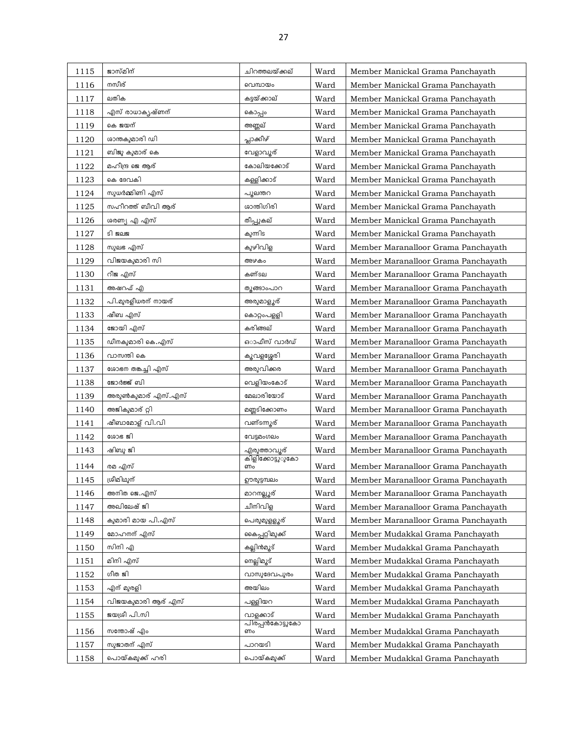| 1115 | ജാസ്മിന്           | ചിറത്തലയ്ക്കല്         | Ward | Member Manickal Grama Panchayath    |
|------|--------------------|------------------------|------|-------------------------------------|
| 1116 | നസീര്              | വെമ്പായം               | Ward | Member Manickal Grama Panchayath    |
| 1117 | ലതിക               | കട്ടയ്ക്കാല്           | Ward | Member Manickal Grama Panchayath    |
| 1118 | എസ് രാധാകൃഷ്ണന്    | കൊപ്പം                 | Ward | Member Manickal Grama Panchayath    |
| 1119 | കെ ജയന്            | അണ്ണല്                 | Ward | Member Manickal Grama Panchayath    |
| 1120 | ശാന്തകുമാരി ഡി     | പ്ലാക്കിഴ്             | Ward | Member Manickal Grama Panchayath    |
| 1121 | ബിജു കുമാര് കെ     | വേളാവൂര്               | Ward | Member Manickal Grama Panchayath    |
| 1122 | മഹീന്ദ്ര ജെ ആര്    | കോലിയക്കോട്            | Ward | Member Manickal Grama Panchayath    |
| 1123 | കെ ദേവകി           | കള്ളിക്കാട്            | Ward | Member Manickal Grama Panchayath    |
| 1124 | സുധർമ്മിണി എസ്     | പുലന്തറ                | Ward | Member Manickal Grama Panchayath    |
| 1125 | സഹീറത്ത് ബീവി ആര്  | ശാന്തിഗിരി             | Ward | Member Manickal Grama Panchayath    |
| 1126 | ശരണ്യ എ എസ്        | തീപ്പുകല്              | Ward | Member Manickal Grama Panchayath    |
| 1127 | ടി ജലജ             | കുന്നിട                | Ward | Member Manickal Grama Panchayath    |
| 1128 | സുലഭ എസ്           | കുഴിവിള                | Ward | Member Maranalloor Grama Panchayath |
| 1129 | വിജയകുമാരി സി      | അഴകം                   | Ward | Member Maranalloor Grama Panchayath |
| 1130 | റീജ എസ്            | കണ്ടല                  | Ward | Member Maranalloor Grama Panchayath |
| 1131 | അഷറഫ് എ            | തുങ്ങാംപാറ             | Ward | Member Maranalloor Grama Panchayath |
| 1132 | പി.മുരളീധരന് നായര് | അരുമാളൂര്              | Ward | Member Maranalloor Grama Panchayath |
| 1133 | ഷീബ എസ്            | കൊറ്റംപളളി             | Ward | Member Maranalloor Grama Panchayath |
| 1134 | ജോയി എസ്           | കരിങ്ങല്               | Ward | Member Maranalloor Grama Panchayath |
| 1135 | ഡീനകുമാരി കെ.എസ്   | ഓഫീസ് വാർഡ്            | Ward | Member Maranalloor Grama Panchayath |
| 1136 | വാസന്തി കെ         | കൂവളശ്ശേരി             | Ward | Member Maranalloor Grama Panchayath |
| 1137 | ശോഭന തങ്കച്ചി എസ്  | അരുവിക്കര              | Ward | Member Maranalloor Grama Panchayath |
| 1138 | ജോർജ്ജ് ബി         | വെളിയംകോട്             | Ward | Member Maranalloor Grama Panchayath |
| 1139 | അരുൺകുമാര് എസ്.എസ് | മേലാരിയോട്             | Ward | Member Maranalloor Grama Panchayath |
| 1140 | അജികുമാര് റ്റി     | മണ്ണടിക്കോണം           | Ward | Member Maranalloor Grama Panchayath |
| 1141 | ഷീബാമോള് വി.വി     | വണ്ടന്നൂര്             | Ward | Member Maranalloor Grama Panchayath |
| 1142 | ശോഭ ജി             | വേട്ടമംഗലം             | Ward | Member Maranalloor Grama Panchayath |
| 1143 | ഷിബു ജി            | എരുത്താവുര്            | Ward | Member Maranalloor Grama Panchayath |
| 1144 | രമ എസ്             | കിളിക്കോട്ടുരുകോ<br>ണം | Ward | Member Maranalloor Grama Panchayath |
| 1145 | ശ്രീമിഥുന്         | ഊരുട്ടമ്പലം            | Ward | Member Maranalloor Grama Panchayath |
| 1146 | അനിത ജെ.എസ്        | മാറനല്ലൂര്             | Ward | Member Maranalloor Grama Panchayath |
| 1147 | അഖിലേഷ് ജി         | ചീനിവിള                | Ward | Member Maranalloor Grama Panchayath |
| 1148 | കുമാരി മായ പി.എസ്  | പെരുമുളളൂര്            | Ward | Member Maranalloor Grama Panchayath |
| 1149 | മോഹനന് എസ്         | കൈപ്പറ്റിമുക്ക്        | Ward | Member Mudakkal Grama Panchayath    |
| 1150 | സിനി എ             | കല്ലിൻമ്യൂട്           | Ward | Member Mudakkal Grama Panchayath    |
| 1151 | മിനി എസ്           | നെല്ലിമുട്             | Ward | Member Mudakkal Grama Panchayath    |
| 1152 | ഗീത ജി             | വാസുദേവപുരം            | Ward | Member Mudakkal Grama Panchayath    |
| 1153 | എന് മുരളി          | അയിലം                  | Ward | Member Mudakkal Grama Panchayath    |
| 1154 | വിജയകുമാരി ആര് എസ് | പള്ളിയറ                | Ward | Member Mudakkal Grama Panchayath    |
| 1155 | ജയശ്രീ പി.സി       | വാളക്കാട്              | Ward | Member Mudakkal Grama Panchayath    |
|      |                    | പിരപ്പൻകോട്ടുകോ        |      |                                     |
| 1156 | സന്തോഷ് എം         | ണം                     | Ward | Member Mudakkal Grama Panchayath    |
| 1157 | സുജാതന് എസ്        | പാറയടി                 | Ward | Member Mudakkal Grama Panchayath    |
| 1158 | പൊയ്കമുക്ക് ഹരി    | പൊയ്കമുക്ക്            | Ward | Member Mudakkal Grama Panchayath    |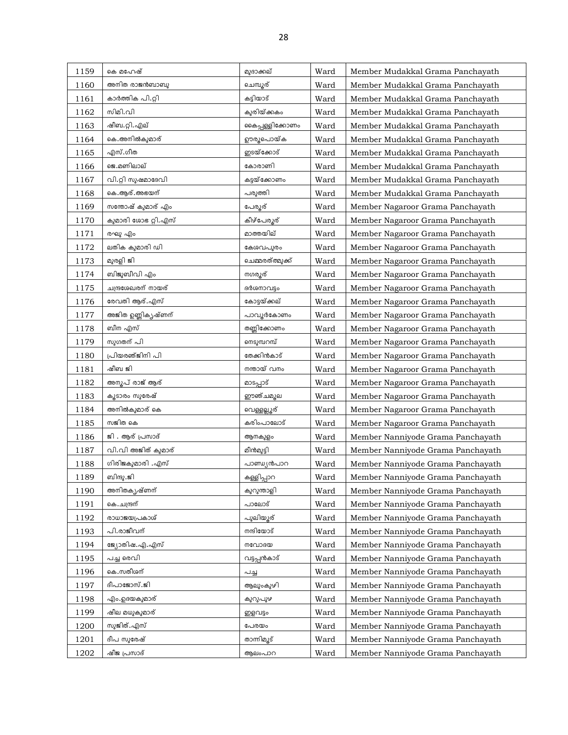| 1159 | കെ മഹേഷ്            | മുദാക്കല്        | Ward | Member Mudakkal Grama Panchayath  |
|------|---------------------|------------------|------|-----------------------------------|
| 1160 | അനിത രാജൻബാബു       | ചെമ്പുര്         | Ward | Member Mudakkal Grama Panchayath  |
| 1161 | കാർത്തിക പി.റ്റി    | കട്ടിയാട്        | Ward | Member Mudakkal Grama Panchayath  |
| 1162 | സിമി.വി             | കുരിയ്ക്കകം      | Ward | Member Mudakkal Grama Panchayath  |
| 1163 | ഷീബ.റ്റി.എല്        | കൈപ്പള്ളിക്കോണം  | Ward | Member Mudakkal Grama Panchayath  |
| 1164 | കെ.അനിൽകുമാര്       | ഊരൂപൊയ്ക         | Ward | Member Mudakkal Grama Panchayath  |
| 1165 | എസ്.ഗീത             | ഇടയ്ക്കോട്       | Ward | Member Mudakkal Grama Panchayath  |
| 1166 | ജെ.മണിലാല്          | കോരാണി           | Ward | Member Mudakkal Grama Panchayath  |
| 1167 | വി.റ്റി സുഷമാദേവി   | കട്ടയ്ക്കോണം     | Ward | Member Mudakkal Grama Panchayath  |
| 1168 | കെ.ആര്.അഭയന്        | പരുത്തി          | Ward | Member Mudakkal Grama Panchayath  |
| 1169 | സന്തോഷ് കുമാര് എം   | പേരൂര്           | Ward | Member Nagaroor Grama Panchayath  |
| 1170 | കുമാരി ശോഭ റ്റി.എസ് | കീഴ്പേരൂര്       | Ward | Member Nagaroor Grama Panchayath  |
| 1171 | രഘു എം              | മാത്തയില്        | Ward | Member Nagaroor Grama Panchayath  |
| 1172 | ലതിക കുമാരി ഡി      | കേശവപുരം         | Ward | Member Nagaroor Grama Panchayath  |
| 1173 | മുരളി ജി            | ചെമ്മരത്ത്മുക്ക് | Ward | Member Nagaroor Grama Panchayath  |
| 1174 | ബിജുബീവി എം         | നഗരുര്           | Ward | Member Nagaroor Grama Panchayath  |
| 1175 | ചന്ദ്രശേഖരന് നായര്  | ദർശനാവട്ടം       | Ward | Member Nagaroor Grama Panchayath  |
| 1176 | രേവതി ആര്.എസ്       | കോട്ടയ്ക്കല്     | Ward | Member Nagaroor Grama Panchayath  |
| 1177 | അജിത ഉണ്ണികൃഷ്ണന്   | പാവൂർകോണം        | Ward | Member Nagaroor Grama Panchayath  |
| 1178 | ബീന എസ്             | തണ്ണിക്കോണം      | Ward | Member Nagaroor Grama Panchayath  |
| 1179 | സുഗതന് പി           | നെടുമ്പറമ്പ്     | Ward | Member Nagaroor Grama Panchayath  |
| 1180 | പ്രിയരഞ്ജിനി പി     | തേക്കിൻകാട്      | Ward | Member Nagaroor Grama Panchayath  |
| 1181 | ഷീബ ജി              | നന്തായ് വനം      | Ward | Member Nagaroor Grama Panchayath  |
| 1182 | അനൂപ് രാജ് ആര്      | മാടപ്പാട്        | Ward | Member Nagaroor Grama Panchayath  |
| 1183 | കൂടാരം സുരേഷ്       | ഈഞ്ചമൂല          | Ward | Member Nagaroor Grama Panchayath  |
| 1184 | അനിൽകുമാര് കെ       | വെള്ളല്ലൂര്      | Ward | Member Nagaroor Grama Panchayath  |
| 1185 | സജിത കെ             | കരിംപാലോട്       | Ward | Member Nagaroor Grama Panchayath  |
| 1186 | ജി . ആര് പ്രസാദ്    | ആനകുളം           | Ward | Member Nanniyode Grama Panchayath |
| 1187 | വി.വി അജിത് കുമാര്  | മീൻമുട്ടി        | Ward | Member Nanniyode Grama Panchayath |
| 1188 | ഗിരിജകുമാരി .എസ്    | പാണ്ഡ്യൻപാറ      | Ward | Member Nanniyode Grama Panchayath |
| 1189 | ബിന്ദു.ജി           | കള്ളിപ്പാറ       | Ward | Member Nanniyode Grama Panchayath |
| 1190 | അനിതകൃഷ്ണന്         | കുറുന്താളി       | Ward | Member Nanniyode Grama Panchayath |
| 1191 | കെ. ചന്ദ്രന്        | പാലോട്           | Ward | Member Nanniyode Grama Panchayath |
| 1192 | രാധാജയപ്രകാശ്       | പുലിയൂര്         | Ward | Member Nanniyode Grama Panchayath |
| 1193 | പി.രാജീവന്          | നന്ദിയോട്        | Ward | Member Nanniyode Grama Panchayath |
| 1194 | ജ്യോതിഷ.എ.എസ്       | നവോദയ            | Ward | Member Nanniyode Grama Panchayath |
| 1195 | പച്ച രെവി           | വട്ടപ്പൻകാട്     | Ward | Member Nanniyode Grama Panchayath |
| 1196 | കെ.സതീശന്           | പച്ച             | Ward | Member Nanniyode Grama Panchayath |
| 1197 | ദീപാജോസ്.ജി         | ആലുംകുഴി         | Ward | Member Nanniyode Grama Panchayath |
| 1198 | എം.ഉദയകുമാര്        | കുറുപുഴ          | Ward | Member Nanniyode Grama Panchayath |
| 1199 | ഷീല മധുകുമാര്       | ഇളവട്ടം          | Ward | Member Nanniyode Grama Panchayath |
| 1200 | സുജിത്.എസ്          | പേരയം            | Ward | Member Nanniyode Grama Panchayath |
| 1201 | ദീപ സുരേഷ്          | താന്നിമൂട്       | Ward | Member Nanniyode Grama Panchayath |
| 1202 | ഷീജ പ്രസാദ്         | ആലംപാറ           | Ward | Member Nanniyode Grama Panchayath |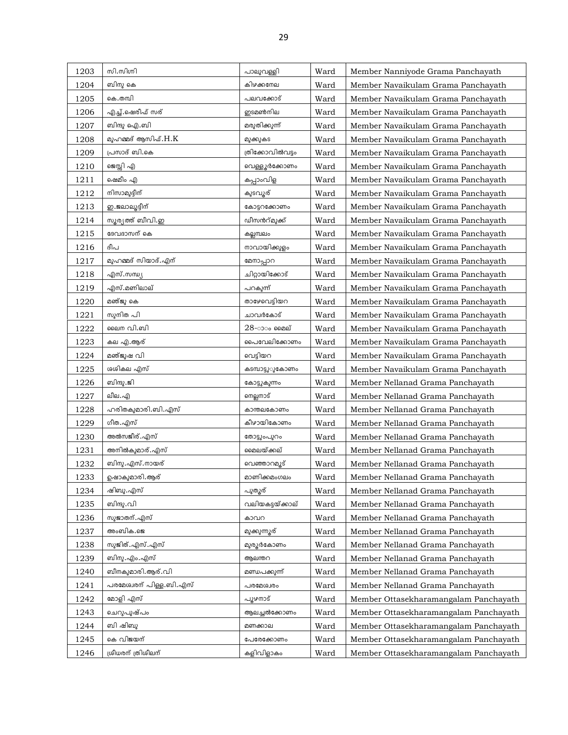| 1203 | സി.സിഗ്നി               | പാലുവള്ളി        | Ward | Member Nanniyode Grama Panchayath     |
|------|-------------------------|------------------|------|---------------------------------------|
| 1204 | ബിനു കെ                 | കിഴക്കനേല        | Ward | Member Navaikulam Grama Panchayath    |
| 1205 | കെ.തമ്പി                | പലവക്കോട്        | Ward | Member Navaikulam Grama Panchayath    |
| 1206 | എച്ച്.ഷെരീഫ് സര്        | ഇടമൺനില          | Ward | Member Navaikulam Grama Panchayath    |
| 1207 | ബിന്ദു ഐ.ബി             | മരുതിക്കുന്ന്    | Ward | Member Navaikulam Grama Panchayath    |
| 1208 | മുഹമ്മദ് ആസിഫ്.H.K      | മുക്കുകട         | Ward | Member Navaikulam Grama Panchayath    |
| 1209 | പ്രസാദ് ബി.കെ           | ത്രിക്കോവിൽവട്ടം | Ward | Member Navaikulam Grama Panchayath    |
| 1210 | ജെസ്സി എ                | വെള്ളൂർക്കോണം    | Ward | Member Navaikulam Grama Panchayath    |
| 1211 | ഷെമീം എ                 | കപ്പാംവിള        | Ward | Member Navaikulam Grama Panchayath    |
| 1212 | നിസാമുദ്ദീന്            | കുടവുര്          | Ward | Member Navaikulam Grama Panchayath    |
| 1213 | ഇ.ജലാലൂദ്ദീന്           | കോട്ടറക്കോണം     | Ward | Member Navaikulam Grama Panchayath    |
| 1214 | സൂര്യത്ത് ബീവി.ഇ        | ഡീസൻറ്മുക്ക്     | Ward | Member Navaikulam Grama Panchayath    |
| 1215 | ദേവദാസന് കെ             | കല്ലമ്പലം        | Ward | Member Navaikulam Grama Panchayath    |
| 1216 | ദീപ                     | നാവായിക്കുളം     | Ward | Member Navaikulam Grama Panchayath    |
| 1217 | മുഹമ്മദ് സിയാദ്.എന്     | മേനാപ്പാറ        | Ward | Member Navaikulam Grama Panchayath    |
| 1218 | എസ്.സന്ധ്യ              | ചിറ്റായിക്കോട്   | Ward | Member Navaikulam Grama Panchayath    |
| 1219 | എസ്.മണിലാല്             | പറകുന്ന്         | Ward | Member Navaikulam Grama Panchayath    |
| 1220 | മഞ്ജു കെ                | താഴേവെട്ടിയറ     | Ward | Member Navaikulam Grama Panchayath    |
| 1221 | സുനിത പി                | ചാവർകോട്         | Ward | Member Navaikulam Grama Panchayath    |
| 1222 | ലൈന വി.ബി               | $28$ -ാം മൈല്    | Ward | Member Navaikulam Grama Panchayath    |
| 1223 | കല എ.ആര്                | പൈവേലിക്കോണം     | Ward | Member Navaikulam Grama Panchayath    |
| 1224 | മഞ്ജുഷ വി               | വെടിയറ           | Ward | Member Navaikulam Grama Panchayath    |
| 1225 | ശശികല എസ്               | കടമ്പാട്ടുൂകോണം  | Ward | Member Navaikulam Grama Panchayath    |
| 1226 | ബിന്ദു.ജി               | കോട്ടുകുന്നം     | Ward | Member Nellanad Grama Panchayath      |
| 1227 | ലീല.എ                   | നെല്ലനാട്        | Ward | Member Nellanad Grama Panchayath      |
| 1228 | ഹരിതകുമാരി.ബി.എസ്       | കാന്തലകോണം       | Ward | Member Nellanad Grama Panchayath      |
| 1229 | ഗീത.എസ്                 | കീഴായികോണം       | Ward | Member Nellanad Grama Panchayath      |
| 1230 | അൽസജീര്.എസ്             | തോട്ടുംപുറം      | Ward | Member Nellanad Grama Panchayath      |
| 1231 | അനിൽകുമാര്. എസ്         | മൈലയ്ക്കല്       | Ward | Member Nellanad Grama Panchayath      |
| 1232 | ബിനു.എസ്.നായര്          | വെഞ്ഞാറമൂട്      | Ward | Member Nellanad Grama Panchayath      |
| 1233 | ഉഷാകുമാരി.ആര്           | മാണിക്കമംഗലം     | Ward | Member Nellanad Grama Panchayath      |
| 1234 | ഷിബു.എസ്                | പുതൂര്           | Ward | Member Nellanad Grama Panchayath      |
| 1235 | ബിന്ദു. വി              | വലിയകട്ടയ്ക്കാല് | Ward | Member Nellanad Grama Panchayath      |
| 1236 | സുജാതന്.എസ്             | കാവറ             | Ward | Member Nellanad Grama Panchayath      |
| 1237 | അംബിക.ജെ                | മുക്കുന്നുര്     | Ward | Member Nellanad Grama Panchayath      |
| 1238 | സുജിത്.എസ്.എസ്          | മുരുർകോണം        | Ward | Member Nellanad Grama Panchayath      |
| 1239 | ബിനു.എം.എസ്             | ആലന്തറ           | Ward | Member Nellanad Grama Panchayath      |
| 1240 | ബീനകുമാരി.ആര്.വി        | മണ്ഡപക്കുന്ന്    | Ward | Member Nellanad Grama Panchayath      |
| 1241 | പരമേശ്വരന് പിള്ള.ബി.എസ് | പരമേശ്വരം        | Ward | Member Nellanad Grama Panchayath      |
| 1242 | മോളി എസ്                | പൂഴനാട്          | Ward | Member Ottasekharamangalam Panchayath |
| 1243 | ചെറുപുഷ്പം              | ആലച്ചൽക്കോണം     | Ward | Member Ottasekharamangalam Panchayath |
| 1244 | ബി ഷിബു                 | മണക്കാല          | Ward | Member Ottasekharamangalam Panchayath |
| 1245 | കെ വിജയന്               | പേരേക്കോണം       | Ward | Member Ottasekharamangalam Panchayath |
| 1246 | ശ്രീധരന് ത്രിശീലന്      | കളിവിളാകം        | Ward | Member Ottasekharamangalam Panchayath |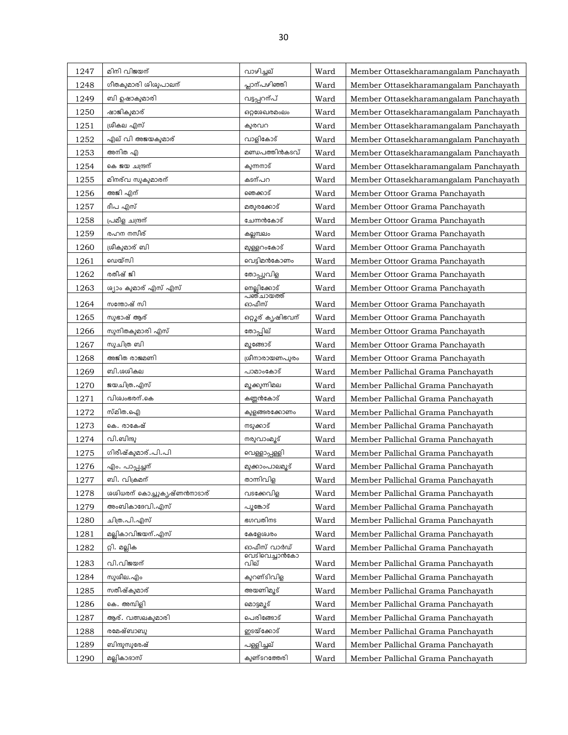| 1247 | മിനി വിജയന്                | വാഴിച്ചല്                     | Ward | Member Ottasekharamangalam Panchayath |
|------|----------------------------|-------------------------------|------|---------------------------------------|
| 1248 | ഗീതകുമാരി ശിശുപാലന്        | പ്ലാന്പഴിഞ്ഞി                 | Ward | Member Ottasekharamangalam Panchayath |
| 1249 | ബി ഉഷാകുമാരി               | വട്ടപ്പറന്പ്                  | Ward | Member Ottasekharamangalam Panchayath |
| 1250 | ഷാജികുമാര്                 | ഒറ്റശേഖരമംലം                  | Ward | Member Ottasekharamangalam Panchayath |
| 1251 | ശ്രീകല എസ്                 | കുരവറ                         | Ward | Member Ottasekharamangalam Panchayath |
| 1252 | എല് വി അജയകുമാര്           | വാളികോട്                      | Ward | Member Ottasekharamangalam Panchayath |
| 1253 | അനിത എ                     | മണ്ഡപത്തിൻകടവ്                | Ward | Member Ottasekharamangalam Panchayath |
| 1254 | കെ ജയ ചന്ദ്രന്             | കുന്നനാട്                     | Ward | Member Ottasekharamangalam Panchayath |
| 1255 | മിനര്വ സുകുമാരന്           | കടന്പറ                        | Ward | Member Ottasekharamangalam Panchayath |
| 1256 | അജി എന്                    | ഞെക്കാട്                      | Ward | Member Ottoor Grama Panchayath        |
| 1257 | ദീപ എസ്                    | മതുരക്കോട്                    | Ward | Member Ottoor Grama Panchayath        |
| 1258 | പ്രമീള ചന്ദ്രന്            | ചേന്നൻകോട്                    | Ward | Member Ottoor Grama Panchayath        |
| 1259 | രഹന നസീര്                  | കല്ലമ്പലം                     | Ward | Member Ottoor Grama Panchayath        |
| 1260 | ശ്രീകുമാര് ബി              | മുള്ളറംകോട്                   | Ward | Member Ottoor Grama Panchayath        |
| 1261 | ഡെയ്സി                     | വെടിമൻകോണം                    | Ward | Member Ottoor Grama Panchayath        |
| 1262 | രതീഷ് ജി                   | തോപ്പുവിള                     | Ward | Member Ottoor Grama Panchayath        |
| 1263 | ശ്യാം കുമാര് എസ് എസ്       | നെല്ലിക്കോട്                  | Ward | Member Ottoor Grama Panchayath        |
| 1264 | സന്തോഷ് സി                 | പഞ്ചായത്ത്<br>ഓഫീസ്           | Ward | Member Ottoor Grama Panchayath        |
| 1265 | സുഭാഷ് ആര്                 | <mark>ഒറ്റൂര് കൃഷിഭവന്</mark> | Ward | Member Ottoor Grama Panchayath        |
| 1266 | സുനിതകുമാരി എസ്            | തോപ്പില്                      | Ward | Member Ottoor Grama Panchayath        |
| 1267 | സുചിത്ര ബി                 | മുങ്ങോട്                      | Ward | Member Ottoor Grama Panchayath        |
| 1268 | അജിത രാജമണി                | ശ്രീനാരായണപുരം                | Ward | Member Ottoor Grama Panchayath        |
| 1269 | ബി.ശശികല                   | പാമാംകോട്                     | Ward | Member Pallichal Grama Panchayath     |
| 1270 | ജയചിത്ര.എസ്                | മുക്കുന്നിമല                  | Ward | Member Pallichal Grama Panchayath     |
| 1271 | വിശ്വംഭരന്.കെ              | കണ്ണൻകോട്                     | Ward | Member Pallichal Grama Panchayath     |
| 1272 | സ്മിത.ഐ                    | കുളങ്ങരക്കോണം                 | Ward | Member Pallichal Grama Panchayath     |
| 1273 | കെ. രാകേഷ്                 | നടുക്കാട്                     | Ward | Member Pallichal Grama Panchayath     |
| 1274 | വി.ബിന്ദു                  | നരുവാംമൂട്                    | Ward | Member Pallichal Grama Panchayath     |
| 1275 | ഗിരീഷ്കുമാര്.പി.പി         | വെള്ളാപ്പള്ളി                 | Ward | Member Pallichal Grama Panchayath     |
| 1276 | എം. പാപ്പച്ചന്             | മുക്കാംപാലമൂട്                | Ward | Member Pallichal Grama Panchayath     |
| 1277 | ബി. വിക്രമന്               | താന്നിവിള                     | Ward | Member Pallichal Grama Panchayath     |
| 1278 | ശശിധരന് കൊച്ചുകൃഷ്ണൻനാടാര് | വടക്കേവിള                     | Ward | Member Pallichal Grama Panchayath     |
| 1279 | അംബികാദേവി.എസ്             | പുങ്കോട്                      | Ward | Member Pallichal Grama Panchayath     |
| 1280 | ചിത്ര.പി.എസ്               | ഭഗവതിനട                       | Ward | Member Pallichal Grama Panchayath     |
| 1281 | മല്ലികാവിജയന്.എസ്          | കളേശ്വരം                      | Ward | Member Pallichal Grama Panchayath     |
| 1282 | റ്റി. മല്ലിക               | ഓഫീസ് വാർഡ്                   | Ward | Member Pallichal Grama Panchayath     |
| 1283 | വി.വിജയന്                  | വെടിവെച്ചാൻകോ<br>വില്         | Ward | Member Pallichal Grama Panchayath     |
| 1284 | സുശീല.എം                   | കുറണ്ടിവിള                    | Ward | Member Pallichal Grama Panchayath     |
| 1285 | സതീഷ്കുമാര്                | അയണിമ്യൂട്                    | Ward | Member Pallichal Grama Panchayath     |
| 1286 | കെ. അമ്പിളി                | മൊട്ടമൂട്                     | Ward | Member Pallichal Grama Panchayath     |
| 1287 | ആര്. വത്സലകുമാരി           | പെരിങ്ങോട്                    | Ward | Member Pallichal Grama Panchayath     |
| 1288 | രമേഷ്ബാബു                  | ഇടയ്ക്കോട്                    | Ward | Member Pallichal Grama Panchayath     |
| 1289 | ബിന്ദുസുരേഷ്               | പള്ളിച്ചല്                    | Ward | Member Pallichal Grama Panchayath     |
| 1290 | മല്ലികാദാസ്                | കുണ്ടറത്തേരി                  | Ward | Member Pallichal Grama Panchayath     |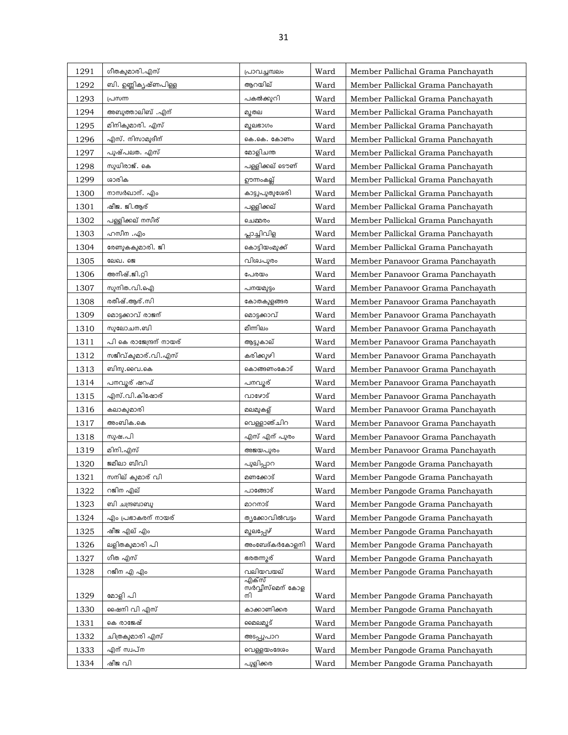| 1291 | ഗീതകുമാരി. എസ്          | പ്രാവച്ചമ്പലം             | Ward | Member Pallichal Grama Panchayath |
|------|-------------------------|---------------------------|------|-----------------------------------|
| 1292 | ബി. ഉണ്ണികൃഷ്ണപിള്ള     | ആറയില്                    | Ward | Member Pallickal Grama Panchayath |
| 1293 | പ്രസന്ന                 | പകൽക്കുറി                 | Ward | Member Pallickal Grama Panchayath |
| 1294 | അബുത്താലിബ് .എന്        | മുതല                      | Ward | Member Pallickal Grama Panchayath |
| 1295 | മിനികുമാരി. എസ്         | മുലഭാഗം                   | Ward | Member Pallickal Grama Panchayath |
| 1296 | എസ്. നിസാമുദീന്         | കെ.കെ. കോണം               | Ward | Member Pallickal Grama Panchayath |
| 1297 | പുഷ്പലത. എസ്            | മോളിചന്ത                  | Ward | Member Pallickal Grama Panchayath |
| 1298 | സുധിരാജ്. കെ            | പള്ളിക്കല് ടൌണ്           | Ward | Member Pallickal Grama Panchayath |
| 1299 | ശാരിക                   | ഊന്നംകല്ല്                | Ward | Member Pallickal Grama Panchayath |
| 1300 | നാസർഖാന്. എം            | കാട്ടുപുതുശേരി            | Ward | Member Pallickal Grama Panchayath |
| 1301 | ഷീജ. ജി.ആര്             | പള്ളിക്കല്                | Ward | Member Pallickal Grama Panchayath |
| 1302 | പള്ളിക്കല് നസീര്        | ചെമ്മരം                   | Ward | Member Pallickal Grama Panchayath |
| 1303 | ഹസീന .എം                | പ്ലാച്ചിവിള               | Ward | Member Pallickal Grama Panchayath |
| 1304 | രേണുകകുമാരി. ജി         | കൊട്ടിയംമുക്ക്            | Ward | Member Pallickal Grama Panchayath |
| 1305 | ലേഖ. ജെ                 | വിശ്വപുരം                 | Ward | Member Panavoor Grama Panchayath  |
| 1306 | അനീഷ്.ജി.റ്റി           | പേരയം                     | Ward | Member Panavoor Grama Panchayath  |
| 1307 | സുനിത.വി.ഐ              | പനയമുട്ടം                 | Ward | Member Panavoor Grama Panchayath  |
| 1308 | രതീഷ്.ആര്.സി            | കോതകുളങ്ങര                | Ward | Member Panavoor Grama Panchayath  |
| 1309 | മൊട്ടക്കാവ് രാജന്       | മൊട്ടക്കാവ്               | Ward | Member Panavoor Grama Panchayath  |
| 1310 | സുലോചന.ബി               | മീന്നിലം                  | Ward | Member Panavoor Grama Panchayath  |
| 1311 | പി കെ രാജേന്ദ്രന് നായര് | ആട്ടുകാല്                 | Ward | Member Panavoor Grama Panchayath  |
| 1312 | സജീവ്കുമാര്.വി.എസ്      | കരിക്കുഴി                 | Ward | Member Panavoor Grama Panchayath  |
| 1313 | ബിനു.വൈ.കെ              | കൊങ്ങണംകോട്               | Ward | Member Panavoor Grama Panchayath  |
| 1314 | പനവൂര് ഷറഫ്             | പനവൂര്                    | Ward | Member Panavoor Grama Panchayath  |
| 1315 | എസ്.വി.കിഷോര്           | വാഴോട്                    | Ward | Member Panavoor Grama Panchayath  |
| 1316 | കലാകുമാരി               | മലമുകള്                   | Ward | Member Panavoor Grama Panchayath  |
| 1317 | അംബിക.കെ                | വെള്ളാഞ്ചിറ               | Ward | Member Panavoor Grama Panchayath  |
| 1318 | സുഷ.പി                  | എസ് എന് പുരം              | Ward | Member Panavoor Grama Panchayath  |
| 1319 | മിനി.എസ്                | അജയപുരം                   | Ward | Member Panavoor Grama Panchayath  |
| 1320 | ജമീലാ ബീവി              | പുലിപ്പാറ                 | Ward | Member Pangode Grama Panchayath   |
| 1321 | സനില് കുമാര് വി         | മണക്കോട്                  | Ward | Member Pangode Grama Panchayath   |
| 1322 | റജിന എല്                | പാങ്ങോട്                  | Ward | Member Pangode Grama Panchayath   |
| 1323 | ബി ചന്ദ്രബാബു           | മാറനാട്                   | Ward | Member Pangode Grama Panchayath   |
| 1324 | എം പ്രഭാകരന് നായര്      | തൃക്കോവിൽവട്ടം            | Ward | Member Pangode Grama Panchayath   |
| 1325 | ഷീജ എല് എം              | മുലപ്പേഴ്                 | Ward | Member Pangode Grama Panchayath   |
| 1326 | ലളിതകുമാരി പി           | അംബേദ്കർകോളനി             | Ward | Member Pangode Grama Panchayath   |
| 1327 | ഗീത എസ്                 | ഭരതന്നുര്                 | Ward | Member Pangode Grama Panchayath   |
| 1328 | റജീന എ എം               | വലിയവയല്                  | Ward | Member Pangode Grama Panchayath   |
|      |                         | എക്സ്<br>സർവ്വീസ്മെന് കോള |      |                                   |
| 1329 | മോളി പി                 |                           | Ward | Member Pangode Grama Panchayath   |
| 1330 | ഷെനി വി എസ്             | കാക്കാണിക്കര              | Ward | Member Pangode Grama Panchayath   |
| 1331 | കെ രാജേഷ്               | മൈലമുട്                   | Ward | Member Pangode Grama Panchayath   |
| 1332 | ചിത്രകുമാരി എസ്         | അടപ്പുപാറ                 | Ward | Member Pangode Grama Panchayath   |
| 1333 | എന് സ്ഥപ്ന              | വെള്ളയംദേശം               | Ward | Member Pangode Grama Panchayath   |
| 1334 | ഷീജ വി                  | പുളിക്കര                  | Ward | Member Pangode Grama Panchayath   |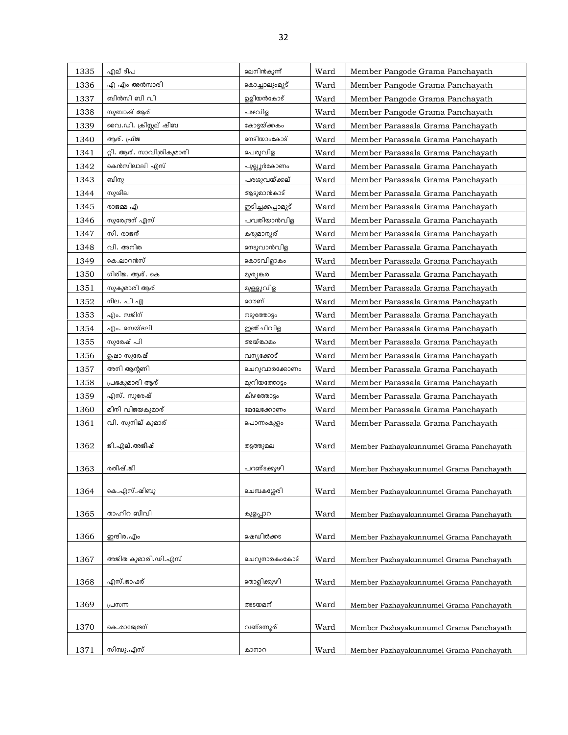| 1335 | എല് ദീപ                   | ലെനിൻകുന്ന്       | Ward | Member Pangode Grama Panchayath         |
|------|---------------------------|-------------------|------|-----------------------------------------|
| 1336 | എ എം അൻസാരി               | കൊച്ചാലുംമൂട്     | Ward | Member Pangode Grama Panchayath         |
| 1337 | ബിൻസി ബി വി               | ഉളിയൻകോട്         | Ward | Member Pangode Grama Panchayath         |
| 1338 | സുബാഷ് ആര്                | പഴവിള             | Ward | Member Pangode Grama Panchayath         |
| 1339 | വൈ.ഡി. ക്രിസ്റ്റല് ഷീബ    | കോട്ടയ്ക്കകം      | Ward | Member Parassala Grama Panchayath       |
| 1340 | ആര്. ഫ്രീജ                | ണടിയാംകോട്        | Ward | Member Parassala Grama Panchayath       |
| 1341 | റ്റി. ആര്. സാവിത്രികുമാരി | പെരുവിള           | Ward | Member Parassala Grama Panchayath       |
| 1342 | കെൻസിലാലി എസ്             | പുല്ലൂർകോണം       | Ward | Member Parassala Grama Panchayath       |
| 1343 | ബിനു                      | പരശുവയ്ക്കല്      | Ward | Member Parassala Grama Panchayath       |
| 1344 | സുശീല                     | ആടുമാൻകാട്        | Ward | Member Parassala Grama Panchayath       |
| 1345 | രാജമ്മ എ                  | ഇടിച്ചക്കപ്ലാമൂട് | Ward | Member Parassala Grama Panchayath       |
| 1346 | സുരേന്ദ്രന് എസ്           | പവതിയാൻവിള        | Ward | Member Parassala Grama Panchayath       |
| 1347 | സി. രാജന്                 | കരുമാനൂര്         | Ward | Member Parassala Grama Panchayath       |
| 1348 | വി. അനിത                  | ണ്ടുവാൻവിള        | Ward | Member Parassala Grama Panchayath       |
| 1349 | കെ.ലാറൻസ്                 | കൊടവിളാകം         | Ward | Member Parassala Grama Panchayath       |
| 1350 | ഗിരിജ. ആര്. കെ            | മുര്യങ്കര         | Ward | Member Parassala Grama Panchayath       |
| 1351 | സുകുമാരി ആര്              | മുള്ളുവിള         | Ward | Member Parassala Grama Panchayath       |
| 1352 | നീല. പി എ                 | ൌണ്               | Ward | Member Parassala Grama Panchayath       |
| 1353 | എം. സജിന്                 | നടുത്തോട്ടം       | Ward | Member Parassala Grama Panchayath       |
| 1354 | എം. സെയ്ദലി               | ഇഞ്ചിവിള          | Ward | Member Parassala Grama Panchayath       |
| 1355 | സുരേഷ് പി                 | അയ്ങ്കാമം         | Ward | Member Parassala Grama Panchayath       |
| 1356 | ഉഷാ സുരേഷ്                | വന്യക്കോട്        | Ward | Member Parassala Grama Panchayath       |
| 1357 | അനി ആന്റണി                | ചെറുവാരക്കോണം     | Ward | Member Parassala Grama Panchayath       |
| 1358 | പ്രഭകുമാരി ആര്            | മുറിയത്തോട്ടം     | Ward | Member Parassala Grama Panchayath       |
| 1359 | എസ്. സുരേഷ്               | കീഴത്തോട്ടം       | Ward | Member Parassala Grama Panchayath       |
| 1360 | മിനി വിജയകുമാര്           | മേലേക്കോണം        | Ward | Member Parassala Grama Panchayath       |
| 1361 | വി. സുനില് കുമാര്         | പൊന്നംകുളം        | Ward | Member Parassala Grama Panchayath       |
|      |                           |                   |      |                                         |
| 1362 | ജി.എല്.അജീഷ്              | തട്ടത്തുമല        | Ward | Member Pazhayakunnumel Grama Panchayath |
| 1363 | രതീഷ്.ജി                  | പറണ്ടക്കുഴി       | Ward | Member Pazhayakunnumel Grama Panchayath |
|      |                           |                   |      |                                         |
| 1364 | കെ.എസ്.ഷിബു               | ചെമ്പകശ്ശേരി      | Ward | Member Pazhayakunnumel Grama Panchayath |
|      |                           |                   |      |                                         |
| 1365 | താഹിറ ബീവി                | കുളപ്പാറ          | Ward | Member Pazhayakunnumel Grama Panchayath |
| 1366 | ഇന്ദിര.എം                 | ഷെഡിൽക്കട         | Ward | Member Pazhayakunnumel Grama Panchayath |
|      |                           |                   |      |                                         |
| 1367 | അജിത കുമാരി.ഡി.എസ്        | ചെറുനാരകംകോട്     | Ward | Member Pazhayakunnumel Grama Panchayath |
|      |                           |                   |      |                                         |
| 1368 | എസ്.ജാഫര്                 | തൊളിക്കുഴി        | Ward | Member Pazhayakunnumel Grama Panchayath |
| 1369 | പ്രസന്ന                   | അടയമന്            | Ward | Member Pazhayakunnumel Grama Panchayath |
|      |                           |                   |      |                                         |
| 1370 | കെ.രാജേന്ദ്രന്            | വണ്ടന്നുര്        | Ward | Member Pazhayakunnumel Grama Panchayath |
|      |                           |                   |      |                                         |
| 1371 | സിന്ധു.എസ്                | കാനാറ             | Ward | Member Pazhayakunnumel Grama Panchayath |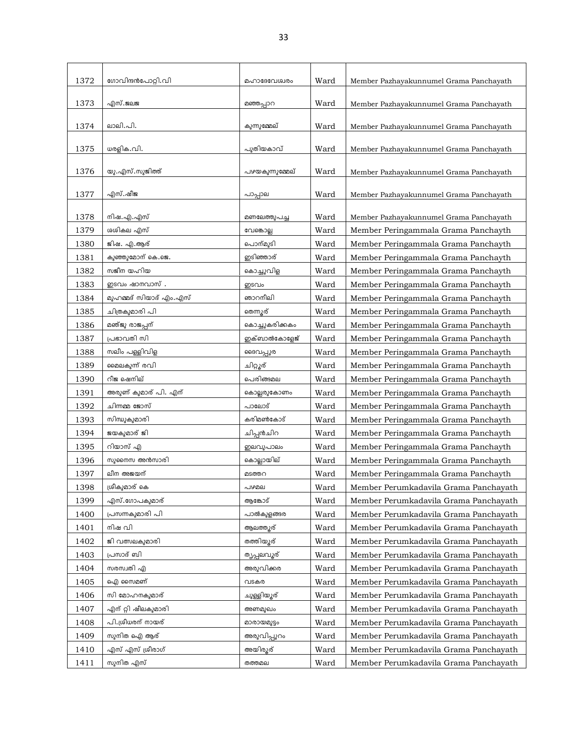| 1372         | ഗോവിന്ദൻപോറ്റി.വി      | മഹാദേവേശ്വരം          | Ward | Member Pazhayakunnumel Grama Panchayath |
|--------------|------------------------|-----------------------|------|-----------------------------------------|
| 1373         | എസ്.ജലജ                | മഞ്ഞപ്പാറ             | Ward | Member Pazhayakunnumel Grama Panchayath |
|              |                        |                       |      |                                         |
| 1374         | ലാലി.പി.               | കുന്നുമ്മേല്          | Ward | Member Pazhayakunnumel Grama Panchayath |
| 1375         | ധരളിക.വി.              | പുതിയകാവ്             | Ward | Member Pazhayakunnumel Grama Panchayath |
| 1376         | യു.എസ്.സുജിത്ത്        | പഴയകുന്നുമ്മേല്       | Ward | Member Pazhayakunnumel Grama Panchayath |
|              |                        |                       |      |                                         |
| 1377         | എസ്.ഷീജ                | പാപ്പാല               | Ward | Member Pazhayakunnumel Grama Panchayath |
|              |                        |                       |      |                                         |
| 1378         | നിഷ.എ.എസ്              | മണലേത്തുപച്ച          | Ward | Member Pazhayakunnumel Grama Panchayath |
| 1379         | ശശികല എസ്              | വേങ്കൊല്ല             | Ward | Member Peringammala Grama Panchayth     |
| 1380         | ജിഷ. എ.ആര്             | പൊന്മുടി              | Ward | Member Peringammala Grama Panchayth     |
| 1381         | കുഞ്ഞുമോന് കെ.ജെ.      | ഇടിഞ്ഞാര്             | Ward | Member Peringammala Grama Panchayth     |
| 1382         | സജീന യഹിയ              | കൊച്ചുവിള             | Ward | Member Peringammala Grama Panchayth     |
| 1383         | ഇടവം ഷാനവാസ് .         | ഇടവം                  | Ward | Member Peringammala Grama Panchayth     |
| 1384         | മുഹമ്മദ് സിയാദ് എം.എസ് | ഞാറനീലി               | Ward | Member Peringammala Grama Panchayth     |
| 1385         | ചിത്രകുമാരി പി         | തെന്നുര്              | Ward | Member Peringammala Grama Panchayth     |
| 1386         | മഞ്ജു രാജപ്പന്         | കൊച്ചുകരിക്കകം        | Ward | Member Peringammala Grama Panchayth     |
| 1387         | പ്രഭാവതി സി            | ഇക്ബാൽകോളേജ്          | Ward | Member Peringammala Grama Panchayth     |
| 1388         | സലീം പള്ളിവിള          | ദൈവപ്പുര              | Ward | Member Peringammala Grama Panchayth     |
| 1389         | മൈലകുന്ന് രവി          | ചിറ്റൂര്              | Ward | Member Peringammala Grama Panchayth     |
| 1390         | റീജ ഷെനില്             | പെരിങ്ങമല             | Ward | Member Peringammala Grama Panchayth     |
| 1391         | അരുണ് കുമാര് പി. എന്   | കൊല്ലരുകോണം           | Ward | Member Peringammala Grama Panchayth     |
| 1392         | ചിന്നമ്മ ജോസ്          | പാലോട്                | Ward | Member Peringammala Grama Panchayth     |
| 1393         | സിന്ധുകുമാരി           | കരിമൺകോട്             | Ward | Member Peringammala Grama Panchayth     |
| 1394         | ജയകുമാര് ജി            | ചിപ്പൻചിറ             | Ward | Member Peringammala Grama Panchayth     |
| 1395         | റിയാസ് എ               | ഇലവുപാലം              | Ward | Member Peringammala Grama Panchayth     |
| 1396         | സുനൈസ അൻസാരി           | കൊല്ലായില്            | Ward | Member Peringammala Grama Panchayth     |
| 1397         | ലീന അജയന്              | മടത്തറ                | Ward | Member Peringammala Grama Panchayth     |
| 1398         | ശ്രീകുമാര് കെ          | പഴമല                  | Ward | Member Perumkadavila Grama Panchayath   |
| 1399         | എസ്.ഗോപകുമാര്          | ആങ്കോട്               | Ward | Member Perumkadavila Grama Panchayath   |
| 1400         | പ്രസന്നകുമാരി പി       | പാൽകുളങ്ങര            | Ward | Member Perumkadavila Grama Panchayath   |
|              | നിഷ വി                 |                       | Ward |                                         |
| 1401<br>1402 | ജി വത്സലകുമാരി         | ആലത്തുര്<br>തത്തിയൂര് |      | Member Perumkadavila Grama Panchayath   |
|              |                        |                       | Ward | Member Perumkadavila Grama Panchayath   |
| 1403         | പ്രസാദ് ബി             | തൃപ്പലവൂര്            | Ward | Member Perumkadavila Grama Panchayath   |
| 1404         | സരസ്വതി എ              | അരുവിക്കര             | Ward | Member Perumkadavila Grama Panchayath   |
| 1405         | ഐ സൈമണ്                | വടകര                  | Ward | Member Perumkadavila Grama Panchayath   |
| 1406         | സി മോഹനകുമാര്          | ചുള്ളിയൂര്            | Ward | Member Perumkadavila Grama Panchayath   |
| 1407         | എന് റ്റി ഷീലകുമാരി     | അണമുഖം                | Ward | Member Perumkadavila Grama Panchayath   |
| 1408         | പി.ശ്രീധരന് നായര്      | മാരായമുട്ടം           | Ward | Member Perumkadavila Grama Panchayath   |
| 1409         | സുനിത ഐ ആര്            | അരുവിപ്പുറം           | Ward | Member Perumkadavila Grama Panchayath   |
| 1410         | എസ് എസ് ശ്രീരാഗ്       | അയിരുര്               | Ward | Member Perumkadavila Grama Panchayath   |
| 1411         | സുനിത എസ്              | തത്തമല                | Ward | Member Perumkadavila Grama Panchayath   |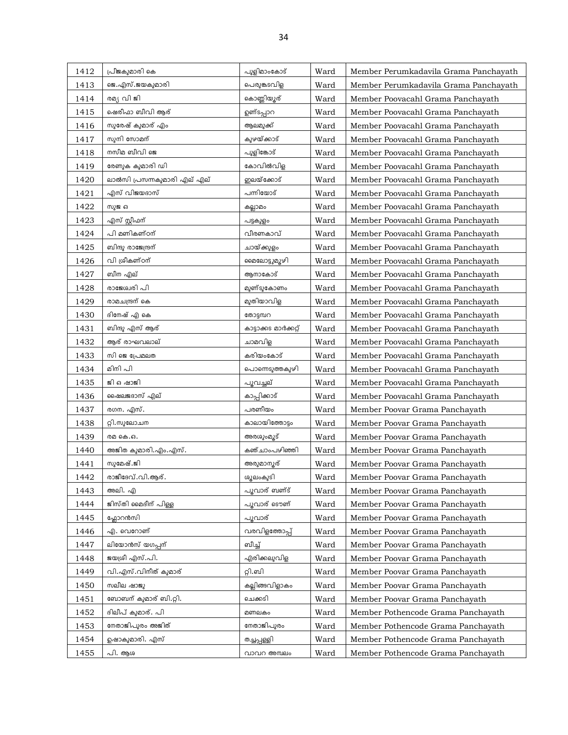| 1412 | പ്രീജകുമാരി കെ              | പുളിമാംകോട്           | Ward | Member Perumkadavila Grama Panchayath |
|------|-----------------------------|-----------------------|------|---------------------------------------|
| 1413 | ജെ.എസ്.ജയകുമാരി             | പെരുങ്കടവിള           | Ward | Member Perumkadavila Grama Panchayath |
| 1414 | രമ്യ വി ജി                  | കൊണ്ണിയ്യൂര്          | Ward | Member Poovacahl Grama Panchayath     |
| 1415 | ഷെരീഫാ ബീവി ആര്             | ഉണ്ടപ്പാറ             | Ward | Member Poovacahl Grama Panchayath     |
| 1416 | സുരേഷ് കുമാര് എം            | ആലമുക്ക്              | Ward | Member Poovacahl Grama Panchayath     |
| 1417 | സുനി സോമന്                  | കുഴയ്ക്കാട്           | Ward | Member Poovacahl Grama Panchayath     |
| 1418 | നസീമ ബീവി ജെ                | പുളിങ്കോട്            | Ward | Member Poovacahl Grama Panchayath     |
| 1419 | രേണുക കുമാരി ഡി             | കോവിൽവിള              | Ward | Member Poovacahl Grama Panchayath     |
| 1420 | ലാൽസി പ്രസന്നകുമാരി എല് എല് | ഇലയ്ക്കോട്            | Ward | Member Poovacahl Grama Panchayath     |
| 1421 | എസ് വിജയദാസ്                | പന്നിയോട്             | Ward | Member Poovacahl Grama Panchayath     |
| 1422 | സുജ ഒ                       | കല്ലാമം               | Ward | Member Poovacahl Grama Panchayath     |
| 1423 | എസ് സ്റ്റീഫന്               | പട്ടകുളം              | Ward | Member Poovacahl Grama Panchayath     |
| 1424 | പി മണികണ്ഠന്                | വീരണകാവ്              | Ward | Member Poovacahl Grama Panchayath     |
| 1425 | ബിന്ദു രാജേന്ദ്രന്          | ചായ്ക്കുളം            | Ward | Member Poovacahl Grama Panchayath     |
| 1426 | വി ശ്രീകണ്ഠന്               | മൈലോട്ടുമുഴി          | Ward | Member Poovacahl Grama Panchayath     |
| 1427 | ബീന എല്                     | ആനാകോട്               | Ward | Member Poovacahl Grama Panchayath     |
| 1428 | രാജേശ്വരി പി                | മുണ്ടുകോണം            | Ward | Member Poovacahl Grama Panchayath     |
| 1429 | രാമചന്ദ്രന് കെ              | മുതിയാവിള             | Ward | Member Poovacahl Grama Panchayath     |
| 1430 | ദിനേഷ് എ കെ                 | തോടുമ്പറ              | Ward | Member Poovacahl Grama Panchayath     |
| 1431 | ബിന്ദു എസ് ആര്              | കാട്ടാക്കട മാർക്കറ്റ് | Ward | Member Poovacahl Grama Panchayath     |
| 1432 | ആര് രാഘവലാല്                | ചാമവിള                | Ward | Member Poovacahl Grama Panchayath     |
| 1433 | സി ജെ പ്രേമലത               | കരിയംകോട്             | Ward | Member Poovacahl Grama Panchayath     |
| 1434 | മിനി പി                     | പൊന്നെടുത്തകുഴി       | Ward | Member Poovacahl Grama Panchayath     |
| 1435 | ജി ഒഷാജി                    | പൂവച്ചല്              | Ward | Member Poovacahl Grama Panchayath     |
| 1436 | ഷൈലജദാസ് എല്                | കാപ്പിക്കാട്          | Ward | Member Poovacahl Grama Panchayath     |
| 1437 | രഗന. എസ്.                   | പരണീയം                | Ward | Member Poovar Grama Panchayath        |
| 1438 | റ്റി.സുലോചന                 | കാലായിത്തോട്ടം        | Ward | Member Poovar Grama Panchayath        |
| 1439 | രമ കെ.ഒ.                    | അരശുംമൂട്             | Ward | Member Poovar Grama Panchayath        |
| 1440 | അജിത കുമാരി.എം.എസ്.         | കഞ്ചാംപഴിഞ്ഞി         | Ward | Member Poovar Grama Panchayath        |
| 1441 | സുമേഷ്.ജി                   | അരുമാന്യര്            | Ward | Member Poovar Grama Panchayath        |
| 1442 | രാജീദേവ്.വി.ആര്.            | ശൂലംകുടി              | Ward | Member Poovar Grama Panchayath        |
| 1443 | അലി. എ                      | പൂവാര് ബണ്ട്          | Ward | Member Poovar Grama Panchayath        |
| 1444 | ജിസ്തി മൈദീന് പിള്ള         | പൂവാര് ടൌണ്           | Ward | Member Poovar Grama Panchayath        |
| 1445 | ഫ്ലോറൻസി                    | പൂവാര്                | Ward | Member Poovar Grama Panchayath        |
| 1446 | എ. വെറോണ്                   | വരവിളത്തോപ്പ്         | Ward | Member Poovar Grama Panchayath        |
| 1447 | ലിയോൻസ് യഗപ്പന്             | ബീച്ച്                | Ward | Member Poovar Grama Panchayath        |
| 1448 | ജയശ്രീ എസ്.പി.              | എരിക്കലുവിള           | Ward | Member Poovar Grama Panchayath        |
| 1449 | വി.എസ്.വിനീത് കുമാര്        | റ്റി.ബി               | Ward | Member Poovar Grama Panchayath        |
| 1450 | സലീല ഷാജു                   | കല്ലിങ്ങവിളാകം        | Ward | Member Poovar Grama Panchayath        |
| 1451 | ബോബന് കുമാര് ബി.റ്റി.       | ചെക്കടി               | Ward | Member Poovar Grama Panchayath        |
| 1452 | ദിലീപ് കുമാര്. പി           | മണലകം                 | Ward | Member Pothencode Grama Panchayath    |
| 1453 | നേതാജിപുരം അജിത്            | നേതാജിപുരം            | Ward | Member Pothencode Grama Panchayath    |
| 1454 | ഉഷാകുമാരി. എസ്              | രച്ചപ്പള്ളി           | Ward | Member Pothencode Grama Panchayath    |
| 1455 | പി. ആശ                      | വാവറ അമ്പലം           | Ward | Member Pothencode Grama Panchayath    |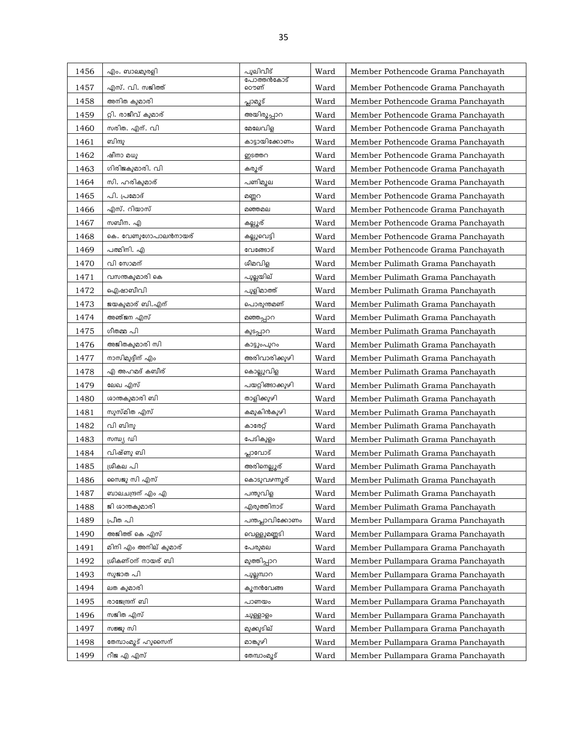| 1456 | എം. ബാലമുരളി         | പുലിവീട്          | Ward | Member Pothencode Grama Panchayath |
|------|----------------------|-------------------|------|------------------------------------|
| 1457 | എസ്. വി. സജിത്ത്     | പോത്തൻകോട്<br>ൌണ് | Ward | Member Pothencode Grama Panchayath |
| 1458 | അനിത കുമാരി          | പ്പാമൂട്          | Ward | Member Pothencode Grama Panchayath |
| 1459 | റ്റി. രാജീവ് കുമാര്  | അയിരൂപ്പാറ        | Ward | Member Pothencode Grama Panchayath |
| 1460 | സരിത. എന്. വി        | മേലേവിള           | Ward | Member Pothencode Grama Panchayath |
| 1461 | ബിന്ദു               | കാട്ടായിക്കോണം    | Ward | Member Pothencode Grama Panchayath |
| 1462 | ഷീനാ മധു             | ഇടത്തറ            | Ward | Member Pothencode Grama Panchayath |
| 1463 | ഗിരിജകുമാരി. വി      | കരുര്             | Ward | Member Pothencode Grama Panchayath |
| 1464 | സി. ഹരികുമാര്        | പണിമുല            | Ward | Member Pothencode Grama Panchayath |
| 1465 | പി. പ്രമോദ്          | മണ്ണറ             | Ward | Member Pothencode Grama Panchayath |
| 1466 | എസ്. റിയാസ്          | മഞ്ഞമല            | Ward | Member Pothencode Grama Panchayath |
| 1467 | സബീന. എ              | കല്ലൂര്           | Ward | Member Pothencode Grama Panchayath |
| 1468 | കെ. വേണുഗോപാലൻനായര്  | കല്ലുവെട്ടി       | Ward | Member Pothencode Grama Panchayath |
| 1469 | പത്മിനി. എ           | വേങ്ങോട്          | Ward | Member Pothencode Grama Panchayath |
| 1470 | വി സോമന്             | ശീമവിള            | Ward | Member Pulimath Grama Panchayath   |
| 1471 | വസന്തകുമാരി കെ       | പുല്ലയില്         | Ward | Member Pulimath Grama Panchayath   |
| 1472 | ഐഷാബീവി              | പുളിമാത്ത്        | Ward | Member Pulimath Grama Panchayath   |
| 1473 | ജയകുമാര് ബി.എന്      | പൊരുന്തമണ്        | Ward | Member Pulimath Grama Panchayath   |
| 1474 | അഞ്ജന എസ്            | മഞ്ഞപ്പാറ         | Ward | Member Pulimath Grama Panchayath   |
| 1475 | ഗീതമ്മ പി            | കുടപ്പാറ          | Ward | Member Pulimath Grama Panchayath   |
| 1476 | അജിതകുമാരി സി        | കാട്ടുംപുറം       | Ward | Member Pulimath Grama Panchayath   |
| 1477 | നാസിമുദ്ദീന് എം      | അരിവാരിക്കുഴി     | Ward | Member Pulimath Grama Panchayath   |
| 1478 | എ അഹമദ് കബീര്        | കൊല്ലുവിള         | Ward | Member Pulimath Grama Panchayath   |
| 1479 | ലേഖ എസ്              | പയറ്റിങ്ങാക്കുഴി  | Ward | Member Pulimath Grama Panchayath   |
| 1480 | ശാന്തകുമാരി ബി       | താളിക്കുഴി        | Ward | Member Pulimath Grama Panchayath   |
| 1481 | സുസ്മിത എസ്          | കമുകിൻകുഴി        | Ward | Member Pulimath Grama Panchayath   |
| 1482 | വി ബിനു              | കാരേറ്റ്          | Ward | Member Pulimath Grama Panchayath   |
| 1483 | സന്ധ്യ ഡി            | പേടികുളം          | Ward | Member Pulimath Grama Panchayath   |
| 1484 | വിഷ്ണു ബി            | പ്ലാവോട്          | Ward | Member Pulimath Grama Panchayath   |
| 1485 | ശ്രീകല പി            | അരിനെല്ലൂര്       | Ward | Member Pulimath Grama Panchayath   |
| 1486 | സൈജു സി എസ്          | കൊടുവഴന്നൂര്      | Ward | Member Pulimath Grama Panchayath   |
| 1487 | ബാലചന്ദ്രന് എം എ     | പന്തുവിള          | Ward | Member Pulimath Grama Panchayath   |
| 1488 | ജി ശാന്തകുമാരി       | എരുത്തിനാട്       | Ward | Member Pulimath Grama Panchayath   |
| 1489 | പ്രീത പി             | പന്തപ്ലാവിക്കോണം  | Ward | Member Pullampara Grama Panchayath |
| 1490 | അജിത്ത് കെ എസ്       | വെള്ളുമണ്ണടി      | Ward | Member Pullampara Grama Panchayath |
| 1491 | മിനി എം അനില് കുമാര് | പേരുമല            | Ward | Member Pullampara Grama Panchayath |
| 1492 | ശ്രീകണ്ഠന് നായര് ബി  | മുത്തിപ്പാറ       | Ward | Member Pullampara Grama Panchayath |
| 1493 | സുജാത പി             | പൂല്ലമ്പാറ        | Ward | Member Pullampara Grama Panchayath |
| 1494 | ലത കുമാരി            | കുനൻവേങ്ങ         | Ward | Member Pullampara Grama Panchayath |
| 1495 | രാജേന്ദ്രന് ബി       | പാണയം             | Ward | Member Pullampara Grama Panchayath |
| 1496 | സജിത എസ്             | ചുള്ളാളം          | Ward | Member Pullampara Grama Panchayath |
| 1497 | സജ്ജു സി             | മുക്കുടില്        | Ward | Member Pullampara Grama Panchayath |
| 1498 | തേമ്പാംമൂട് ഹുസൈന്   | മാങ്കുഴി          | Ward | Member Pullampara Grama Panchayath |
| 1499 | റീജ എ എസ്            | തേമ്പോംമൂട്       | Ward | Member Pullampara Grama Panchayath |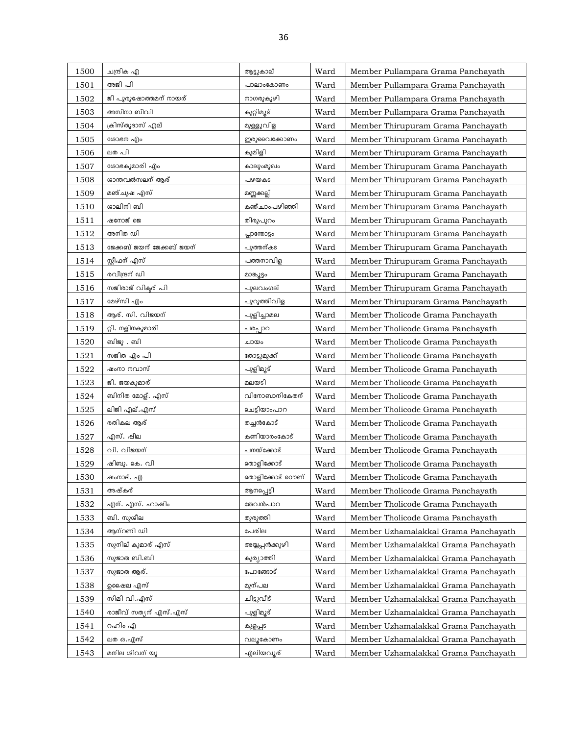| 1500 | ചന്ദ്രിക എ                | ആട്ടുകാല്       | Ward | Member Pullampara Grama Panchayath   |
|------|---------------------------|-----------------|------|--------------------------------------|
| 1501 | അജി പി                    | പാലാംകോണം       | Ward | Member Pullampara Grama Panchayath   |
| 1502 | ജി പുരുഷോത്തമന് നായര്     | നാഗരുകുഴി       | Ward | Member Pullampara Grama Panchayath   |
| 1503 | അസീനാ ബീവി                | കുറ്റിമൂട്      | Ward | Member Pullampara Grama Panchayath   |
| 1504 | ക്രിസ്തുദാസ് എല്          | മുള്ളുവിള       | Ward | Member Thirupuram Grama Panchayath   |
| 1505 | ശോഭന എം                   | ഇരുവൈക്കോണം     | Ward | Member Thirupuram Grama Panchayath   |
| 1506 | ലത പി                     | കുമിളി          | Ward | Member Thirupuram Grama Panchayath   |
| 1507 | ശോഭകുമാരി എം              | കാലുംമുഖം       | Ward | Member Thirupuram Grama Panchayath   |
| 1508 | ശാന്തവൽസലന് ആര്           | പഴയകട           | Ward | Member Thirupuram Grama Panchayath   |
| 1509 | മഞ്ചുഷ എസ്                | മണ്ണക്കല്ല്     | Ward | Member Thirupuram Grama Panchayath   |
| 1510 | ശാലിനി ബി                 | കഞ്ചാംപഴിഞ്ഞി   | Ward | Member Thirupuram Grama Panchayath   |
| 1511 | ഷനോജ് ജെ                  | തിരുപുറം        | Ward | Member Thirupuram Grama Panchayath   |
| 1512 | അനിത ഡി                   | പ്പാന്തോട്ടം    | Ward | Member Thirupuram Grama Panchayath   |
| 1513 | ജേക്കബ് ജയന് ജേക്കബ് ജയന് | പുത്തന്കട       | Ward | Member Thirupuram Grama Panchayath   |
| 1514 | സ്റ്റീഫന് എസ്             | പത്തനാവിള       | Ward | Member Thirupuram Grama Panchayath   |
| 1515 | രവീന്ദ്രന് ഡി             | മാങ്ക്യുട്ടം    | Ward | Member Thirupuram Grama Panchayath   |
| 1516 | സജിരാജ് വികുര് പി         | പുലവംഗല്        | Ward | Member Thirupuram Grama Panchayath   |
| 1517 | മേഴ്സി എം                 | പുറുത്തിവിള     | Ward | Member Thirupuram Grama Panchayath   |
| 1518 | ആര്. സി. വിജയന്           | പുളിച്ചാമല      | Ward | Member Tholicode Grama Panchayath    |
| 1519 | റ്റി. നളിനകുമാരി          | പരപ്പാറ         | Ward | Member Tholicode Grama Panchayath    |
| 1520 | ബിജു . ബി                 | ചായം            | Ward | Member Tholicode Grama Panchayath    |
| 1521 | സജിത എം പി                | തോട്ടുമുക്ക്    | Ward | Member Tholicode Grama Panchayath    |
| 1522 | ഷംനാ നവാസ്                | പുളിമൂട്        | Ward | Member Tholicode Grama Panchayath    |
| 1523 | ജി. ജയകുമാര്              | മലയടി           | Ward | Member Tholicode Grama Panchayath    |
| 1524 | ബിനിത മോള്. എസ്           | വിനോബാനികേതന്   | Ward | Member Tholicode Grama Panchayath    |
| 1525 | ലിജി എല്.എസ്              | ചെട്ടിയാംപാറ    | Ward | Member Tholicode Grama Panchayath    |
| 1526 | രതികല ആര്                 | തച്ചൻകോട്       | Ward | Member Tholicode Grama Panchayath    |
| 1527 | എസ്. ഷീല                  | കണിയാരംകോട്     | Ward | Member Tholicode Grama Panchayath    |
| 1528 | വി. വിജയന്                | പനയ്ക്കോട്      | Ward | Member Tholicode Grama Panchayath    |
| 1529 | ഷിബു. കെ. വി              | തൊളിക്കോട്      | Ward | Member Tholicode Grama Panchayath    |
| 1530 | ഷംനാദ്. എ                 | തൊളിക്കോട് ഠൌണ് | Ward | Member Tholicode Grama Panchayath    |
| 1531 | അഷ്കര്                    | ആനപ്പെട്ടി      | Ward | Member Tholicode Grama Panchayath    |
| 1532 | എന്. എസ്. ഹാഷിം           | തേവൻപാറ         | Ward | Member Tholicode Grama Panchayath    |
| 1533 | ബി. സുശീല                 | തുരുത്തി        | Ward | Member Tholicode Grama Panchayath    |
| 1534 | ആന്റണി ഡി                 | പേരില           | Ward | Member Uzhamalakkal Grama Panchayath |
| 1535 | സുനില് കുമാര് എസ്         | അയ്യപ്പൻക്കുഴി  | Ward | Member Uzhamalakkal Grama Panchayath |
| 1536 | സുജാത ബി.ബി               | കുര്യാത്തി      | Ward | Member Uzhamalakkal Grama Panchayath |
| 1537 | സുജാത ആര്.                | പോങ്ങോട്        | Ward | Member Uzhamalakkal Grama Panchayath |
| 1538 | ഉഷൈല എസ്                  | മുന്പല          | Ward | Member Uzhamalakkal Grama Panchayath |
| 1539 | സിമി വി.എസ്               | ചിട്ടുവീട്      | Ward | Member Uzhamalakkal Grama Panchayath |
| 1540 | രാജീവ് സത്യന് എസ്.എസ്     | പുളിമൂട്        | Ward | Member Uzhamalakkal Grama Panchayath |
| 1541 | റഹിം എ                    | കുളപ്പട         | Ward | Member Uzhamalakkal Grama Panchayath |
| 1542 | ലത ഒ.എസ്                  | വലുകോണം         | Ward | Member Uzhamalakkal Grama Panchayath |
| 1543 | മനില ശിവന് യൂ             | എലിയവൂര്        | Ward | Member Uzhamalakkal Grama Panchayath |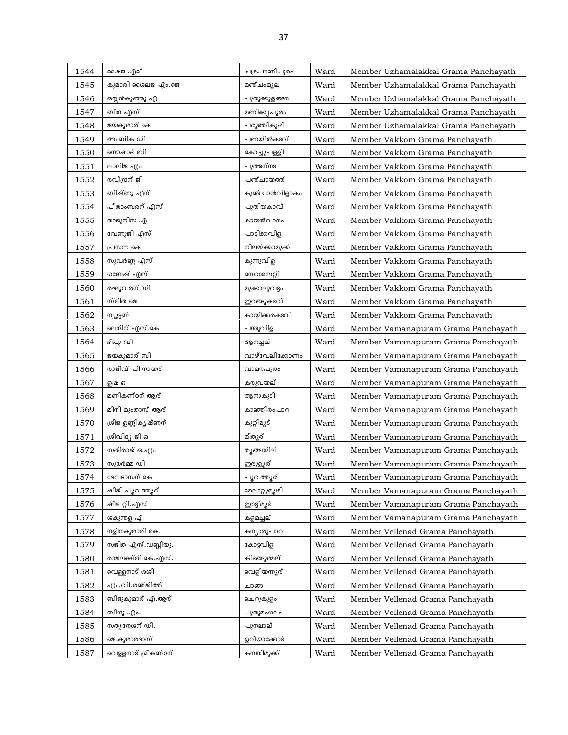| 1544 | ഷൈജ എല്              | ചക്രപാണിപുരം    | Ward | Member Uzhamalakkal Grama Panchayath |
|------|----------------------|-----------------|------|--------------------------------------|
| 1545 | കുമാരി ശൈലജ എം.ജെ    | മഞ്ചംമൂല        | Ward | Member Uzhamalakkal Grama Panchayath |
| 1546 | ഒസ്സൻകുഞ്ഞു എ        | പുതുക്കുളങ്ങര   | Ward | Member Uzhamalakkal Grama Panchayath |
| 1547 | ബീന എസ്              | മണിക്ക്യപുരം    | Ward | Member Uzhamalakkal Grama Panchayath |
| 1548 | ജയകുമാര് കെ          | പരുത്തികുഴി     | Ward | Member Uzhamalakkal Grama Panchayath |
| 1549 | അംബിക ഡി             | പണയിൽകടവ്       | Ward | Member Vakkom Grama Panchayath       |
| 1550 | നൌഷാദ് ബി            | കൊച്ചുപള്ളി     | Ward | Member Vakkom Grama Panchayath       |
| 1551 | ലാലിജ എം             | പുത്തന്നട       | Ward | Member Vakkom Grama Panchayath       |
| 1552 | രവീന്ദ്രന് ജി        | പഞ്ചായത്ത്      | Ward | Member Vakkom Grama Panchayath       |
| 1553 | ബിഷ്ണു എന്           | കുഞ്ചാൻവിളാകം   | Ward | Member Vakkom Grama Panchayath       |
| 1554 | പീതാംബരന് എസ്        | പുതിയകാവ്       | Ward | Member Vakkom Grama Panchayath       |
| 1555 | താജുനിസ എ            | കായൽവാരം        | Ward | Member Vakkom Grama Panchayath       |
| 1556 | വേണുജി എസ്           | പാട്ടിക്കവിള    | Ward | Member Vakkom Grama Panchayath       |
| 1557 | പ്രസന്ന കെ           | നിലയ്ക്കാമുക്ക് | Ward | Member Vakkom Grama Panchayath       |
| 1558 | സുവർണ്ണ എസ്          | കുന്നുവിള       | Ward | Member Vakkom Grama Panchayath       |
| 1559 | ഗണേഷ് എസ്            | സൊസൈറ്റി        | Ward | Member Vakkom Grama Panchayath       |
| 1560 | രഘുവരന് ഡി           | മുക്കാലുവട്ടം   | Ward | Member Vakkom Grama Panchayath       |
| 1561 | സ്മിത ജെ             | ഇറങ്ങുകടവ്      | Ward | Member Vakkom Grama Panchayath       |
| 1562 | ന്യൂട്ടണ്            | കായിക്കരകടവ്    | Ward | Member Vakkom Grama Panchayath       |
| 1563 | ലെനിന് എസ്.കെ        | പന്തുവിള        | Ward | Member Vamanapuram Grama Panchayath  |
| 1564 | ദീപു വി              | ആനച്ചല്         | Ward | Member Vamanapuram Grama Panchayath  |
| 1565 | ജയകുമാര് ബി          | വാഴ്വേലിക്കോണം  | Ward | Member Vamanapuram Grama Panchayath  |
| 1566 | രാജീവ് പി നായര്      | വാമനപുരം        | Ward | Member Vamanapuram Grama Panchayath  |
| 1567 | ഉഷ ഒ                 | കരുവയല്         | Ward | Member Vamanapuram Grama Panchayath  |
| 1568 | മണികണ്ഠന് ആര്        | ആനാകുടി         | Ward | Member Vamanapuram Grama Panchayath  |
| 1569 | മിനി മുംതാസ് ആര്     | കാഞ്ഞിരംപാറ     | Ward | Member Vamanapuram Grama Panchayath  |
| 1570 | ശ്രീജ ഉണ്ണികൃഷ്ണന്   | കുറ്റിമൂട്      | Ward | Member Vamanapuram Grama Panchayath  |
| 1571 | ശ്രീവിദ്യ ജി.ഒ       | മീതുര്          | Ward | Member Vamanapuram Grama Panchayath  |
| 1572 | സതിരാജ് ഒ.എം         | തുങ്ങയില്       | Ward | Member Vamanapuram Grama Panchayath  |
| 1573 | സുധർമ്മ ഡി           | <u>ഇരു</u> ളൂര് | Ward | Member Vamanapuram Grama Panchayath  |
| 1574 | ദേവദാസന് കെ          | പൂവത്തൂര്       | Ward | Member Vamanapuram Grama Panchavath  |
| 1575 | ഷിജി പൂവത്തൂര്       | മേലാറ്റുമുഴി    | Ward | Member Vamanapuram Grama Panchayath  |
| 1576 | ഷീജ റ്റി.എസ്         | ഈട്ടിമൂട്       | Ward | Member Vamanapuram Grama Panchayath  |
| 1577 | ശകുന്തള എ            | കളമച്ചല്        | Ward | Member Vamanapuram Grama Panchayath  |
| 1578 | നളിനകുമാരി കെ.       | കന്യാരുപാറ      | Ward | Member Vellenad Grama Panchayath     |
| 1579 | സജിത എസ്.ഡബ്ലിയു.    | കോട്ടവിള        | Ward | Member Vellenad Grama Panchayath     |
| 1580 | രാജലക്ഷ്മി കെ.എസ്.   | കിടങ്ങുമ്മല്    | Ward | Member Vellenad Grama Panchayath     |
| 1581 | വെള്ളനാട് ശശി        | വെളിയന്നൂര്     | Ward | Member Vellenad Grama Panchayath     |
| 1582 | എം.വി.രഞ്ജിത്ത്      | ചാങ്ങ           | Ward | Member Vellenad Grama Panchayath     |
| 1583 | ബിജുകുമാര് എ.ആര്     | ചെറുകുളം        | Ward | Member Vellenad Grama Panchayath     |
| 1584 | ബിന്ദു എം.           | പുതുമംഗലം       | Ward | Member Vellenad Grama Panchayath     |
| 1585 | സത്യനേശന് ഡി.        | പുനലാല്         | Ward | Member Vellenad Grama Panchayath     |
| 1586 | ജെ.കുമാരദാസ്         | ഉറിയാക്കോട്     | Ward | Member Vellenad Grama Panchayath     |
| 1587 | വെള്ളനാട് ശ്രീകണ്ഠന് | കമ്പനിമുക്ക്    | Ward | Member Vellenad Grama Panchayath     |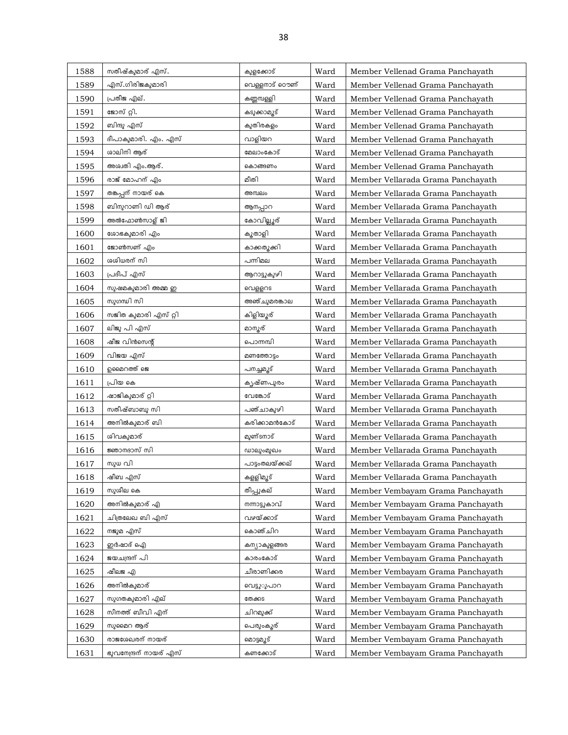| 1588 | സതീഷ്കുമാര് എസ്.     | കുളക്കോട്       | Ward | Member Vellenad Grama Panchayath  |
|------|----------------------|-----------------|------|-----------------------------------|
| 1589 | എസ്.ഗിരിജകുമാരി      | വെള്ളനാട് ഠൌണ്  | Ward | Member Vellenad Grama Panchayath  |
| 1590 | പ്രതീജ എല്.          | കണ്ണമ്പള്ളി     | Ward | Member Vellenad Grama Panchayath  |
| 1591 | ജോസ് റ്റി.           | കടുക്കാമൂട്     | Ward | Member Vellenad Grama Panchayath  |
| 1592 | ബിന്ദു എസ്           | കുതിരകളം        | Ward | Member Vellenad Grama Panchayath  |
| 1593 | ദീപാകുമാരി. എം. എസ്  | വാളിയറ          | Ward | Member Vellenad Grama Panchayath  |
| 1594 | ശാലിനി ആര്           | മേലാംകോട്       | Ward | Member Vellenad Grama Panchayath  |
| 1595 | അശ്വതി എം.ആര്.       | കൊങ്ങണം         | Ward | Member Vellenad Grama Panchayath  |
| 1596 | രാജ് മോഹന് എം        | മീതി            | Ward | Member Vellarada Grama Panchayath |
| 1597 | തങ്കപ്പന് നായര് കെ   | അമ്പലം          | Ward | Member Vellarada Grama Panchayath |
| 1598 | ബിനുറാണി ഡി ആര്      | ആനപ്പാറ         | Ward | Member Vellarada Grama Panchayath |
| 1599 | അൽഫോൺസാള് ജി         | കോവില്ലൂര്      | Ward | Member Vellarada Grama Panchayath |
| 1600 | ശോഭകുമാരി എം         | ക്യതാളി         | Ward | Member Vellarada Grama Panchayath |
| 1601 | ജോൺസണ് എം            | കാക്കതുക്കി     | Ward | Member Vellarada Grama Panchayath |
| 1602 | ശശിധരന് സി           | പന്നിമല         | Ward | Member Vellarada Grama Panchayath |
| 1603 | പ്രദീപ് എസ്          | ആറാട്ടുകുഴി     | Ward | Member Vellarada Grama Panchayath |
| 1604 | സുഷമകുമാരി അമ്മ ഇ    | വെള്ളറട         | Ward | Member Vellarada Grama Panchayath |
| 1605 | സുഗന്ധി സി           | അഞ്ചുമരങ്കാല    | Ward | Member Vellarada Grama Panchayath |
| 1606 | സജിത കുമാരി എസ് റ്റി | കിളിയൂര്        | Ward | Member Vellarada Grama Panchayath |
| 1607 | ലിജു പി എസ്          | മാന്യര്         | Ward | Member Vellarada Grama Panchayath |
| 1608 | ഷീജ വിൻസെന്റ്        | പൊന്നമ്പി       | Ward | Member Vellarada Grama Panchayath |
| 1609 | വിജയ എസ്             | മണത്തോട്ടം      | Ward | Member Vellarada Grama Panchayath |
| 1610 | ഉമൈറത്ത് ജെ          | പനച്ചമൂട്       | Ward | Member Vellarada Grama Panchayath |
| 1611 | പ്രിയ കെ             | കൃഷ്ണപുരം       | Ward | Member Vellarada Grama Panchayath |
| 1612 | ഷാജികുമാര് റ്റി      | വേങ്കോട്        | Ward | Member Vellarada Grama Panchayath |
| 1613 | സതീഷ്ബാബു സി         | പഞ്ചാകുഴി       | Ward | Member Vellarada Grama Panchayath |
| 1614 | അനിൽകുമാര് ബി        | കരിക്കാമൻകോട്   | Ward | Member Vellarada Grama Panchayath |
| 1615 | ശിവകുമാര്            | മുണ്ടനാട്       | Ward | Member Vellarada Grama Panchavath |
| 1616 | ജ്ഞാനദാസ് സി         | ഡാലുംമുഖം       | Ward | Member Vellarada Grama Panchayath |
| 1617 | സുധ വി               | പാട്ടംതലയ്ക്കല് | Ward | Member Vellarada Grama Panchayath |
| 1618 | ഷീബ എസ്              | കളളിമുട്        | Ward | Member Vellarada Grama Panchayath |
| 1619 | സുശീല കെ             | തീപ്പുകല്       | Ward | Member Vembayam Grama Panchayath  |
| 1620 | അനിൽകുമാര് എ         | നന്നാട്ടുകാവ്   | Ward | Member Vembayam Grama Panchayath  |
| 1621 | ചിത്രലേഖ ബി എസ്      | വഴയ്ക്കാട്      | Ward | Member Vembayam Grama Panchayath  |
| 1622 | നജുമ എസ്             | കൊഞ്ചിറ         | Ward | Member Vembayam Grama Panchayath  |
| 1623 | ഇർഷാദ് ഐ             | കന്യാകുളങ്ങര    | Ward | Member Vembayam Grama Panchayath  |
| 1624 | ജയചന്ദ്രന് പി        | കാരംകോട്        | Ward | Member Vembayam Grama Panchayath  |
| 1625 | ഷീലജ എ               | ചീരാണിക്കര      | Ward | Member Vembayam Grama Panchayath  |
| 1626 | അനിൽകുമാര്           | വെട്ടുൂപാറ      | Ward | Member Vembayam Grama Panchayath  |
| 1627 | സുഗതകുമാരി എല്       | തേക്കട          | Ward | Member Vembayam Grama Panchayath  |
| 1628 | സീനത്ത് ബീവി എന്     | ചിറമുക്ക്       | Ward | Member Vembayam Grama Panchayath  |
| 1629 | സുമൈറ ആര്            | പെരുംകൂര്       | Ward | Member Vembayam Grama Panchayath  |
| 1630 | രാജശേഖരന് നായര്      | മൊട്ടമൂട്       | Ward | Member Vembayam Grama Panchayath  |
|      |                      |                 |      |                                   |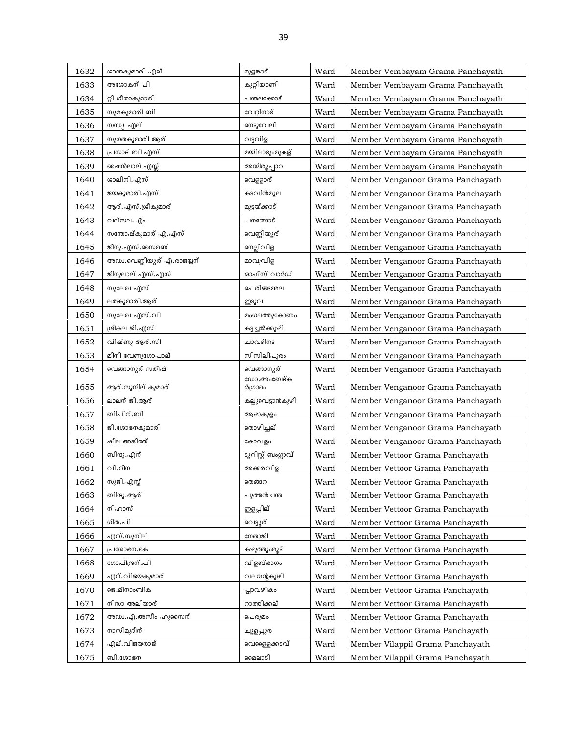| 1632         | ശാന്തകുമാരി എല്            | മുളങ്കാട്              | Ward         | Member Vembayam Grama Panchayath                                     |
|--------------|----------------------------|------------------------|--------------|----------------------------------------------------------------------|
| 1633         | അശോകന് പി                  | കുറ്റിയാണി             | Ward         | Member Vembayam Grama Panchayath                                     |
| 1634         | റ്റി ഗീതാകുമാരി            | പന്തലക്കോട്            | Ward         | Member Vembayam Grama Panchayath                                     |
| 1635         | സുമകുമാരി ബി               | വേറ്റിനാട്             | Ward         | Member Vembayam Grama Panchayath                                     |
| 1636         | സന്ധ്യ എല്                 | നെടുവേലി               | Ward         | Member Vembayam Grama Panchayath                                     |
| 1637         | സുഗതകുമാരി ആര്             | വട്ടവിള                | Ward         | Member Vembayam Grama Panchayath                                     |
| 1638         | പ്രസാദ് ബി എസ്             | മയിലാടുംമുകള്          | Ward         | Member Vembayam Grama Panchayath                                     |
| 1639         | ഷൈൻലാല് എസ്സ്              | അയിരൂപ്പാറ             | Ward         | Member Vembayam Grama Panchayath                                     |
| 1640         | ശാലിനി.എസ്                 | വെള്ളാര്               | Ward         | Member Venganoor Grama Panchayath                                    |
| 1641         | ജയകുമാരി. എസ്              | കടവിൻമൂല               | Ward         | Member Venganoor Grama Panchayath                                    |
| 1642         | ആര്.എസ്.ശ്രീകുമാര്         | മുട്ടയ്ക്കാട്          | Ward         | Member Venganoor Grama Panchayath                                    |
| 1643         | വല്സല.എം                   | പനങ്ങോട്               | Ward         | Member Venganoor Grama Panchayath                                    |
| 1644         | സന്തോഷ്കുമാര് എ.എസ്        | വെണ്ണിയൂര്             | Ward         | Member Venganoor Grama Panchayath                                    |
| 1645         | ജിനു. എസ്. സൈമണ്           | നെല്ലിവിള              | Ward         | Member Venganoor Grama Panchayath                                    |
| 1646         | അഡ്വ.വെണ്ണിയൂര് എ.രാജയ്യന് | മാവുവിള                | Ward         | Member Venganoor Grama Panchayath                                    |
| 1647         | ജിനുലാല് എസ്.എസ്           | ഓഫീസ് വാർഡ്            | Ward         | Member Venganoor Grama Panchayath                                    |
| 1648         | സുലേഖ എസ്                  | പെരിങ്ങമ്മല            | Ward         | Member Venganoor Grama Panchayath                                    |
| 1649         | ലതകുമാരി.ആര്               | ഇടുവ                   | Ward         | Member Venganoor Grama Panchayath                                    |
| 1650         | സുലേഖ എസ്.വി               | മംഗലത്തുകോണം           | Ward         | Member Venganoor Grama Panchayath                                    |
| 1651         | ശ്രീകല ജി.എസ്              | കട്ടച്ചൽക്കുഴി         | Ward         | Member Venganoor Grama Panchayath                                    |
| 1652         | വിഷ്ണു ആര്.സി              | ചാവടിനട                | Ward         | Member Venganoor Grama Panchayath                                    |
| 1653         | മിനി വേണുഗോപാല്            | സിസിലിപുരം             | Ward         | Member Venganoor Grama Panchayath                                    |
| 1654         | വെങ്ങാനൂര് സതീഷ്           | വെങ്ങാനൂര്             | Ward         |                                                                      |
|              |                            |                        |              | Member Venganoor Grama Panchayath                                    |
|              |                            | ഡോ.അംബേദ്ക             |              |                                                                      |
| 1655         | ആര്.സുനില് കുമാര്          | ർഗ്രാമം                | Ward         | Member Venganoor Grama Panchayath                                    |
| 1656         | ലാലന് ജി.ആര്               | കല്ലുവെട്ടാൻകുഴി       | Ward         | Member Venganoor Grama Panchayath                                    |
| 1657         | ബിപിന്.ബി                  | ആഴാകുളം                | Ward         | Member Venganoor Grama Panchayath                                    |
| 1658         | ജി.ശോഭനകുമാരി              | തൊഴിച്ചല്              | Ward         | Member Venganoor Grama Panchayath                                    |
| 1659         | ഷീല അജിത്ത്                | കോവളം                  | Ward         | Member Venganoor Grama Panchayath                                    |
| 1660         | ബിന്ദു.എന്                 | ടൂറിസ്റ്റ് ബംഗ്ലാവ്    | Ward         | Member Vettoor Grama Panchayath                                      |
| 1661         | വി.റീന                     | അക്കരവിള               | Ward         | Member Vettoor Grama Panchayath                                      |
| 1662         | സുജി.എസ്സ്                 | തെങ്ങറ                 | Ward         | Member Vettoor Grama Panchayath                                      |
| 1663         | ബിന്ദു.ആര്                 | പുത്തൻചന്ത             | Ward         | Member Vettoor Grama Panchayath                                      |
| 1664         | നിഹാസ്                     | ഇളപ്പില്               | Ward         | Member Vettoor Grama Panchayath                                      |
| 1665         | ഗീത.പി                     | വെട്ടുര്               | Ward         | Member Vettoor Grama Panchayath                                      |
| 1666         | എസ്.സുനില്                 | നേതാജി                 | Ward         | Member Vettoor Grama Panchayath                                      |
| 1667         | പ്രശോഭന.കെ                 | കഴുത്തുംമൂട്           | Ward         | Member Vettoor Grama Panchayath                                      |
| 1668         | ഗോപീന്ദ്രന്.പി             | വിളബ്ഭാഗം              | Ward         | Member Vettoor Grama Panchayath                                      |
| 1669         | എന്.വിജയകുമാര്             | വലയന്റകുഴി             | Ward         | Member Vettoor Grama Panchayath                                      |
| 1670         | ജെ.മീനാംബിക                | പ്ലാവഴികം              | Ward         | Member Vettoor Grama Panchayath                                      |
| 1671         | നിസാ അലിയാര്               | റാത്തിക്കല്            | Ward         | Member Vettoor Grama Panchayath                                      |
| 1672         | അഡ്വ.എ.അസീം ഹുസൈന്         | പെരുമം                 | Ward         | Member Vettoor Grama Panchayath                                      |
| 1673         | നാസിമുദീന്                 | ചൂളപ്പുര               | Ward         | Member Vettoor Grama Panchayath                                      |
| 1674<br>1675 | എല്.വിജയരാജ്<br>ബി.ശോഭന    | വെള്ളൈക്കടവ്<br>മൈലാടി | Ward<br>Ward | Member Vilappil Grama Panchayath<br>Member Vilappil Grama Panchayath |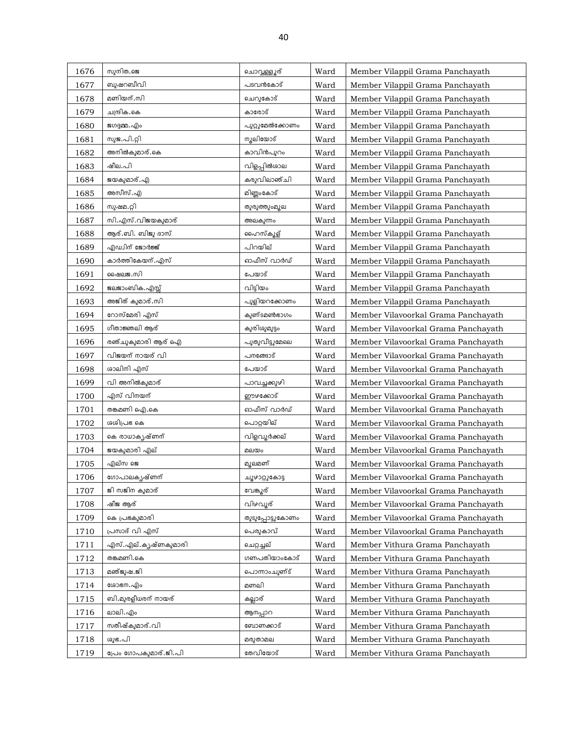| 1676 | സുനിത.ജെ              | ചൊവ്വള്ളൂര്      | Ward | Member Vilappil Grama Panchayath    |
|------|-----------------------|------------------|------|-------------------------------------|
| 1677 | ബുഷറബീവി              | പടവൻകോട്         | Ward | Member Vilappil Grama Panchayath    |
| 1678 | മണിയന്.സി             | ചെറുകോട്         | Ward | Member Vilappil Grama Panchayath    |
| 1679 | ചന്ദ്രിക.കെ           | കാരോട്           | Ward | Member Vilappil Grama Panchayath    |
| 1680 | ജഗദ്ദമ്മ. എം          | പുറ്റുമേൽക്കോണം  | Ward | Member Vilappil Grama Panchayath    |
| 1681 | സുജ.പി.റ്റി           | നൂലിയോട്         | Ward | Member Vilappil Grama Panchayath    |
| 1682 | അനിൽകുമാര്.കെ         | കാവിൻപുറം        | Ward | Member Vilappil Grama Panchayath    |
| 1683 | ഷീല.പി                | വിളപ്പിൽശാല      | Ward | Member Vilappil Grama Panchayath    |
| 1684 | ജയകുമാര്. എ           | കരുവിലാഞ്ചി      | Ward | Member Vilappil Grama Panchayath    |
| 1685 | അസീസ്.എ               | മിണ്ണംകോട്       | Ward | Member Vilappil Grama Panchayath    |
| 1686 | സുഷമ.റ്റി             | തുരുത്തുംമുല     | Ward | Member Vilappil Grama Panchayath    |
| 1687 | സി.എസ്.വിജയകുമാര്     | അലകുന്നം         | Ward | Member Vilappil Grama Panchayath    |
| 1688 | ആര്.ബി. ബിജു ദാസ്     | ഹൈസ്കൂള്         | Ward | Member Vilappil Grama Panchayath    |
| 1689 | എഡ്വിന് ജോർജ്ജ്       | പിറയില്          | Ward | Member Vilappil Grama Panchayath    |
| 1690 | കാർത്തികേയന്.എസ്      | ഓഫീസ് വാർഡ്      | Ward | Member Vilappil Grama Panchayath    |
| 1691 | ഷൈലജ.സി               | പേയാട്           | Ward | Member Vilappil Grama Panchayath    |
| 1692 | ജലജാംബിക.എസ്സ്        | വിടിയം           | Ward | Member Vilappil Grama Panchayath    |
| 1693 | അജിത് കുമാര്.സി       | പുളിയറക്കോണം     | Ward | Member Vilappil Grama Panchayath    |
| 1694 | റോസ്മേരി എസ്          | കുണ്ടമൺഭാഗം      | Ward | Member Vilavoorkal Grama Panchayath |
| 1695 | ഗീതാജ്ഞലി ആര്         | കുരിശുമുട്ടം     | Ward | Member Vilavoorkal Grama Panchayath |
| 1696 | രഞ്ചുകുമാരി ആര് ഐ     | പുതുവീട്ടുമേലെ   | Ward | Member Vilavoorkal Grama Panchayath |
| 1697 | വിജയന് നായര് വി       | പനങ്ങോട്         | Ward | Member Vilavoorkal Grama Panchayath |
| 1698 | ശാലിനി എസ്            | പേയാട്           | Ward | Member Vilavoorkal Grama Panchayath |
| 1699 | വി അനിൽകുമാര്         | പാവച്ചക്കുഴി     | Ward | Member Vilavoorkal Grama Panchayath |
| 1700 | എസ് വിനയന്            | ഈഴക്കോട്         | Ward | Member Vilavoorkal Grama Panchayath |
| 1701 | തങ്കമണി ഐ.കെ          | ഓഫീസ് വാർഡ്      | Ward | Member Vilavoorkal Grama Panchayath |
| 1702 | ശശിപ്രഭ കെ            | പൊറ്റയില്        | Ward | Member Vilavoorkal Grama Panchayath |
| 1703 | കെ രാധാകൃഷ്ണന്        | വിളവൂർക്കല്      | Ward | Member Vilavoorkal Grama Panchayath |
| 1704 | ജയകുമാരി എല്          | മലയം             | Ward | Member Vilavoorkal Grama Panchayath |
| 1705 | എല്സ ജെ               | മുലമണ്           | Ward | Member Vilavoorkal Grama Panchayath |
| 1706 | ഗോപാലകൃഷ്ണന്          | ചൂഴാറ്റുകോട്ട    | Ward | Member Vilavoorkal Grama Panchayath |
| 1707 | ജി സജിന കുമാര്        | വേങ്കൂര്         | Ward | Member Vilavoorkal Grama Panchayath |
| 1708 | ഷീജ ആര്               | വിഴവൂര്          | Ward | Member Vilavoorkal Grama Panchayath |
| 1709 | കെ പ്രഭകുമാരി         | തുടുപ്പോട്ടുകോണം | Ward | Member Vilavoorkal Grama Panchayath |
| 1710 | പ്രസാദ് വി എസ്        | പെരുകാവ്         | Ward | Member Vilavoorkal Grama Panchayath |
| 1711 | എസ്.എല്.കൃഷ്ണകുമാരി   | ചെറ്റച്ചല്       | Ward | Member Vithura Grama Panchayath     |
| 1712 | തങ്കമണി.കെ            | ഗണപതിയാംകോട്     | Ward | Member Vithura Grama Panchayath     |
| 1713 | മഞ്ജുഷ.ജി             | പൊന്നാംചുണ്ട്    | Ward | Member Vithura Grama Panchayath     |
| 1714 | ശോഭന.എം               | മണലി             | Ward | Member Vithura Grama Panchayath     |
| 1715 | ബി.മുരളീധരന് നായര്    | കല്ലാര്          | Ward | Member Vithura Grama Panchayath     |
| 1716 | ലാലി.എം               | ആനപ്പാറ          | Ward | Member Vithura Grama Panchayath     |
| 1717 | സതീഷ്കുമാര്.വി        | ബോണക്കാട്        | Ward | Member Vithura Grama Panchayath     |
| 1718 | ശുഭ.പി                | മരുതാമല          | Ward | Member Vithura Grama Panchayath     |
| 1719 | പ്രേം ഗോപകുമാര്.ജി.പി | തേവിയോട്         | Ward | Member Vithura Grama Panchayath     |